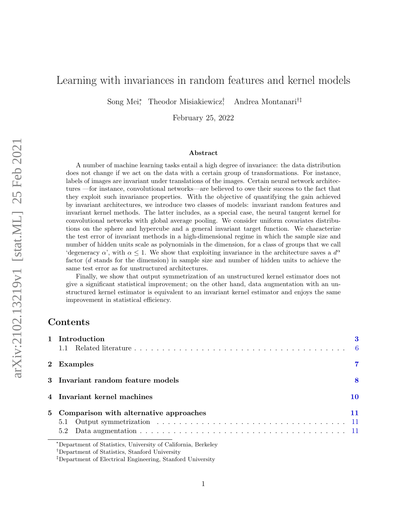# Learning with invariances in random features and kernel models

Song Mei<sup>∗</sup> , Theodor Misiakiewicz† , Andrea Montanari†‡

February 25, 2022

#### Abstract

A number of machine learning tasks entail a high degree of invariance: the data distribution does not change if we act on the data with a certain group of transformations. For instance, labels of images are invariant under translations of the images. Certain neural network architectures —for instance, convolutional networks—are believed to owe their success to the fact that they exploit such invariance properties. With the objective of quantifying the gain achieved by invariant architectures, we introduce two classes of models: invariant random features and invariant kernel methods. The latter includes, as a special case, the neural tangent kernel for convolutional networks with global average pooling. We consider uniform covariates distributions on the sphere and hypercube and a general invariant target function. We characterize the test error of invariant methods in a high-dimensional regime in which the sample size and number of hidden units scale as polynomials in the dimension, for a class of groups that we call 'degeneracy  $\alpha$ ', with  $\alpha \leq 1$ . We show that exploiting invariance in the architecture saves a  $d^{\alpha}$ factor (d stands for the dimension) in sample size and number of hidden units to achieve the same test error as for unstructured architectures.

Finally, we show that output symmetrization of an unstructured kernel estimator does not give a significant statistical improvement; on the other hand, data augmentation with an unstructured kernel estimator is equivalent to an invariant kernel estimator and enjoys the same improvement in statistical efficiency.

# Contents

| 1 Introduction                                                |    |
|---------------------------------------------------------------|----|
|                                                               |    |
| 2 Examples                                                    | 7  |
| 3 Invariant random feature models                             | 8  |
| 4 Invariant kernel machines                                   | 10 |
| 5 Comparison with alternative approaches                      | 11 |
| 5.1                                                           |    |
|                                                               |    |
| *Department of Statistics, University of California, Berkeley |    |

<sup>†</sup>Department of Statistics, Stanford University

<sup>‡</sup>Department of Electrical Engineering, Stanford University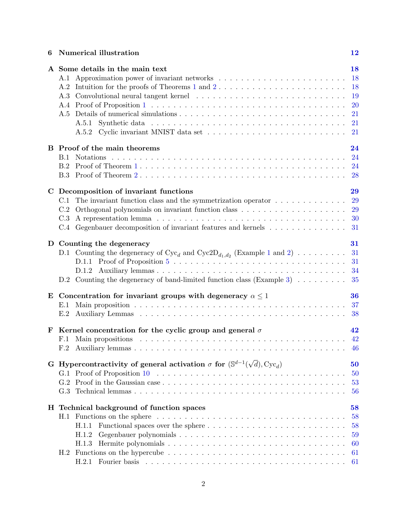# 6 Numerical illustration [12](#page-11-0)

|             | A Some details in the main text<br>A.1<br>A.2<br>A.3<br>A.5<br>A.5.2                                                                                                                                                                                                                                                              | 18<br>18<br>18<br>19<br>20<br>21<br>21<br>21 |
|-------------|-----------------------------------------------------------------------------------------------------------------------------------------------------------------------------------------------------------------------------------------------------------------------------------------------------------------------------------|----------------------------------------------|
|             | B Proof of the main theorems<br>B.1                                                                                                                                                                                                                                                                                               | 24<br>24<br>24<br>28                         |
| $\mathbf C$ | Decomposition of invariant functions<br>The invariant function class and the symmetrization operator $\dots \dots \dots \dots$<br>C.1<br>Orthogonal polynomials on invariant function class $\ldots \ldots \ldots \ldots \ldots \ldots \ldots$<br>C.2<br>C.3<br>Gegenbauer decomposition of invariant features and kernels<br>C.4 | 29<br>29<br>29<br>30<br>31                   |
|             | D Counting the degeneracy<br>D.1 Counting the degeneracy of $Cyc_d$ and $Cyc2D_{d_1,d_2}$ (Example 1 and 2)<br>D.2 Counting the degeneracy of band-limited function class (Example 3) $\dots \dots$                                                                                                                               | 31<br>31<br>31<br>34<br>35                   |
| E           | Concentration for invariant groups with degeneracy $\alpha \leq 1$<br>E.1<br>E.2                                                                                                                                                                                                                                                  | 36<br>37<br>38                               |
| F           | Kernel concentration for the cyclic group and general $\sigma$<br>F.1<br>F.2                                                                                                                                                                                                                                                      | 42<br>42<br>46                               |
|             | G Hypercontractivity of general activation $\sigma$ for $(\mathbb{S}^{d-1}(\sqrt{d}), \text{Cyc}_d)$                                                                                                                                                                                                                              | 50<br>50<br>53<br>56                         |
|             | H Technical background of function spaces<br>H.1.1<br>H.1.2<br>H.1.3<br>H.2<br>H.2.1                                                                                                                                                                                                                                              | 58<br>58<br>58<br>59<br>60<br>61<br>61       |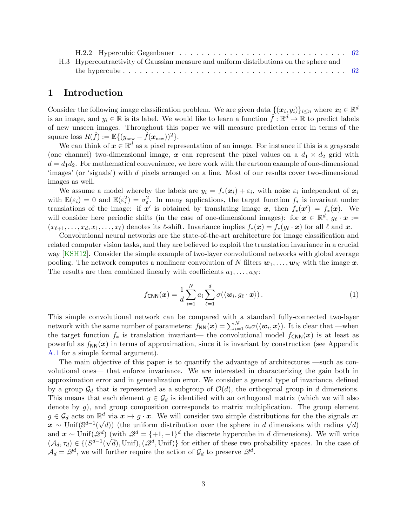| H.3 Hypercontractivity of Gaussian measure and uniform distributions on the sphere and |  |
|----------------------------------------------------------------------------------------|--|
|                                                                                        |  |

## <span id="page-2-0"></span>1 Introduction

Consider the following image classification problem. We are given data  $\{(\bm{x}_i, y_i)\}_{i \leq n}$  where  $\bm{x}_i \in \mathbb{R}^d$ is an image, and  $y_i \in \mathbb{R}$  is its label. We would like to learn a function  $\hat{f} : \mathbb{R}^d \to \mathbb{R}$  to predict labels of new unseen images. Throughout this paper we will measure prediction error in terms of the square loss  $R(\hat{f}) := \mathbb{E}\{(y_{\text{new}} - \hat{f}(\boldsymbol{x}_{\text{new}}))^2\}.$ 

We can think of  $x \in \mathbb{R}^d$  as a pixel representation of an image. For instance if this is a grayscale (one channel) two-dimensional image, x can represent the pixel values on a  $d_1 \times d_2$  grid with  $d = d_1 d_2$ . For mathematical convenience, we here work with the cartoon example of one-dimensional 'images' (or 'signals') with d pixels arranged on a line. Most of our results cover two-dimensional images as well.

We assume a model whereby the labels are  $y_i = f_*(x_i) + \varepsilon_i$ , with noise  $\varepsilon_i$  independent of  $x_i$ with  $\mathbb{E}(\varepsilon_i) = 0$  and  $\mathbb{E}(\varepsilon_i^2) = \sigma_{\varepsilon}^2$ . In many applications, the target function  $f_*$  is invariant under translations of the image: if  $x'$  is obtained by translating image x, then  $f_*(x') = f_*(x)$ . We will consider here periodic shifts (in the case of one-dimensional images): for  $x \in \mathbb{R}^d$ ,  $g_{\ell} \cdot x :=$  $(x_{\ell+1}, \ldots, x_d, x_1, \ldots, x_\ell)$  denotes its  $\ell$ -shift. Invariance implies  $f_*(\bm{x}) = f_*(g_\ell \cdot \bm{x})$  for all  $\ell$  and  $\bm{x}$ .

Convolutional neural networks are the state-of-the-art architecture for image classification and related computer vision tasks, and they are believed to exploit the translation invariance in a crucial way [\[KSH12\]](#page-15-0). Consider the simple example of two-layer convolutional networks with global average pooling. The network computes a nonlinear convolution of N filters  $w_1, \ldots, w_N$  with the image x. The results are then combined linearly with coefficients  $a_1, \ldots, a_N$ :

<span id="page-2-1"></span>
$$
f_{\text{CNN}}(\boldsymbol{x}) = \frac{1}{d} \sum_{i=1}^{N} a_i \sum_{\ell=1}^{d} \sigma(\langle \boldsymbol{w}_i, g_{\ell} \cdot \boldsymbol{x} \rangle).
$$
 (1)

This simple convolutional network can be compared with a standard fully-connected two-layer network with the same number of parameters:  $f_{NN}(x) = \sum_{i=1}^{N} a_i \sigma(\langle \boldsymbol{w}_i, \boldsymbol{x} \rangle)$ . It is clear that —when the target function  $f_*$  is translation invariant— the convolutional model  $f_{\text{CNN}}(x)$  is at least as powerful as  $f_{NN}(x)$  in terms of approximation, since it is invariant by construction (see Appendix [A.1](#page-17-1) for a simple formal argument).

The main objective of this paper is to quantify the advantage of architectures —such as convolutional ones— that enforce invariance. We are interested in characterizing the gain both in approximation error and in generalization error. We consider a general type of invariance, defined by a group  $\mathcal{G}_d$  that is represented as a subgroup of  $\mathcal{O}(d)$ , the orthogonal group in d dimensions. This means that each element  $g \in \mathcal{G}_d$  is identified with an orthogonal matrix (which we will also denote by  $g$ ), and group composition corresponds to matrix multiplication. The group element  $g \in \mathcal{G}_d$  acts on  $\mathbb{R}^d$  via  $x \mapsto g \cdot x$ . We will consider two simple distributions for the the signals  $x$ :  $g \in \mathcal{G}_d$  acts on  $\mathbb{R}^{\infty}$  via  $x \mapsto g \cdot x$ , we will consider two simple distributions for the the signals  $x$ :<br>  $x \sim \text{Unif}(\mathbb{S}^{d-1}(\sqrt{d}))$  (the uniform distribution over the sphere in d dimensions with radius  $\sqrt{$ and  $\mathbf{x} \sim \text{Unif}(\mathcal{Q}^d)$  (with  $\mathcal{Q}^d = \{+1, -1\}^d$  the discrete hypercube in d dimensions). We will write  $(\mathcal{A}_d, \tau_d) \in \{ (S^{d-1}(\sqrt{d}), \text{Unif}), (\mathscr{Q}^d, \text{Unif}) \}$  for either of these two probability spaces. In the case of  $\mathcal{A}_d = \mathcal{Q}^d$ , we will further require the action of  $\mathcal{G}_d$  to preserve  $\mathcal{Q}^d$ .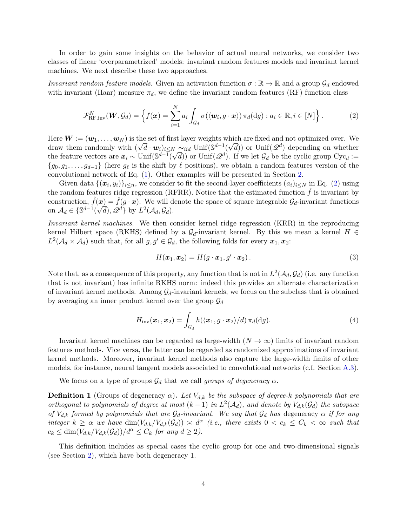In order to gain some insights on the behavior of actual neural networks, we consider two classes of linear 'overparametrized' models: invariant random features models and invariant kernel machines. We next describe these two approaches.

Invariant random feature models. Given an activation function  $\sigma : \mathbb{R} \to \mathbb{R}$  and a group  $\mathcal{G}_d$  endowed with invariant (Haar) measure  $\pi_d$ , we define the invariant random features (RF) function class

<span id="page-3-0"></span>
$$
\mathcal{F}_{\text{RF,inv}}^N(\boldsymbol{W}, \mathcal{G}_d) = \left\{ f(\boldsymbol{x}) = \sum_{i=1}^N a_i \int_{\mathcal{G}_d} \sigma(\langle \boldsymbol{w}_i, g \cdot \boldsymbol{x} \rangle) \, \pi_d(\mathrm{d}g) : a_i \in \mathbb{R}, i \in [N] \right\}.
$$
 (2)

Here  $\mathbf{W} := (\mathbf{w}_1, \dots, \mathbf{w}_N)$  is the set of first layer weights which are fixed and not optimized over. We here  $w := (w_1, \ldots, w_N)$  is the set of first layer weights which are fixed and not optimized over. We<br>draw them randomly with  $(\sqrt{d} \cdot w_i)_{i \leq N} \sim_{iid} \text{Unif}(\mathbb{S}^{d-1}(\sqrt{d}))$  or  $\text{Unif}(\mathcal{Q}^d)$  depending on whether the feature vectors are  $x_i \sim \text{Unif}(\mathbb{S}^{d-1})$  $(\sqrt{d})$  or Unit  $(\mathscr{L}^d)$ . If we let  $\mathcal{G}_d$  be the cyclic group  $Cyc_d := \sqrt{d}$ ) or Unif  $(\mathscr{L}^d)$ . If we let  $\mathcal{G}_d$  be the cyclic group  $Cyc_d :=$  ${g_0, g_1, \ldots, g_{d-1}}$  (here  $g_\ell$  is the shift by  $\ell$  positions), we obtain a random features version of the convolutional network of Eq. [\(1\)](#page-2-1). Other examples will be presented in Section [2.](#page-6-0)

Given data  $\{(\bm{x}_i, y_i)\}_{i \leq n}$ , we consider to fit the second-layer coefficients  $(a_i)_{i \leq N}$  in Eq. [\(2\)](#page-3-0) using the random features ridge regression (RFRR). Notice that the estimated function  $f$  is invariant by construction,  $\hat{f}(\boldsymbol{x}) = \hat{f}(g \cdot \boldsymbol{x})$ . We will denote the space of square integrable  $\mathcal{G}_d$ -invariant functions on  $\mathcal{A}_d \in \{ \mathbb{S}^{d-1}(\sqrt{d}), \mathscr{Q}^d \}$  by  $L^2(\mathcal{A}_d, \mathcal{G}_d)$ .

Invariant kernel machines. We then consider kernel ridge regression (KRR) in the reproducing kernel Hilbert space (RKHS) defined by a  $\mathcal{G}_d$ -invariant kernel. By this we mean a kernel  $H \in$  $L^2(\mathcal{A}_d\times\mathcal{A}_d)$  such that, for all  $g,g'\in\mathcal{G}_d$ , the following folds for every  $\boldsymbol{x}_1,\boldsymbol{x}_2$ :

<span id="page-3-2"></span>
$$
H(\boldsymbol{x}_1, \boldsymbol{x}_2) = H(g \cdot \boldsymbol{x}_1, g' \cdot \boldsymbol{x}_2).
$$
\n(3)

Note that, as a consequence of this property, any function that is not in  $L^2(\mathcal{A}_d, \mathcal{G}_d)$  (i.e. any function that is not invariant) has infinite RKHS norm: indeed this provides an alternate characterization of invariant kernel methods. Among  $\mathcal{G}_d$ -invariant kernels, we focus on the subclass that is obtained by averaging an inner product kernel over the group  $\mathcal{G}_d$ 

$$
H_{\text{inv}}(\boldsymbol{x}_1, \boldsymbol{x}_2) = \int_{\mathcal{G}_d} h(\langle \boldsymbol{x}_1, g \cdot \boldsymbol{x}_2 \rangle / d) \, \pi_d(\mathrm{d}g). \tag{4}
$$

Invariant kernel machines can be regarded as large-width  $(N \to \infty)$  limits of invariant random features methods. Vice versa, the latter can be regarded as randomized approximations of invariant kernel methods. Moreover, invariant kernel methods also capture the large-width limits of other models, for instance, neural tangent models associated to convolutional networks (c.f. Section [A.3\)](#page-18-0).

We focus on a type of groups  $\mathcal{G}_d$  that we call groups of degeneracy  $\alpha$ .

<span id="page-3-1"></span>**Definition 1** (Groups of degeneracy  $\alpha$ ). Let  $V_{d,k}$  be the subspace of degree-k polynomials that are orthogonal to polynomials of degree at most  $(k-1)$  in  $L^2(\mathcal{A}_d)$ , and denote by  $V_{d,k}(\mathcal{G}_d)$  the subspace of  $V_{d,k}$  formed by polynomials that are  $\mathcal{G}_d$ -invariant. We say that  $\mathcal{G}_d$  has degeneracy  $\alpha$  if for any integer  $k \geq \alpha$  we have  $\dim(V_{d,k}/V_{d,k}(\mathcal{G}_d)) \leq d^{\alpha}$  (i.e., there exists  $0 < c_k \leq C_k < \infty$  such that  $c_k \leq \dim(V_{d,k}/V_{d,k}(\mathcal{G}_d))/d^{\alpha} \leq C_k$  for any  $d \geq 2$ ).

This definition includes as special cases the cyclic group for one and two-dimensional signals (see Section [2\)](#page-6-0), which have both degeneracy 1.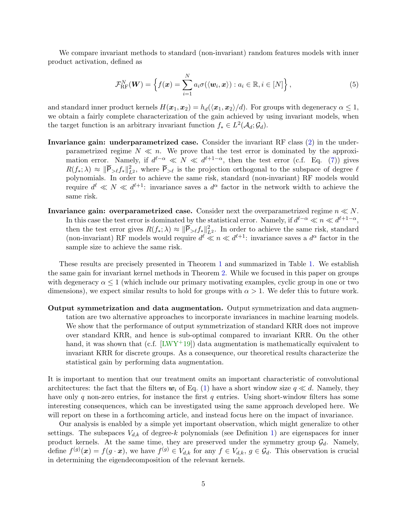We compare invariant methods to standard (non-invariant) random features models with inner product activation, defined as

<span id="page-4-0"></span>
$$
\mathcal{F}_{\text{RF}}^{N}(\boldsymbol{W}) = \left\{ f(\boldsymbol{x}) = \sum_{i=1}^{N} a_i \sigma(\langle \boldsymbol{w}_i, \boldsymbol{x} \rangle) : a_i \in \mathbb{R}, i \in [N] \right\},\tag{5}
$$

and standard inner product kernels  $H(x_1, x_2) = h_d(\langle x_1, x_2 \rangle/d)$ . For groups with degeneracy  $\alpha \leq 1$ , we obtain a fairly complete characterization of the gain achieved by using invariant models, when the target function is an arbitrary invariant function  $f_* \in L^2(\mathcal{A}_d; \mathcal{G}_d)$ .

- Invariance gain: underparametrized case. Consider the invariant RF class [\(2\)](#page-3-0) in the underparametrized regime  $N \ll n$ . We prove that the test error is dominated by the approximation error. Namely, if  $d^{\ell-\alpha} \ll N \ll d^{\ell+1-\alpha}$ , then the test error (c.f. Eq. [\(7\)](#page-7-2)) gives  $R(f_*,\lambda) \approx \|\overline{\mathsf{P}}_{\geq \ell} f_*\|_{L^2}^2$ , where  $\overline{\mathsf{P}}_{\geq \ell}$  is the projection orthogonal to the subspace of degree  $\ell$ polynomials. In order to achieve the same risk, standard (non-invariant) RF models would require  $d^{\ell} \ll N \ll d^{\ell+1}$ : invariance saves a  $d^{\alpha}$  factor in the network width to achieve the same risk.
- Invariance gain: overparametrized case. Consider next the overparametrized regime  $n \ll N$ . In this case the test error is dominated by the statistical error. Namely, if  $d^{\ell-\alpha} \ll n \ll d^{\ell+1-\alpha}$ , then the test error gives  $R(f_*) \geq \|\overline{P}_{\geq \ell} f_*\|_{L^2}^2$ . In order to achieve the same risk, standard (non-invariant) RF models would require  $d^{\ell} \ll n \ll d^{\ell+1}$ : invariance saves a  $d^{\alpha}$  factor in the sample size to achieve the same risk.

These results are precisely presented in Theorem [1](#page-8-0) and summarized in Table [1.](#page-5-1) We establish the same gain for invariant kernel methods in Theorem [2.](#page-9-1) While we focused in this paper on groups with degeneracy  $\alpha \leq 1$  (which include our primary motivating examples, cyclic group in one or two dimensions), we expect similar results to hold for groups with  $\alpha > 1$ . We defer this to future work.

Output symmetrization and data augmentation. Output symmetrization and data augmentation are two alternative approaches to incorporate invariances in machine learning models. We show that the performance of output symmetrization of standard KRR does not improve over standard KRR, and hence is sub-optimal compared to invariant KRR. On the other hand, it was shown that (c.f.  $[LWY^+19]$ ) data augmentation is mathematically equivalent to invariant KRR for discrete groups. As a consequence, our theoretical results characterize the statistical gain by performing data augmentation.

It is important to mention that our treatment omits an important characteristic of convolutional architectures: the fact that the filters  $w_i$  of Eq. [\(1\)](#page-2-1) have a short window size  $q \ll d$ . Namely, they have only q non-zero entries, for instance the first q entries. Using short-window filters has some interesting consequences, which can be investigated using the same approach developed here. We will report on these in a forthcoming article, and instead focus here on the impact of invariance.

Our analysis is enabled by a simple yet important observation, which might generalize to other settings. The subspaces  $V_{d,k}$  of degree-k polynomials (see Definition [1\)](#page-3-1) are eigenspaces for inner product kernels. At the same time, they are preserved under the symmetry group  $\mathcal{G}_d$ . Namely, define  $f^{(g)}(\boldsymbol{x}) = f(g \cdot \boldsymbol{x})$ , we have  $f^{(g)} \in V_{d,k}$  for any  $f \in V_{d,k}$ ,  $g \in \mathcal{G}_d$ . This observation is crucial in determining the eigendecomposition of the relevant kernels.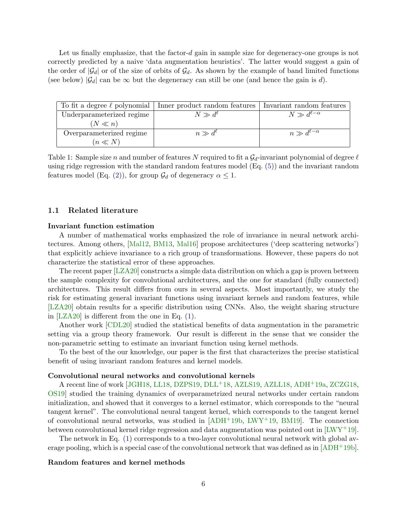Let us finally emphasize, that the factor- $d$  gain in sample size for degeneracy-one groups is not correctly predicted by a naive 'data augmentation heuristics'. The latter would suggest a gain of the order of  $|\mathcal{G}_d|$  or of the size of orbits of  $\mathcal{G}_d$ . As shown by the example of band limited functions (see below)  $|\mathcal{G}_d|$  can be  $\infty$  but the degeneracy can still be one (and hence the gain is d).

|                           | To fit a degree $\ell$ polynomial   Inner product random features | Invariant random features |
|---------------------------|-------------------------------------------------------------------|---------------------------|
| Underparameterized regime | $N \gg d^{\ell}$                                                  | $N \gg d^{\ell-\alpha}$   |
| $(N \ll n)$               |                                                                   |                           |
| Overparameterized regime  | $n \gg d^{\ell}$                                                  | $n \gg d^{\ell-\alpha}$   |
| $(n \ll N)$               |                                                                   |                           |

<span id="page-5-1"></span>Table 1: Sample size n and number of features N required to fit a  $\mathcal{G}_d$ -invariant polynomial of degree  $\ell$ using ridge regression with the standard random features model (Eq. [\(5\)](#page-4-0)) and the invariant random features model (Eq. [\(2\)](#page-3-0)), for group  $\mathcal{G}_d$  of degeneracy  $\alpha \leq 1$ .

#### <span id="page-5-0"></span>1.1 Related literature

### Invariant function estimation

A number of mathematical works emphasized the role of invariance in neural network architectures. Among others, [\[Mal12,](#page-15-2) [BM13,](#page-14-0) [Mal16\]](#page-15-3) propose architectures ('deep scattering networks') that explicitly achieve invariance to a rich group of transformations. However, these papers do not characterize the statistical error of these approaches.

The recent paper [\[LZA20\]](#page-15-4) constructs a simple data distribution on which a gap is proven between the sample complexity for convolutional architectures, and the one for standard (fully connected) architectures. This result differs from ours in several aspects. Most importantly, we study the risk for estimating general invariant functions using invariant kernels and random features, while [\[LZA20\]](#page-15-4) obtain results for a specific distribution using CNNs. Also, the weight sharing structure in [\[LZA20\]](#page-15-4) is different from the one in Eq. [\(1\)](#page-2-1).

Another work [\[CDL20\]](#page-14-1) studied the statistical benefits of data augmentation in the parametric setting via a group theory framework. Our result is different in the sense that we consider the non-parametric setting to estimate an invariant function using kernel methods.

To the best of the our knowledge, our paper is the first that characterizes the precise statistical benefit of using invariant random features and kernel models.

## Convolutional neural networks and convolutional kernels

A recent line of work [\[JGH18,](#page-15-5) [LL18,](#page-15-6) [DZPS19,](#page-14-2) [DLL](#page-14-3)+18, [AZLS19,](#page-14-4) [AZLL18,](#page-14-5) [ADH](#page-13-0)+19a, [ZCZG18,](#page-16-0) [OS19\]](#page-16-1) studied the training dynamics of overparametrized neural networks under certain random initialization, and showed that it converges to a kernel estimator, which corresponds to the "neural tangent kernel". The convolutional neural tangent kernel, which corresponds to the tangent kernel of convolutional neural networks, was studied in  $[ADH^+19b, LWY^+19, BM19]$  $[ADH^+19b, LWY^+19, BM19]$  $[ADH^+19b, LWY^+19, BM19]$  $[ADH^+19b, LWY^+19, BM19]$ . The connection between convolutional kernel ridge regression and data augmentation was pointed out in [\[LWY](#page-15-1)+19].

The network in Eq. [\(1\)](#page-2-1) corresponds to a two-layer convolutional neural network with global average pooling, which is a special case of the convolutional network that was defined as in [\[ADH](#page-14-6)+19b].

#### Random features and kernel methods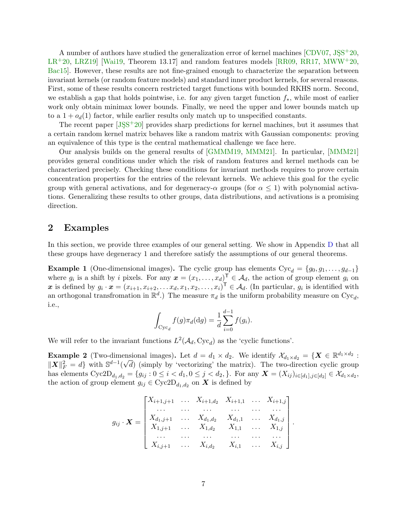A number of authors have studied the generalization error of kernel machines  $\lbrack CDV07, JSS^+20, \rbrack$  $LR+20$  $LR+20$ ,  $LRZ19$  Wai19, Theorem 13.17 and random features models  $RR09$ ,  $RR17$ ,  $MWW+20$  $MWW+20$ , [Bac15\]](#page-14-9). However, these results are not fine-grained enough to characterize the separation between invariant kernels (or random feature models) and standard inner product kernels, for several reasons. First, some of these results concern restricted target functions with bounded RKHS norm. Second, we establish a gap that holds pointwise, i.e. for any given target function f∗, while most of earlier work only obtain minimax lower bounds. Finally, we need the upper and lower bounds match up to a  $1 + o_d(1)$  factor, while earlier results only match up to unspecified constants.

The recent paper  $[JSS+20]$  provides sharp predictions for kernel machines, but it assumes that a certain random kernel matrix behaves like a random matrix with Gaussian components: proving an equivalence of this type is the central mathematical challenge we face here.

Our analysis builds on the general results of [\[GMMM19,](#page-14-10) [MMM21\]](#page-15-11). In particular, [\[MMM21\]](#page-15-11) provides general conditions under which the risk of random features and kernel methods can be characterized precisely. Checking these conditions for invariant methods requires to prove certain concentration properties for the entries of the relevant kernels. We achieve this goal for the cyclic group with general activations, and for degeneracy- $\alpha$  groups (for  $\alpha \leq 1$ ) with polynomial activations. Generalizing these results to other groups, data distributions, and activations is a promising direction.

## <span id="page-6-0"></span>2 Examples

In this section, we provide three examples of our general setting. We show in Appendix [D](#page-30-1) that all these groups have degeneracy 1 and therefore satisfy the assumptions of our general theorems.

<span id="page-6-1"></span>**Example 1** (One-dimensional images). The cyclic group has elements  $Cyc_d = \{g_0, g_1, \ldots, g_{d-1}\}\$ where  $g_i$  is a shift by i pixels. For any  $\boldsymbol{x} = (x_1, \ldots, x_d)^\mathsf{T} \in \mathcal{A}_d$ , the action of group element  $g_i$  on x is defined by  $g_i \cdot x = (x_{i+1}, x_{i+2}, \ldots, x_d, x_1, x_2, \ldots, x_i)^\mathsf{T} \in \mathcal{A}_d$ . (In particular,  $g_i$  is identified with an orthogonal transfromation in  $\mathbb{R}^d$ .) The measure  $\pi_d$  is the uniform probability measure on  $Cyc_d$ , i.e.,

$$
\int_{\text{Cyc}_d} f(g)\pi_d(\text{d}g) = \frac{1}{d} \sum_{i=0}^{d-1} f(g_i).
$$

We will refer to the invariant functions  $L^2(\mathcal{A}_d, \text{Cyc}_d)$  as the 'cyclic functions'.

<span id="page-6-2"></span>**Example 2** (Two-dimensional images). Let  $d = d_1 \times d_2$ . We identify  $\mathcal{X}_{d_1 \times d_2} = \{ \mathbf{X} \in \mathbb{R}^{d_1 \times d_2} :$  $||\boldsymbol{X}||_F^2 = d$  with  $\mathbb{S}^{d-1}(\sqrt{d})$  (simply by 'vectorizing' the matrix). The two-direction cyclic group has elements  $Cyc2D_{d_1,d_2} = \{g_{ij} : 0 \le i < d_1, 0 \le j < d_2, \}$ . For any  $\mathbf{X} = (X_{ij})_{i \in [d_1], j \in [d_2]} \in \mathcal{X}_{d_1 \times d_2}$ , the action of group element  $g_{ij} \in \text{Cyc2D}_{d_1, d_2}$  on **X** is defined by

$$
g_{ij} \cdot \mathbf{X} = \begin{bmatrix} X_{i+1,j+1} & \cdots & X_{i+1,d_2} & X_{i+1,1} & \cdots & X_{i+1,j} \\ \cdots & \cdots & \cdots & \cdots & \cdots \\ X_{d_1,j+1} & \cdots & X_{d_1,d_2} & X_{d_1,1} & \cdots & X_{d_1,j} \\ X_{1,j+1} & \cdots & X_{1,d_2} & X_{1,1} & \cdots & X_{1,j} \\ \cdots & \cdots & \cdots & \cdots & \cdots & \cdots \\ X_{i,j+1} & \cdots & X_{i,d_2} & X_{i,1} & \cdots & X_{i,j} \end{bmatrix}.
$$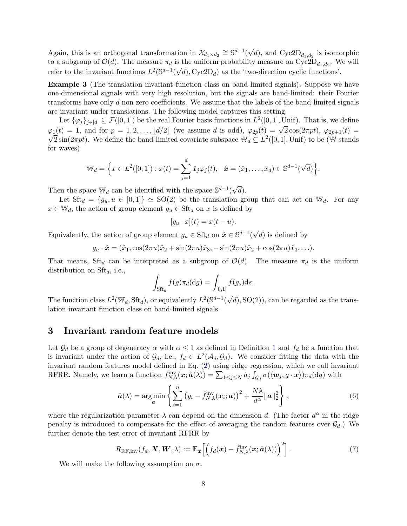Again, this is an orthogonal transformation in  $\mathcal{X}_{d_1 \times d_2} \cong \mathbb{S}^{d-1}$ √ d), and  $Cyc2D_{d_1,d_2}$  is isomorphic to a subgroup of  $\mathcal{O}(d)$ . The measure  $\pi_d$  is the uniform probability measure on  $Cyc2D_{d_1,d_2}$ . We will refer to the invariant functions  $L^2(\mathbb{S}^{d-1}(\sqrt{d}), \text{Cyc2D}_d)$  as the 'two-direction cyclic functions'.

<span id="page-7-1"></span>Example 3 (The translation invariant function class on band-limited signals). Suppose we have one-dimensional signals with very high resolution, but the signals are band-limited: their Fourier transforms have only  $d$  non-zero coefficients. We assume that the labels of the band-limited signals are invariant under translations. The following model captures this setting.

Let  $\{\varphi_j\}_{j\in[d]} \subseteq \mathcal{F}([0,1])$  be the real Fourier basis functions in  $L^2([0,1], \text{Unif})$ . That is, we define Let  $\{\varphi_j f_j \in [d] \subseteq \mathcal{F}([0,1])\}$  be the real rounder basis functions in  $L^1([0,1], \text{om})$ . That is, we define<br>  $\varphi_1(t) = 1$ , and for  $p = 1, 2, ..., \lfloor d/2 \rfloor$  (we assume d is odd),  $\varphi_{2p}(t) = \sqrt{2} \cos(2\pi pt), \varphi_{2p+1}(t) =$  $\overline{2} \sin(2\pi pt)$ . We define the band-limited covariate subspace  $\mathbb{W}_d \subseteq L^2([0,1], \text{Unif})$  to be (W stands for waves)

$$
\mathbb{W}_d = \Big\{ x \in L^2([0,1]) : x(t) = \sum_{j=1}^d \hat{x}_j \varphi_j(t), \; \; \hat{\bm{x}} = (\hat{x}_1, \dots, \hat{x}_d) \in \mathbb{S}^{d-1}(\sqrt{d}) \Big\}.
$$

Then the space  $\mathbb{W}_d$  can be identified with the space  $\mathbb{S}^{d-1}$ ( √ d).

Let  $St_{d} = \{g_u, u \in [0,1]\} \simeq SO(2)$  be the translation group that can act on  $\mathbb{W}_{d}$ . For any  $x \in \mathbb{W}_d$ , the action of group element  $g_u \in \text{Sft}_d$  on x is defined by

$$
[g_u \cdot x](t) = x(t - u).
$$

Equivalently, the action of group element  $g_u \in \text{Sft}_d$  on  $\hat{\boldsymbol{x}} \in \mathbb{S}^{d-1}$ √ d) is defined by

$$
g_u \cdot \hat{\bm{x}} = (\hat{x}_1, \cos(2\pi u)\hat{x}_2 + \sin(2\pi u)\hat{x}_3, -\sin(2\pi u)\hat{x}_2 + \cos(2\pi u)\hat{x}_3, \ldots).
$$

That means, Sft<sub>d</sub> can be interpreted as a subgroup of  $\mathcal{O}(d)$ . The measure  $\pi_d$  is the uniform distribution on  $Stt_d$ , i.e.,

$$
\int_{\operatorname{Sft}_d} f(g)\pi_d(\mathrm{d}g) = \int_{[0,1]} f(g_s)\mathrm{d}s.
$$

The function class  $L^2(\mathbb{W}_d, \text{Sft}_d)$ , or equivalently  $L^2(\mathbb{S}^{d-1})$  $(d)$ , SO $(2)$ ), can be regarded as the translation invariant function class on band-limited signals.

## <span id="page-7-0"></span>3 Invariant random feature models

Let  $\mathcal{G}_d$  be a group of degeneracy  $\alpha$  with  $\alpha \leq 1$  $\alpha \leq 1$  as defined in Definition 1 and  $f_d$  be a function that is invariant under the action of  $\mathcal{G}_d$ , i.e.,  $f_d \in L^2(\mathcal{A}_d, \mathcal{G}_d)$ . We consider fitting the data with the invariant random features model defined in Eq. [\(2\)](#page-3-0) using ridge regression, which we call invariant RFRR. Namely, we learn a function  $\hat{f}_{N,\lambda}^{\text{inv}}(\boldsymbol{x}; \hat{\boldsymbol{a}}(\lambda)) = \sum_{1 \leq j \leq N} \hat{a}_j \int_{\mathcal{G}_d} \sigma(\langle \boldsymbol{w}_j, g \cdot \boldsymbol{x} \rangle) \pi_d(\text{d}g)$  with

<span id="page-7-3"></span>
$$
\hat{\boldsymbol{a}}(\lambda) = \arg\min_{\boldsymbol{a}} \left\{ \sum_{i=1}^{n} \left( y_i - \hat{f}_{N,\lambda}^{\text{inv}}(\boldsymbol{x}_i; \boldsymbol{a}) \right)^2 + \frac{N\lambda}{d^{\alpha}} ||\boldsymbol{a}||_2^2 \right\},
$$
\n(6)

where the regularization parameter  $\lambda$  can depend on the dimension d. (The factor  $d^{\alpha}$  in the ridge penalty is introduced to compensate for the effect of averaging the random features over  $\mathcal{G}_d$ .) We further denote the test error of invariant RFRR by

<span id="page-7-2"></span>
$$
R_{\rm RF,inv}(f_d, \mathbf{X}, \mathbf{W}, \lambda) := \mathbb{E}_{\mathbf{x}} \left[ \left( f_d(\mathbf{x}) - \hat{f}_{N,\lambda}^{\rm inv}(\mathbf{x}; \hat{\mathbf{a}}(\lambda)) \right)^2 \right]. \tag{7}
$$

We will make the following assumption on  $\sigma$ .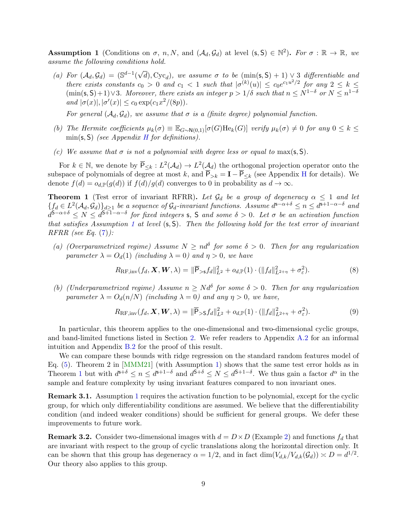<span id="page-8-1"></span>**Assumption 1** (Conditions on  $\sigma$ , n, N, and  $(\mathcal{A}_d, \mathcal{G}_d)$  at level  $(s, S) \in \mathbb{N}^2$ ). For  $\sigma : \mathbb{R} \to \mathbb{R}$ , we assume the following conditions hold.

(a) For  $(\mathcal{A}_d, \mathcal{G}_d) = (\mathbb{S}^{d-1})$ √ d), Cyc<sub>d</sub>), we assume  $\sigma$  to be  $(\min(s, S) + 1) \vee 3$  differentiable and there exists constants  $c_0 > 0$  and  $c_1 < 1$  such that  $|\sigma^{(k)}(u)| \leq c_0 e^{c_1 u^2/2}$  for any  $2 \leq k \leq$  $(\min(s, S) + 1) \vee 3$ . Moreover, there exists an integer  $p > 1/\delta$  such that  $n \le N^{1-\delta}$  or  $N \le n^{1-\delta}$ and  $|\sigma(x)|, |\sigma'(x)| \leq c_0 \exp(c_1 x^2/(8p)).$ 

For general  $(\mathcal{A}_d, \mathcal{G}_d)$ , we assume that  $\sigma$  is a (finite degree) polynomial function.

- (b) The Hermite coefficients  $\mu_k(\sigma) \equiv \mathbb{E}_{G \sim N(0,1)}[\sigma(G)He_k(G)]$  verify  $\mu_k(\sigma) \neq 0$  for any  $0 \leq k \leq$  $min(s, S)$  (see Appendix [H](#page-57-0) for definitions).
- (c) We assume that  $\sigma$  is not a polynomial with degree less or equal to max(s, S).

For  $k \in \mathbb{N}$ , we denote by  $\overline{P}_{\leq k}: L^2(\mathcal{A}_d) \to L^2(\mathcal{A}_d)$  the orthogonal projection operator onto the subspace of polynomials of degree at most k, and  $\overline{P}_{>k} = I - \overline{P}_{\leq k}$  (see Appendix [H](#page-57-0) for details). We denote  $f(d) = o_{d,\mathbb{P}}(g(d))$  if  $f(d)/g(d)$  converges to 0 in probability as  $d \to \infty$ .

<span id="page-8-0"></span>**Theorem 1** (Test error of invariant RFRR). Let  $\mathcal{G}_d$  be a group of degeneracy  $\alpha \leq 1$  and let  ${f_d \in L^2(\mathcal{A}_d, \mathcal{G}_d)}_{d\geq 1}$  be a sequence of  $\mathcal{G}_d$ -invariant functions. Assume  $d^{s-\alpha+\delta} \leq n \leq d^{s+1-\alpha-\delta}$  and  $d^{\mathsf{S}-\alpha+\delta} \leq N \leq d^{\mathsf{S}+\overline{1}-\alpha-\delta}$  for fixed integers s, S and some  $\delta > 0$ . Let  $\sigma$  be an activation function that satisfies Assumption [1](#page-8-1) at level  $(s, S)$ . Then the following hold for the test error of invariant  $RFRR$  (see Eq.  $(7)$ ):

(a) (Overparametrized regime) Assume  $N \geq nd^{\delta}$  for some  $\delta > 0$ . Then for any regularization parameter  $\lambda = O_d(1)$  (including  $\lambda = 0$ ) and  $\eta > 0$ , we have

$$
R_{\mathrm{RF,inv}}(f_d, \mathbf{X}, \mathbf{W}, \lambda) = \|\overline{\mathsf{P}}_{>s} f_d\|_{L^2}^2 + o_{d,\mathbb{P}}(1) \cdot (\|f_d\|_{L^{2+\eta}}^2 + \sigma_{\varepsilon}^2). \tag{8}
$$

(b) (Underparametrized regime) Assume  $n \geq N d^{\delta}$  for some  $\delta > 0$ . Then for any regularization parameter  $\lambda = O_d(n/N)$  (including  $\lambda = 0$ ) and any  $\eta > 0$ , we have,

$$
R_{\rm RF,inv}(f_d, \mathbf{X}, \mathbf{W}, \lambda) = \|\overline{\mathsf{P}}_{>S} f_d\|_{L^2}^2 + o_{d,\mathbb{P}}(1) \cdot (\|f_d\|_{L^{2+\eta}}^2 + \sigma_{\varepsilon}^2). \tag{9}
$$

In particular, this theorem applies to the one-dimensional and two-dimensional cyclic groups, and band-limited functions listed in Section [2.](#page-6-0) We refer readers to Appendix [A.2](#page-17-2) for an informal intuition and Appendix [B.2](#page-23-2) for the proof of this result.

We can compare these bounds with ridge regression on the standard random features model of Eq.  $(5)$ . Theorem 2 in [\[MMM21\]](#page-15-11) (with Assumption [1\)](#page-8-1) shows that the same test error holds as in Theorem [1](#page-8-0) but with  $d^{s+\delta} \leq n \leq d^{s+1-\delta}$  and  $d^{s+\delta} \leq N \leq d^{s+1-\delta}$ . We thus gain a factor  $d^{\alpha}$  in the sample and feature complexity by using invariant features compared to non invariant ones.

Remark 3.1. Assumption [1](#page-8-1) requires the activation function to be polynomial, except for the cyclic group, for which only differentiability conditions are assumed. We believe that the differentiability condition (and indeed weaker conditions) should be sufficient for general groups. We defer these improvements to future work.

**Remark 3.2.** Consider two-dimensional images with  $d = D \times D$  (Example [2\)](#page-6-2) and functions  $f_d$  that are invariant with respect to the group of cyclic translations along the horizontal direction only. It can be shown that this group has degeneracy  $\alpha = 1/2$ , and in fact  $\dim(V_{d,k}/V_{d,k}(\mathcal{G}_d)) \asymp D = d^{1/2}$ . Our theory also applies to this group.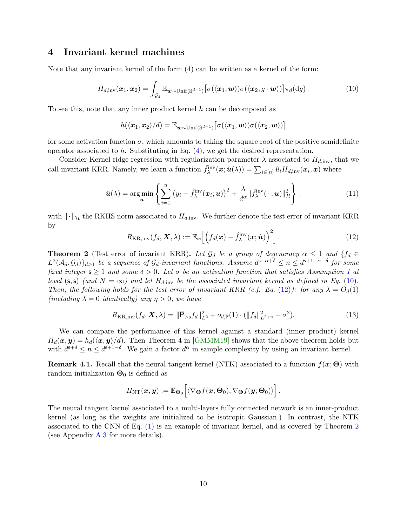# <span id="page-9-0"></span>4 Invariant kernel machines

Note that any invariant kernel of the form [\(4\)](#page-3-2) can be written as a kernel of the form:

<span id="page-9-2"></span>
$$
H_{d,\text{inv}}(\boldsymbol{x}_1,\boldsymbol{x}_2)=\int_{\mathcal{G}_d}\mathbb{E}_{\boldsymbol{w}\sim\text{Unif}(\mathbb{S}^{d-1})}\big[\sigma(\langle\boldsymbol{x}_1,\boldsymbol{w}\rangle)\sigma(\langle\boldsymbol{x}_2,g\cdot\boldsymbol{w}\rangle)\big]\pi_d(\mathrm{d}g). \hspace{1cm} (10)
$$

To see this, note that any inner product kernel h can be decomposed as

$$
h(\langle \bm{x}_1, \bm{x}_2 \rangle/d) = \mathbb{E}_{\bm{w} \sim \text{Unif}(\mathbb{S}^{d-1})} \big[ \sigma(\langle \bm{x}_1, \bm{w} \rangle) \sigma(\langle \bm{x}_2, \bm{w} \rangle) \big]
$$

for some activation function  $\sigma$ , which amounts to taking the square root of the positive semidefinite operator associated to h. Substituting in Eq.  $(4)$ , we get the desired representation.

Consider Kernel ridge regression with regularization parameter  $\lambda$  associated to  $H_{d,\text{inv}}$ , that we call invariant KRR. Namely, we learn a function  $\hat{f}_{\lambda}^{\text{inv}}(\boldsymbol{x};\hat{\boldsymbol{u}}(\lambda)) = \sum_{i \in [n]} \hat{u}_i H_{d,\text{inv}}(\boldsymbol{x}_i, \boldsymbol{x})$  where

<span id="page-9-4"></span>
$$
\hat{\boldsymbol{u}}(\lambda) = \underset{\boldsymbol{u}}{\arg\min} \left\{ \sum_{i=1}^{n} \left( y_i - \hat{f}_{\lambda}^{\text{inv}}(\boldsymbol{x}_i; \boldsymbol{u}) \right)^2 + \frac{\lambda}{d^{\alpha}} \| \hat{f}_{\lambda}^{\text{inv}}(\cdot; \boldsymbol{u}) \|_{\mathcal{H}}^2 \right\}.
$$
 (11)

with  $\|\cdot\|_{\mathcal{H}}$  the RKHS norm associated to  $H_{d,\text{inv}}$ . We further denote the test error of invariant KRR by

<span id="page-9-3"></span>
$$
R_{\text{KR,inv}}(f_d, \mathbf{X}, \lambda) := \mathbb{E}_{\mathbf{x}} \left[ \left( f_d(\mathbf{x}) - \hat{f}_{\lambda}^{\text{inv}}(\mathbf{x}; \hat{\mathbf{u}}) \right)^2 \right]. \tag{12}
$$

<span id="page-9-1"></span>**Theorem 2** (Test error of invariant KRR). Let  $\mathcal{G}_d$  be a group of degeneracy  $\alpha \leq 1$  and  $\{f_d \in$  $L^2(A_d, \mathcal{G}_d)$ <sub>d</sub> $\geq 1$  be a sequence of  $\mathcal{G}_d$ -invariant functions. Assume  $d^{\mathsf{s}-\alpha+\delta} \leq n \leq d^{\mathsf{s}+1-\alpha-\delta}$  for some fixed integer  $s \ge 1$  $s \ge 1$  and some  $\delta > 0$ . Let  $\sigma$  be an activation function that satisfies Assumption 1 at level (s, s) (and  $N = \infty$ ) and let  $H_{d,inv}$  be the associated invariant kernel as defined in Eq. [\(10\)](#page-9-2). Then, the following holds for the test error of invariant KRR (c.f. Eq. [\(12\)](#page-9-3)): for any  $\lambda = O_d(1)$ (including  $\lambda = 0$  identically) any  $\eta > 0$ , we have

$$
R_{\text{KR,inv}}(f_d, \mathbf{X}, \lambda) = \|\overline{\mathsf{P}}_{>s} f_d\|_{L^2}^2 + o_{d,\mathbb{P}}(1) \cdot (\|f_d\|_{L^{2+\eta}}^2 + \sigma_{\varepsilon}^2). \tag{13}
$$

We can compare the performance of this kernel against a standard (inner product) kernel  $H_d(\bm{x}, \bm{y}) = h_d(\langle \bm{x}, \bm{y} \rangle/d)$ . Then Theorem 4 in [\[GMMM19\]](#page-14-10) shows that the above theorem holds but with  $d^{s+\delta} \leq n \leq d^{s+1-\delta}$ . We gain a factor  $d^{\alpha}$  in sample complexity by using an invariant kernel.

**Remark 4.1.** Recall that the neural tangent kernel (NTK) associated to a function  $f(x; \Theta)$  with random initialization  $\Theta_0$  is defined as

$$
H_{\rm NT}(\boldsymbol{x},\boldsymbol{y}):=\mathbb{E}_{\boldsymbol{\Theta}_0}\Big[\langle\nabla_{\boldsymbol{\Theta}}f(\boldsymbol{x};\boldsymbol{\Theta}_0),\nabla_{\boldsymbol{\Theta}}f(\boldsymbol{y};\boldsymbol{\Theta}_0)\rangle\Big].
$$

The neural tangent kernel associated to a multi-layers fully connected network is an inner-product kernel (as long as the weights are initialized to be isotropic Gaussian.) In contrast, the NTK associated to the CNN of Eq. [\(1\)](#page-2-1) is an example of invariant kernel, and is covered by Theorem [2](#page-9-1) (see Appendix [A.3](#page-18-0) for more details).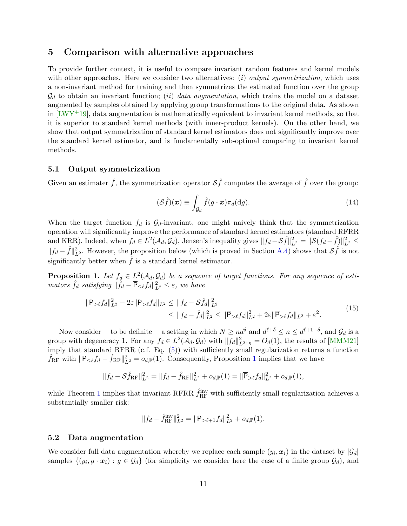## <span id="page-10-0"></span>5 Comparison with alternative approaches

To provide further context, it is useful to compare invariant random features and kernel models with other approaches. Here we consider two alternatives:  $(i)$  *output symmetrization*, which uses a non-invariant method for training and then symmetrizes the estimated function over the group  $\mathcal{G}_d$  to obtain an invariant function; *(ii) data augmentation*, which trains the model on a dataset augmented by samples obtained by applying group transformations to the original data. As shown in  $[LWY^+19]$ , data augmentation is mathematically equivalent to invariant kernel methods, so that it is superior to standard kernel methods (with inner-product kernels). On the other hand, we show that output symmetrization of standard kernel estimators does not significantly improve over the standard kernel estimator, and is fundamentally sub-optimal comparing to invariant kernel methods.

## <span id="page-10-1"></span>5.1 Output symmetrization

Given an estimater  $\hat{f}$ , the symmetrization operator  $\mathcal{S}\hat{f}$  computes the average of  $\hat{f}$  over the group:

$$
(\mathcal{S}\hat{f})(\boldsymbol{x}) \equiv \int_{\mathcal{G}_d} \hat{f}(g \cdot \boldsymbol{x}) \pi_d(\mathrm{d}g). \tag{14}
$$

When the target function  $f_d$  is  $\mathcal{G}_d$ -invariant, one might naively think that the symmetrization operation will significantly improve the performance of standard kernel estimators (standard RFRR and KRR). Indeed, when  $f_d \in L^2(\mathcal{A}_d, \mathcal{G}_d)$ , Jensen's inequality gives  $||f_d - S\hat{f}||_{L^2}^2 = ||\mathcal{S}(f_d - \hat{f})||_{L^2}^2 \le$  $|| f_d - \hat{f} ||_{L^2}^2$ . However, the proposition below (which is proved in Section [A.4\)](#page-19-0) shows that  $S\hat{f}$  is not significantly better when  $f$  is a standard kernel estimator.

<span id="page-10-3"></span>**Proposition 1.** Let  $f_d \in L^2(\mathcal{A}_d, \mathcal{G}_d)$  be a sequence of target functions. For any sequence of estimators  $\hat{f}_d$  satisfying  $\|\hat{f}_d - \overline{\mathsf{P}}_{\leq \ell} f_d\|_{L^2}^2 \leq \varepsilon$ , we have

$$
\|\overline{\mathsf{P}}_{\geq \ell} f_d\|_{L^2}^2 - 2\varepsilon \|\overline{\mathsf{P}}_{\geq \ell} f_d\|_{L^2} \leq \|f_d - \mathcal{S}\hat{f}_d\|_{L^2}^2 \leq \|f_d - \hat{f}_d\|_{L^2}^2 \leq \|\overline{\mathsf{P}}_{\geq \ell} f_d\|_{L^2}^2 + 2\varepsilon \|\overline{\mathsf{P}}_{\geq \ell} f_d\|_{L^2} + \varepsilon^2.
$$
\n(15)

Now consider —to be definite— a setting in which  $N \ge nd^{\delta}$  and  $d^{\ell+\delta} \le n \le d^{\ell+1-\delta}$ , and  $\mathcal{G}_d$  is a group with degeneracy 1. For any  $f_d \in L^2(\mathcal{A}_d, \mathcal{G}_d)$  with  $||f_d||^2_{L^{2+\eta}} = O_d(1)$ , the results of [\[MMM21\]](#page-15-11) imply that standard RFRR (c.f. Eq. [\(5\)](#page-4-0)) with sufficiently small regularization returns a function  $\hat{f}_{\rm RF}$  with  $\|\overline{\mathsf{P}}_{\leq \ell} f_d - \hat{f}_{\rm RF}\|_{L^2}^2 = o_{d,\mathbb{P}}(1)$  $\|\overline{\mathsf{P}}_{\leq \ell} f_d - \hat{f}_{\rm RF}\|_{L^2}^2 = o_{d,\mathbb{P}}(1)$  $\|\overline{\mathsf{P}}_{\leq \ell} f_d - \hat{f}_{\rm RF}\|_{L^2}^2 = o_{d,\mathbb{P}}(1)$ . Consequently, Proposition 1 implies that we have

$$
||f_d - S\hat{f}_{\text{RF}}||_{L^2}^2 = ||f_d - \hat{f}_{\text{RF}}||_{L^2}^2 + o_{d,\mathbb{P}}(1) = ||\overline{P}_{> \ell}f_d||_{L^2}^2 + o_{d,\mathbb{P}}(1),
$$

while Theorem [1](#page-8-0) implies that invariant RFRR  $\hat{f}_{\rm RF}^{\rm inv}$  with sufficiently small regularization achieves a substantially smaller risk:

$$
||f_d - \hat{f}_{\rm RF}^{\rm inv}||_{L^2}^2 = ||\overline{\mathsf{P}}_{\gt \ell+1} f_d||_{L^2}^2 + o_{d,\mathbb{P}}(1).
$$

#### <span id="page-10-2"></span>5.2 Data augmentation

We consider full data augmentation whereby we replace each sample  $(y_i, x_i)$  in the dataset by  $|\mathcal{G}_d|$ samples  $\{(y_i, g \cdot x_i) : g \in \mathcal{G}_d\}$  (for simplicity we consider here the case of a finite group  $\mathcal{G}_d$ ), and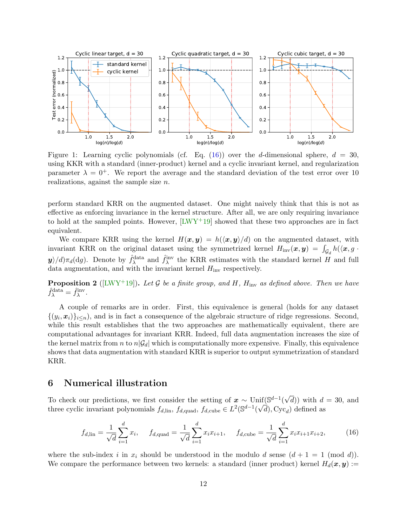

<span id="page-11-2"></span>Figure 1: Learning cyclic polynomials (cf. Eq. [\(16\)](#page-11-1)) over the d-dimensional sphere,  $d = 30$ , using KKR with a standard (inner-product) kernel and a cyclic invariant kernel, and regularization parameter  $\lambda = 0^+$ . We report the average and the standard deviation of the test error over 10 realizations, against the sample size n.

perform standard KRR on the augmented dataset. One might naively think that this is not as effective as enforcing invariance in the kernel structure. After all, we are only requiring invariance to hold at the sampled points. However,  $[LWY^+19]$  showed that these two approaches are in fact equivalent.

We compare KRR using the kernel  $H(x, y) = h(\langle x, y \rangle / d)$  on the augmented dataset, with invariant KRR on the original dataset using the symmetrized kernel  $H_{\text{inv}}(\bm{x}, \bm{y}) = \int_{\mathcal{G}_d} h(\langle \bm{x}, g \cdot$  $y/d\pi_d(\text{d}g)$ . Denote by  $\hat{f}^{\text{data}}_{\lambda}$  and  $\hat{f}^{\text{inv}}_{\lambda}$  the KRR estimates with the standard kernel H and full data augmentation, and with the invariant kernel  $H_{\text{inv}}$  respectively.

**Proposition 2** ([\[LWY](#page-15-1)+19]). Let G be a finite group, and H,  $H_{\text{inv}}$  as defined above. Then we have  $\hat{f}_{\lambda}^{\text{data}} = \hat{f}_{\lambda}^{\text{inv}}.$ 

A couple of remarks are in order. First, this equivalence is general (holds for any dataset  $\{(y_i, x_i)\}_{i \leq n}$ , and is in fact a consequence of the algebraic structure of ridge regressions. Second, while this result establishes that the two approaches are mathematically equivalent, there are computational advantages for invariant KRR. Indeed, full data augmentation increases the size of the kernel matrix from n to  $n|\mathcal{G}_d|$  which is computationally more expensive. Finally, this equivalence shows that data augmentation with standard KRR is superior to output symmetrization of standard KRR.

# <span id="page-11-0"></span>6 Numerical illustration

To check our predictions, we first consider the setting of  $x \sim \text{Unif}(\mathbb{S}^{d-1})$ √  $\inf_{\mathcal{A}} (\mathbb{S}^{d-1}(\sqrt{d}))$  with  $d = 30$ , and three cyclic invariant polynomials  $f_{d,\text{lin}}$ ,  $f_{d,\text{quad}}$ ,  $f_{d,\text{cube}} \in L^2(\mathbb{S}^{d-1}(\sqrt{d}), \text{Cyc}_d)$  defined as

<span id="page-11-1"></span>
$$
f_{d,\text{lin}} = \frac{1}{\sqrt{d}} \sum_{i=1}^{d} x_i, \quad f_{d,\text{quad}} = \frac{1}{\sqrt{d}} \sum_{i=1}^{d} x_i x_{i+1}, \quad f_{d,\text{cube}} = \frac{1}{\sqrt{d}} \sum_{i=1}^{d} x_i x_{i+1} x_{i+2}, \quad (16)
$$

where the sub-index i in  $x_i$  should be understood in the modulo d sense  $(d + 1 = 1 \pmod{d})$ . We compare the performance between two kernels: a standard (inner product) kernel  $H_d(\mathbf{x}, \mathbf{y})$  :=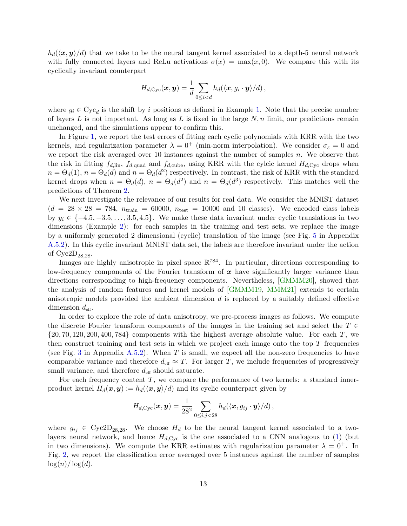$h_d(\langle x, y \rangle/d)$  that we take to be the neural tangent kernel associated to a depth-5 neural network with fully connected layers and ReLu activations  $\sigma(x) = \max(x, 0)$ . We compare this with its cyclically invariant counterpart

$$
H_{d, \text{Cyc}}(\boldsymbol{x}, \boldsymbol{y}) = \frac{1}{d} \sum_{0 \leq i < d} h_d(\langle \boldsymbol{x}, g_i \cdot \boldsymbol{y} \rangle / d),
$$

where  $g_i \in Cyc_d$  is the shift by i positions as defined in Example [1.](#page-6-1) Note that the precise number of layers L is not important. As long as L is fixed in the large  $N, n$  limit, our predictions remain unchanged, and the simulations appear to confirm this.

In Figure [1,](#page-11-2) we report the test errors of fitting each cyclic polynomials with KRR with the two kernels, and regularization parameter  $\lambda = 0^+$  (min-norm interpolation). We consider  $\sigma_{\varepsilon} = 0$  and we report the risk averaged over  $10$  instances against the number of samples  $n$ . We observe that the risk in fitting  $f_{d,\text{lin}}$ ,  $f_{d,\text{quad}}$  and  $f_{d,\text{cube}}$ , using KRR with the cylcic kernel  $H_{d,\text{Cyc}}$  drops when  $n = \Theta_d(1)$ ,  $n = \Theta_d(d)$  and  $n = \Theta_d(d^2)$  respectively. In contrast, the risk of KRR with the standard kernel drops when  $n = \Theta_d(d)$ ,  $n = \Theta_d(d^2)$  and  $n = \Theta_d(d^3)$  respectively. This matches well the predictions of Theorem [2.](#page-9-1)

We next investigate the relevance of our results for real data. We consider the MNIST dataset  $(d = 28 \times 28 = 784, n_{\text{train}} = 60000, n_{\text{test}} = 10000 \text{ and } 10 \text{ classes}).$  We encoded class labels by  $y_i \in \{-4.5, -3.5, \ldots, 3.5, 4.5\}$ . We make these data invariant under cyclic translations in two dimensions (Example [2\)](#page-6-2): for each samples in the training and test sets, we replace the image by a uniformly generated 2 dimensional (cyclic) translation of the image (see Fig. [5](#page-22-0) in Appendix [A.5.2\)](#page-20-2). In this cyclic invariant MNIST data set, the labels are therefore invariant under the action of  $Cyc2D_{28,28}$ .

Images are highly anisotropic in pixel space  $\mathbb{R}^{784}$ . In particular, directions corresponding to low-frequency components of the Fourier transform of  $x$  have significantly larger variance than directions corresponding to high-frequency components. Nevertheless, [\[GMMM20\]](#page-14-11), showed that the analysis of random features and kernel models of [\[GMMM19,](#page-14-10) [MMM21\]](#page-15-11) extends to certain anisotropic models provided the ambient dimension  $d$  is replaced by a suitably defined effective dimension  $d_{\text{eff}}$ .

In order to explore the role of data anisotropy, we pre-process images as follows. We compute the discrete Fourier transform components of the images in the training set and select the  $T \in$  $\{20, 70, 120, 200, 400, 784\}$  components with the highest average absolute value. For each T, we then construct training and test sets in which we project each image onto the top  $T$  frequencies (see Fig. [3](#page-20-3) in Appendix [A.5.2\)](#page-20-2). When T is small, we expect all the non-zero frequencies to have comparable variance and therefore  $d_{\text{eff}} \approx T$ . For larger T, we include frequencies of progressively small variance, and therefore  $d_{\text{eff}}$  should saturate.

For each frequency content  $T$ , we compare the performance of two kernels: a standard innerproduct kernel  $H_d(\boldsymbol{x}, \boldsymbol{y}) := h_d(\langle \boldsymbol{x}, \boldsymbol{y} \rangle/d)$  and its cyclic counterpart given by

$$
H_{d,\text{Cyc}}(\boldsymbol{x},\boldsymbol{y}) = \frac{1}{28^2} \sum_{0 \leq i,j < 28} h_d(\langle \boldsymbol{x}, g_{ij} \cdot \boldsymbol{y} \rangle / d) \,,
$$

where  $g_{ij} \in \text{Cyc2D}_{28,28}$ . We choose  $H_d$  to be the neural tangent kernel associated to a twolayers neural network, and hence  $H_{d, \text{Cyc}}$  is the one associated to a CNN analogous to [\(1\)](#page-2-1) (but in two dimensions). We compute the KRR estimates with regularization parameter  $\lambda = 0^+$ . In Fig. [2,](#page-13-1) we report the classification error averaged over 5 instances against the number of samples  $\log(n)/\log(d)$ .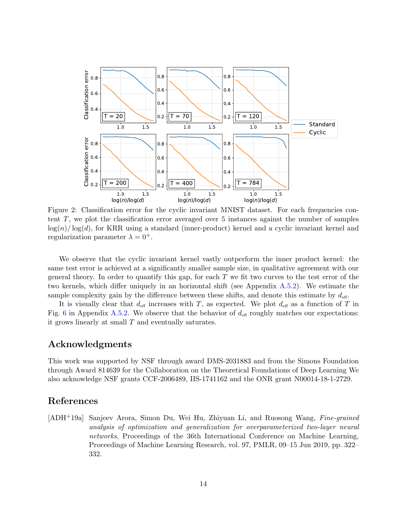

<span id="page-13-1"></span>Figure 2: Classification error for the cyclic invariant MNIST dataset. For each frequencies content T, we plot the classification error averaged over 5 instances against the number of samples  $log(n)/log(d)$ , for KRR using a standard (inner-product) kernel and a cyclic invariant kernel and regularization parameter  $\lambda = 0^+$ .

We observe that the cyclic invariant kernel vastly outperform the inner product kernel: the same test error is achieved at a significantly smaller sample size, in qualitative agreement with our general theory. In order to quantify this gap, for each  $T$  we fit two curves to the test error of the two kernels, which differ uniquely in an horizontal shift (see Appendix [A.5.2\)](#page-20-2). We estimate the sample complexity gain by the difference between these shifts, and denote this estimate by  $d_{\text{eff}}$ .

It is visually clear that  $d_{\text{eff}}$  increases with T, as expected. We plot  $d_{\text{eff}}$  as a function of T in Fig. [6](#page-22-1) in Appendix [A.5.2.](#page-20-2) We observe that the behavior of  $d_{\text{eff}}$  roughly matches our expectations: it grows linearly at small T and eventually saturates.

# Acknowledgments

This work was supported by NSF through award DMS-2031883 and from the Simons Foundation through Award 814639 for the Collaboration on the Theoretical Foundations of Deep Learning We also acknowledge NSF grants CCF-2006489, IIS-1741162 and the ONR grant N00014-18-1-2729.

# References

<span id="page-13-0"></span>[ADH+19a] Sanjeev Arora, Simon Du, Wei Hu, Zhiyuan Li, and Ruosong Wang, Fine-grained analysis of optimization and generalization for overparameterized two-layer neural networks, Proceedings of the 36th International Conference on Machine Learning, Proceedings of Machine Learning Research, vol. 97, PMLR, 09–15 Jun 2019, pp. 322– 332.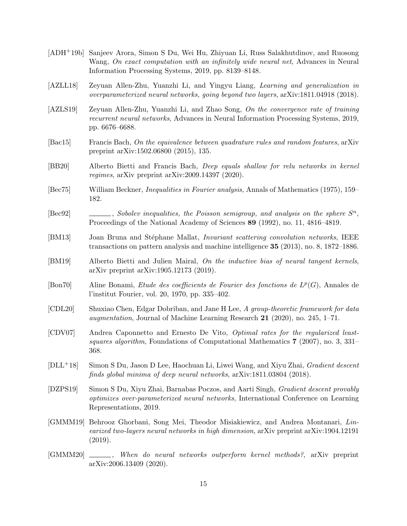- <span id="page-14-6"></span>[ADH+19b] Sanjeev Arora, Simon S Du, Wei Hu, Zhiyuan Li, Russ Salakhutdinov, and Ruosong Wang, On exact computation with an infinitely wide neural net, Advances in Neural Information Processing Systems, 2019, pp. 8139–8148.
- <span id="page-14-5"></span>[AZLL18] Zeyuan Allen-Zhu, Yuanzhi Li, and Yingyu Liang, Learning and generalization in overparameterized neural networks, going beyond two layers, arXiv:1811.04918 (2018).
- <span id="page-14-4"></span>[AZLS19] Zeyuan Allen-Zhu, Yuanzhi Li, and Zhao Song, On the convergence rate of training recurrent neural networks, Advances in Neural Information Processing Systems, 2019, pp. 6676–6688.
- <span id="page-14-9"></span>[Bac15] Francis Bach, On the equivalence between quadrature rules and random features, arXiv preprint arXiv:1502.06800 (2015), 135.
- <span id="page-14-12"></span>[BB20] Alberto Bietti and Francis Bach, Deep equals shallow for relu networks in kernel regimes, arXiv preprint arXiv:2009.14397 (2020).
- <span id="page-14-14"></span>[Bec75] William Beckner, *Inequalities in Fourier analysis*, Annals of Mathematics (1975), 159– 182.
- <span id="page-14-15"></span>[Bec92]  $\qquad \qquad \qquad$ , Sobolev inequalities, the Poisson semigroup, and analysis on the sphere  $S^n$ , Proceedings of the National Academy of Sciences 89 (1992), no. 11, 4816–4819.
- <span id="page-14-0"></span>[BM13] Joan Bruna and Stéphane Mallat, *Invariant scattering convolution networks*, IEEE transactions on pattern analysis and machine intelligence 35 (2013), no. 8, 1872–1886.
- <span id="page-14-7"></span>[BM19] Alberto Bietti and Julien Mairal, On the inductive bias of neural tangent kernels, arXiv preprint arXiv:1905.12173 (2019).
- <span id="page-14-13"></span>[Bon70] Aline Bonami, *Etude des coefficients de Fourier des fonctions de*  $L^p(G)$ , Annales de l'institut Fourier, vol. 20, 1970, pp. 335–402.
- <span id="page-14-1"></span>[CDL20] Shuxiao Chen, Edgar Dobriban, and Jane H Lee, A group-theoretic framework for data augmentation, Journal of Machine Learning Research 21 (2020), no. 245, 1–71.
- <span id="page-14-8"></span>[CDV07] Andrea Caponnetto and Ernesto De Vito, Optimal rates for the regularized leastsquares algorithm, Foundations of Computational Mathematics 7 (2007), no. 3, 331– 368.
- <span id="page-14-3"></span>[DLL+18] Simon S Du, Jason D Lee, Haochuan Li, Liwei Wang, and Xiyu Zhai, Gradient descent finds global minima of deep neural networks, arXiv:1811.03804 (2018).
- <span id="page-14-2"></span>[DZPS19] Simon S Du, Xiyu Zhai, Barnabas Poczos, and Aarti Singh, Gradient descent provably optimizes over-parameterized neural networks, International Conference on Learning Representations, 2019.
- <span id="page-14-10"></span>[GMMM19] Behrooz Ghorbani, Song Mei, Theodor Misiakiewicz, and Andrea Montanari, Linearized two-layers neural networks in high dimension, arXiv preprint arXiv:1904.12191 (2019).
- <span id="page-14-11"></span>[GMMM20] , When do neural networks outperform kernel methods?, arXiv preprint arXiv:2006.13409 (2020).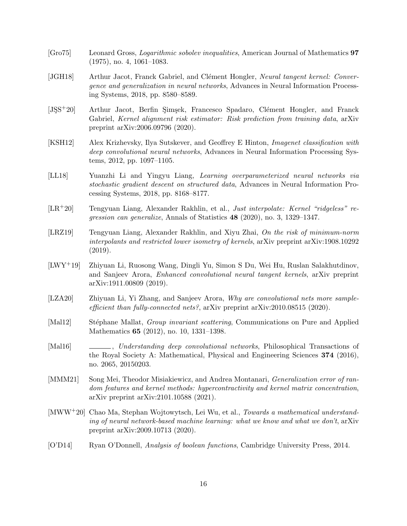- <span id="page-15-13"></span>[Gro75] Leonard Gross, Logarithmic sobolev inequalities, American Journal of Mathematics 97 (1975), no. 4, 1061–1083.
- <span id="page-15-5"></span>[JGH18] Arthur Jacot, Franck Gabriel, and Clément Hongler, Neural tangent kernel: Convergence and generalization in neural networks, Advances in Neural Information Processing Systems, 2018, pp. 8580–8589.
- <span id="page-15-7"></span>[JSS<sup>+</sup>20] Arthur Jacot, Berfin Simsek, Francesco Spadaro, Clément Hongler, and Franck Gabriel, Kernel alignment risk estimator: Risk prediction from training data, arXiv preprint arXiv:2006.09796 (2020).
- <span id="page-15-0"></span>[KSH12] Alex Krizhevsky, Ilya Sutskever, and Geoffrey E Hinton, Imagenet classification with deep convolutional neural networks, Advances in Neural Information Processing Systems, 2012, pp. 1097–1105.
- <span id="page-15-6"></span>[LL18] Yuanzhi Li and Yingyu Liang, Learning overparameterized neural networks via stochastic gradient descent on structured data, Advances in Neural Information Processing Systems, 2018, pp. 8168–8177.
- <span id="page-15-8"></span>[LR+20] Tengyuan Liang, Alexander Rakhlin, et al., Just interpolate: Kernel "ridgeless" regression can generalize, Annals of Statistics 48 (2020), no. 3, 1329–1347.
- <span id="page-15-9"></span>[LRZ19] Tengyuan Liang, Alexander Rakhlin, and Xiyu Zhai, On the risk of minimum-norm interpolants and restricted lower isometry of kernels, arXiv preprint arXiv:1908.10292 (2019).
- <span id="page-15-1"></span>[LWY+19] Zhiyuan Li, Ruosong Wang, Dingli Yu, Simon S Du, Wei Hu, Ruslan Salakhutdinov, and Sanjeev Arora, Enhanced convolutional neural tangent kernels, arXiv preprint arXiv:1911.00809 (2019).
- <span id="page-15-4"></span>[LZA20] Zhiyuan Li, Yi Zhang, and Sanjeev Arora, Why are convolutional nets more sampleefficient than fully-connected nets?,  $\arXiv$  preprint  $\arXiv:2010.08515$  (2020).
- <span id="page-15-2"></span>[Mal12] Stéphane Mallat, *Group invariant scattering*, Communications on Pure and Applied Mathematics 65 (2012), no. 10, 1331–1398.
- <span id="page-15-3"></span>[Mal16]  $\qquad \qquad \qquad$ , Understanding deep convolutional networks, Philosophical Transactions of the Royal Society A: Mathematical, Physical and Engineering Sciences 374 (2016), no. 2065, 20150203.
- <span id="page-15-11"></span>[MMM21] Song Mei, Theodor Misiakiewicz, and Andrea Montanari, *Generalization error of ran*dom features and kernel methods: hypercontractivity and kernel matrix concentration, arXiv preprint arXiv:2101.10588 (2021).
- <span id="page-15-10"></span>[MWW+20] Chao Ma, Stephan Wojtowytsch, Lei Wu, et al., Towards a mathematical understanding of neural network-based machine learning: what we know and what we don't, arXiv preprint arXiv:2009.10713 (2020).
- <span id="page-15-12"></span>[O'D14] Ryan O'Donnell, Analysis of boolean functions, Cambridge University Press, 2014.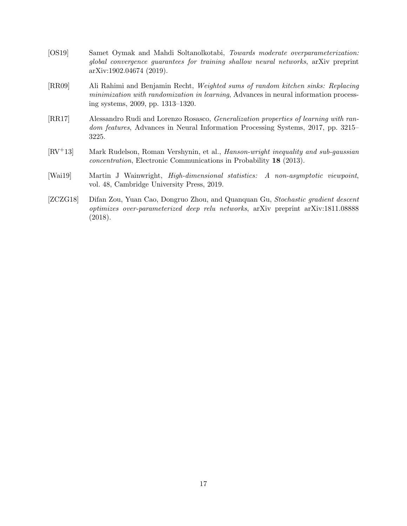- <span id="page-16-1"></span>[OS19] Samet Oymak and Mahdi Soltanolkotabi, Towards moderate overparameterization: global convergence guarantees for training shallow neural networks, arXiv preprint arXiv:1902.04674 (2019).
- <span id="page-16-3"></span>[RR09] Ali Rahimi and Benjamin Recht, Weighted sums of random kitchen sinks: Replacing minimization with randomization in learning, Advances in neural information processing systems, 2009, pp. 1313–1320.
- <span id="page-16-4"></span>[RR17] Alessandro Rudi and Lorenzo Rosasco, Generalization properties of learning with random features, Advances in Neural Information Processing Systems, 2017, pp. 3215– 3225.
- <span id="page-16-5"></span>[RV+13] Mark Rudelson, Roman Vershynin, et al., Hanson-wright inequality and sub-gaussian concentration, Electronic Communications in Probability 18 (2013).
- <span id="page-16-2"></span>[Wai19] Martin J Wainwright, High-dimensional statistics: A non-asymptotic viewpoint, vol. 48, Cambridge University Press, 2019.
- <span id="page-16-0"></span>[ZCZG18] Difan Zou, Yuan Cao, Dongruo Zhou, and Quanquan Gu, Stochastic gradient descent optimizes over-parameterized deep relu networks, arXiv preprint arXiv:1811.08888 (2018).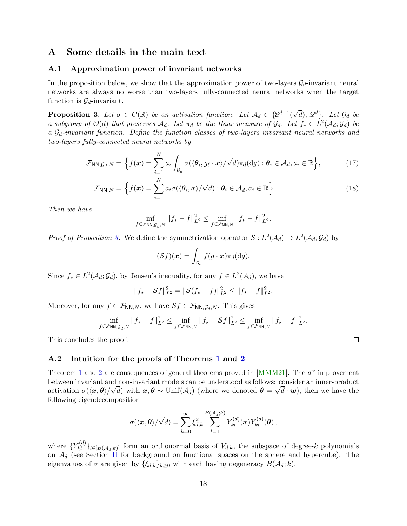# <span id="page-17-0"></span>A Some details in the main text

#### <span id="page-17-1"></span>A.1 Approximation power of invariant networks

In the proposition below, we show that the approximation power of two-layers  $\mathcal{G}_d$ -invariant neural networks are always no worse than two-layers fully-connected neural networks when the target function is  $\mathcal{G}_d$ -invariant.

<span id="page-17-3"></span>**Proposition 3.** Let  $\sigma \in C(\mathbb{R})$  be an activation function. Let  $\mathcal{A}_d \in \{ \mathbb{S}^{d-1}(\mathbb{R}) \mid d \in \mathbb{S}^{d-1}(\mathbb{R}) \}$  $\sqrt{d}$ ,  $\mathscr{Q}^d$ . Let  $\mathcal{G}_d$  be a subgroup of  $\mathcal{O}(d)$  that preserves  $\mathcal{A}_d$ . Let  $\pi_d$  be the Haar measure of  $\mathcal{G}_d$ . Let  $f_* \in L^2(\mathcal{A}_d; \mathcal{G}_d)$  be a  $\mathcal{G}_d$ -invariant function. Define the function classes of two-layers invariant neural networks and two-layers fully-connected neural networks by

$$
\mathcal{F}_{\mathsf{NN},\mathcal{G}_d,N} = \Big\{ f(\boldsymbol{x}) = \sum_{i=1}^N a_i \int_{\mathcal{G}_d} \sigma(\langle \boldsymbol{\theta}_i, g_\ell \cdot \boldsymbol{x} \rangle / \sqrt{d}) \pi_d(\mathrm{d}g) : \boldsymbol{\theta}_i \in \mathcal{A}_d, a_i \in \mathbb{R} \Big\},\tag{17}
$$

$$
\mathcal{F}_{\mathsf{NN},N} = \left\{ f(\boldsymbol{x}) = \sum_{i=1}^{N} a_i \sigma(\langle \boldsymbol{\theta}_i, \boldsymbol{x} \rangle / \sqrt{d}) : \boldsymbol{\theta}_i \in \mathcal{A}_d, a_i \in \mathbb{R} \right\}.
$$
 (18)

Then we have

$$
\inf_{f \in \mathcal{F}_{\mathsf{NN},\mathcal{G}_d,N}} \|f_* - f\|_{L^2}^2 \le \inf_{f \in \mathcal{F}_{\mathsf{NN},N}} \|f_* - f\|_{L^2}^2.
$$

*Proof of Proposition [3.](#page-17-3)* We define the symmetrization operator  $S: L^2(\mathcal{A}_d) \to L^2(\mathcal{A}_d; \mathcal{G}_d)$  by

$$
(\mathcal{S}f)(\boldsymbol{x}) = \int_{\mathcal{G}_d} f(g \cdot \boldsymbol{x}) \pi_d(\mathrm{d}g).
$$

Since  $f_* \in L^2(\mathcal{A}_d; \mathcal{G}_d)$ , by Jensen's inequality, for any  $f \in L^2(\mathcal{A}_d)$ , we have

$$
||f_{\star} - \mathcal{S}f||_{L^2}^2 = ||\mathcal{S}(f_{\star} - f)||_{L^2}^2 \le ||f_{\star} - f||_{L^2}^2.
$$

Moreover, for any  $f \in \mathcal{F}_{NN,N}$ , we have  $Sf \in \mathcal{F}_{NN,G_d,N}$ . This gives

$$
\inf_{f \in \mathcal{F}_{\mathsf{NN},\mathcal{G}_d,N}} \|f_* - f\|_{L^2}^2 \le \inf_{f \in \mathcal{F}_{\mathsf{NN},N}} \|f_* - \mathcal{S}f\|_{L^2}^2 \le \inf_{f \in \mathcal{F}_{\mathsf{NN},N}} \|f_* - f\|_{L^2}^2.
$$

This concludes the proof.

#### <span id="page-17-2"></span>A.2 Intuition for the proofs of Theorems [1](#page-8-0) and [2](#page-9-1)

Theorem [1](#page-8-0) and [2](#page-9-1) are consequences of general theorems proved in [\[MMM21\]](#page-15-11). The  $d^{\alpha}$  improvement between invariant and non-invariant models can be understood as follows: consider an inner-product activation  $\sigma(\langle x,\theta\rangle/\sqrt{d})$  with  $x,\theta \sim \text{Unif}(\mathcal{A}_d)$  (where we denoted  $\theta = \sqrt{d\cdot w}$ ), then we have the following eigendecomposition

$$
\sigma(\langle \boldsymbol{x}, \boldsymbol{\theta} \rangle / \sqrt{d}) = \sum_{k=0}^{\infty} \xi_{d,k}^2 \sum_{l=1}^{B(\mathcal{A}_d; k)} Y_{kl}^{(d)}(\boldsymbol{x}) Y_{kl}^{(d)}(\boldsymbol{\theta}),
$$

where  $\{Y_{kl}^{(d)}\}_{l\in[B(\mathcal{A}_d;k)]}$  form an orthonormal basis of  $V_{d,k}$ , the subspace of degree-k polynomials on  $\mathcal{A}_d$  (see Section [H](#page-57-0) for background on functional spaces on the sphere and hypercube). The eigenvalues of  $\sigma$  are given by  $\{\xi_{d,k}\}_{k>0}$  with each having degeneracy  $B(\mathcal{A}_d; k)$ .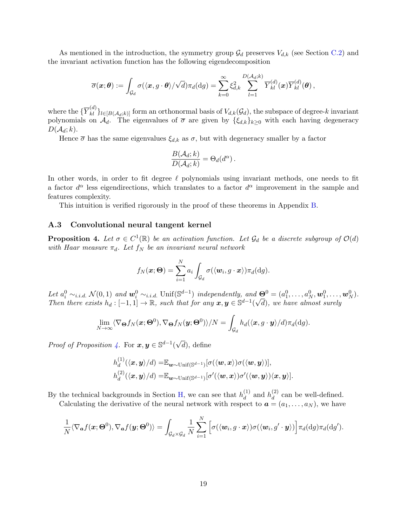As mentioned in the introduction, the symmetry group  $\mathcal{G}_d$  preserves  $V_{d,k}$  (see Section [C.2\)](#page-28-2) and the invariant activation function has the following eigendecomposition

$$
\overline{\sigma}(\boldsymbol{x};\boldsymbol{\theta}):=\int_{\mathcal{G}_d}\sigma(\langle \boldsymbol{x},g\cdot \boldsymbol{\theta}\rangle/\sqrt{d})\pi_d(\mathrm{d} g)=\sum_{k=0}^{\infty}\xi_{d,k}^2\sum_{l=1}^{D(\mathcal{A}_d;k)}\overline{Y}_{kl}^{(d)}(\boldsymbol{x})\overline{Y}_{kl}^{(d)}(\boldsymbol{\theta})\,,
$$

where the  $\{\overline{Y}_{kl}^{(d)}\}_{l\in[B(\mathcal{A}_d;k)]}$  form an orthonormal basis of  $V_{d,k}(\mathcal{G}_d)$ , the subspace of degree-k invariant polynomials on  $\mathcal{A}_d$ . The eigenvalues of  $\overline{\sigma}$  are given by  $\{\xi_{d,k}\}_{k\geq 0}$  with each having degeneracy  $D(\mathcal{A}_d; k)$ .

Hence  $\bar{\sigma}$  has the same eigenvalues  $\xi_{d,k}$  as  $\sigma$ , but with degeneracy smaller by a factor

$$
\frac{B(\mathcal{A}_d; k)}{D(\mathcal{A}_d; k)} = \Theta_d(d^{\alpha}).
$$

In other words, in order to fit degree  $\ell$  polynomials using invariant methods, one needs to fit a factor  $d^{\alpha}$  less eigendirections, which translates to a factor  $d^{\alpha}$  improvement in the sample and features complexity.

This intuition is verified rigorously in the proof of these theorems in Appendix [B.](#page-23-0)

#### <span id="page-18-0"></span>A.3 Convolutional neural tangent kernel

<span id="page-18-1"></span>**Proposition 4.** Let  $\sigma \in C^1(\mathbb{R})$  be an activation function. Let  $\mathcal{G}_d$  be a discrete subgroup of  $\mathcal{O}(d)$ with Haar measure  $\pi_d$ . Let  $f_N$  be an invariant neural network

$$
f_N(\boldsymbol{x};\boldsymbol{\Theta}) = \sum_{i=1}^N a_i \int_{\mathcal{G}_d} \sigma(\langle \boldsymbol{w}_i, g \cdot \boldsymbol{x} \rangle) \pi_d(\mathrm{d}g).
$$

Let  $a_i^0 \sim_{i.i.d.} \mathcal{N}(0,1)$  and  $\mathbf{w}_i^0 \sim_{i.i.d.} \text{Unif}(\mathbb{S}^{d-1})$  independently, and  $\mathbf{\Theta}^0 = (a_1^0, \ldots, a_N^0, \mathbf{w}_1^0, \ldots, \mathbf{w}_N^0).$ Then there exists  $h_d: [-1,1] \to \mathbb{R}$ , such that for any  $x, y \in \mathbb{S}^{d-1}(\sqrt{d})$ , we have almost surely

$$
\lim_{N\to\infty}\langle\nabla_{\boldsymbol{\Theta}}f_N(\boldsymbol{x};\boldsymbol{\Theta}^0),\nabla_{\boldsymbol{\Theta}}f_N(\boldsymbol{y};\boldsymbol{\Theta}^0)\rangle/N=\int_{\mathcal{G}_d}h_d(\langle\boldsymbol{x},g\cdot\boldsymbol{y}\rangle/d)\pi_d(\mathrm{d}g).
$$

*Proof of Proposition [4.](#page-18-1)* For  $x, y \in \mathbb{S}^{d-1}$ √  $(d)$ , define

$$
h_d^{(1)}(\langle \mathbf{x}, \mathbf{y} \rangle/d) = \mathbb{E}_{\mathbf{w} \sim \text{Unif}(\mathbb{S}^{d-1})}[\sigma(\langle \mathbf{w}, \mathbf{x} \rangle) \sigma(\langle \mathbf{w}, \mathbf{y} \rangle)],
$$
  

$$
h_d^{(2)}(\langle \mathbf{x}, \mathbf{y} \rangle/d) = \mathbb{E}_{\mathbf{w} \sim \text{Unif}(\mathbb{S}^{d-1})}[\sigma'(\langle \mathbf{w}, \mathbf{x} \rangle) \sigma'(\langle \mathbf{w}, \mathbf{y} \rangle) \langle \mathbf{x}, \mathbf{y} \rangle].
$$

By the technical backgrounds in Section [H,](#page-57-0) we can see that  $h_d^{(1)}$  $\binom{1}{d}$  and  $h_d^{(2)}$  $\frac{d}{d}$  can be well-defined. Calculating the derivative of the neural network with respect to  $\mathbf{a} = (a_1, \ldots, a_N)$ , we have

$$
\frac{1}{N}\langle \nabla_{\boldsymbol{a}}f(\boldsymbol{x};\boldsymbol{\Theta}^{0}), \nabla_{\boldsymbol{a}}f(\boldsymbol{y};\boldsymbol{\Theta}^{0})\rangle = \int_{\mathcal{G}_{d}\times\mathcal{G}_{d}}\frac{1}{N}\sum_{i=1}^{N}\Big[\sigma(\langle \boldsymbol{w}_{i},g\cdot\boldsymbol{x}\rangle)\sigma(\langle \boldsymbol{w}_{i},g'\cdot\boldsymbol{y}\rangle)\Big]\pi_{d}(\mathrm{d}g)\pi_{d}(\mathrm{d}g').
$$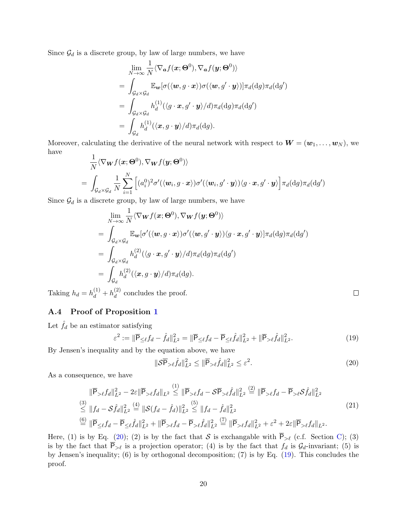Since  $\mathcal{G}_d$  is a discrete group, by law of large numbers, we have

$$
\lim_{N \to \infty} \frac{1}{N} \langle \nabla_{\boldsymbol{a}} f(\boldsymbol{x}; \boldsymbol{\Theta}^0), \nabla_{\boldsymbol{a}} f(\boldsymbol{y}; \boldsymbol{\Theta}^0) \rangle
$$
\n
$$
= \int_{\mathcal{G}_{d} \times \mathcal{G}_{d}} \mathbb{E}_{\boldsymbol{w}} [\sigma(\langle \boldsymbol{w}, g \cdot \boldsymbol{x} \rangle) \sigma(\langle \boldsymbol{w}, g' \cdot \boldsymbol{y} \rangle)] \pi_{d}(\mathrm{d}g) \pi_{d}(\mathrm{d}g')
$$
\n
$$
= \int_{\mathcal{G}_{d} \times \mathcal{G}_{d}} h_{d}^{(1)}(\langle g \cdot \boldsymbol{x}, g' \cdot \boldsymbol{y} \rangle / d) \pi_{d}(\mathrm{d}g) \pi_{d}(\mathrm{d}g')
$$
\n
$$
= \int_{\mathcal{G}_{d}} h_{d}^{(1)}(\langle \boldsymbol{x}, g \cdot \boldsymbol{y} \rangle / d) \pi_{d}(\mathrm{d}g).
$$

Moreover, calculating the derivative of the neural network with respect to  $\mathbf{W} = (\mathbf{w}_1, \dots, \mathbf{w}_N)$ , we have

$$
\frac{1}{N}\langle \nabla_{\mathbf{W}}f(\mathbf{x};\boldsymbol{\Theta}^{0}), \nabla_{\mathbf{W}}f(\mathbf{y};\boldsymbol{\Theta}^{0})\rangle \n= \int_{\mathcal{G}_{d}\times\mathcal{G}_{d}}\frac{1}{N}\sum_{i=1}^{N}\left[ (a_{i}^{0})^{2}\sigma'(\langle \mathbf{w}_{i}, g\cdot\mathbf{x}\rangle)\sigma'(\langle \mathbf{w}_{i}, g'\cdot\mathbf{y}\rangle)\langle g\cdot\mathbf{x}, g'\cdot\mathbf{y}\rangle \right]\pi_{d}(\mathrm{d}g)\pi_{d}(\mathrm{d}g')
$$

Since  $\mathcal{G}_d$  is a discrete group, by law of large numbers, we have

$$
\lim_{N \to \infty} \frac{1}{N} \langle \nabla_{\mathbf{W}} f(\mathbf{x}; \Theta^0), \nabla_{\mathbf{W}} f(\mathbf{y}; \Theta^0) \rangle
$$
\n
$$
= \int_{\mathcal{G}_d \times \mathcal{G}_d} \mathbb{E}_{\mathbf{w}} [\sigma'(\langle \mathbf{w}, g \cdot \mathbf{x} \rangle) \sigma'(\langle \mathbf{w}, g' \cdot \mathbf{y} \rangle) \langle g \cdot \mathbf{x}, g' \cdot \mathbf{y} \rangle] \pi_d(\mathrm{d}g) \pi_d(\mathrm{d}g')
$$
\n
$$
= \int_{\mathcal{G}_d \times \mathcal{G}_d} h_d^{(2)}(\langle g \cdot \mathbf{x}, g' \cdot \mathbf{y} \rangle / d) \pi_d(\mathrm{d}g) \pi_d(\mathrm{d}g')
$$
\n
$$
= \int_{\mathcal{G}_d} h_d^{(2)}(\langle \mathbf{x}, g \cdot \mathbf{y} \rangle / d) \pi_d(\mathrm{d}g).
$$

Taking  $h_d = h_d^{(1)} + h_d^{(2)}$  $\frac{d^{(2)}}{d}$  concludes the proof.

## <span id="page-19-0"></span>A.4 Proof of Proposition [1](#page-10-3)

Let  $\hat{f}_d$  be an estimator satisfying

<span id="page-19-2"></span>
$$
\varepsilon^{2} := \|\overline{\mathsf{P}}_{\leq \ell} f_{d} - \hat{f}_{d}\|_{L^{2}}^{2} = \|\overline{\mathsf{P}}_{\leq \ell} f_{d} - \overline{\mathsf{P}}_{\leq \ell} \hat{f}_{d}\|_{L^{2}}^{2} + \|\overline{\mathsf{P}}_{> \ell} \hat{f}_{d}\|_{L^{2}}^{2}.
$$
\n(19)

By Jensen's inequality and by the equation above, we have

<span id="page-19-1"></span>
$$
\|\mathcal{S}\overline{\mathsf{P}}_{>\ell}\widehat{f}_d\|_{L^2}^2 \le \|\overline{\mathsf{P}}_{>\ell}\widehat{f}_d\|_{L^2}^2 \le \varepsilon^2. \tag{20}
$$

As a consequence, we have

$$
\|\overline{\mathsf{P}}_{\geq \ell} f_d\|_{L^2}^2 - 2\varepsilon \|\overline{\mathsf{P}}_{\geq \ell} f_d\|_{L^2} \stackrel{(1)}{\leq} \|\overline{\mathsf{P}}_{> \ell} f_d - \mathcal{S} \overline{\mathsf{P}}_{> \ell} \hat{f}_d\|_{L^2}^2 \stackrel{(2)}{=} \|\overline{\mathsf{P}}_{> \ell} f_d - \overline{\mathsf{P}}_{> \ell} \mathcal{S} \hat{f}_d\|_{L^2}^2
$$
\n
$$
\stackrel{(3)}{\leq} \|f_d - \mathcal{S} \hat{f}_d\|_{L^2}^2 \stackrel{(4)}{=} \| \mathcal{S}(f_d - \hat{f}_d)\|_{L^2}^2 \stackrel{(5)}{\leq} \|f_d - \hat{f}_d\|_{L^2}^2
$$
\n
$$
\stackrel{(6)}{=} \|\overline{\mathsf{P}}_{\leq \ell} f_d - \overline{\mathsf{P}}_{\leq \ell} \hat{f}_d\|_{L^2}^2 + \|\overline{\mathsf{P}}_{> \ell} f_d - \overline{\mathsf{P}}_{> \ell} \hat{f}_d\|_{L^2}^2 \stackrel{(7)}{=} \|\overline{\mathsf{P}}_{> \ell} f_d\|_{L^2}^2 + \varepsilon^2 + 2\varepsilon \|\overline{\mathsf{P}}_{> \ell} f_d\|_{L^2}.
$$
\n
$$
(21)
$$

Here, (1) is by Eq. [\(20\)](#page-19-1); (2) is by the fact that S is exchangable with  $\overline{P}_{\geq \ell}$  (c.f. Section [C\)](#page-28-0); (3) is by the fact that  $\overline{P}_{\geq \ell}$  is a projection operator; (4) is by the fact that  $f_d$  is  $\mathcal{G}_d$ -invariant; (5) is by Jensen's inequality; (6) is by orthogonal decomposition; (7) is by Eq. [\(19\)](#page-19-2). This concludes the proof.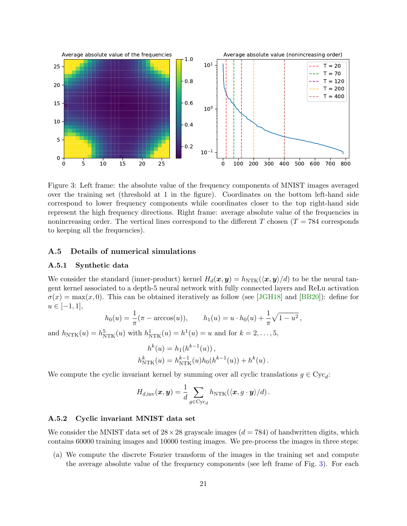

<span id="page-20-3"></span>Figure 3: Left frame: the absolute value of the frequency components of MNIST images averaged over the training set (threshold at 1 in the figure). Coordinates on the bottom left-hand side correspond to lower frequency components while coordinates closer to the top right-hand side represent the high frequency directions. Right frame: average absolute value of the frequencies in nonincreasing order. The vertical lines correspond to the different T chosen  $(T = 784$  corresponds to keeping all the frequencies).

## <span id="page-20-0"></span>A.5 Details of numerical simulations

#### <span id="page-20-1"></span>A.5.1 Synthetic data

We consider the standard (inner-product) kernel  $H_d(x, y) = h_{NTK}(\langle x, y \rangle/d)$  to be the neural tangent kernel associated to a depth-5 neural network with fully connected layers and ReLu activation  $\sigma(x) = \max(x, 0)$ . This can be obtained iteratively as follow (see [\[JGH18\]](#page-15-5) and [\[BB20\]](#page-14-12)): define for  $u \in [-1, 1],$ 

$$
h_0(u) = \frac{1}{\pi} (\pi - \arccos(u)),
$$
  $h_1(u) = u \cdot h_0(u) + \frac{1}{\pi} \sqrt{1 - u^2},$ 

and  $h_{\text{NTK}}(u) = h_{\text{NTK}}^5(u)$  with  $h_{\text{NTK}}^1(u) = h^1(u) = u$  and for  $k = 2, ..., 5$ ,

$$
h^{k}(u) = h_{1}(h^{k-1}(u)),
$$
  
\n
$$
h_{\text{NTK}}^{k}(u) = h_{\text{NTK}}^{k-1}(u)h_{0}(h^{k-1}(u)) + h^{k}(u).
$$

We compute the cyclic invariant kernel by summing over all cyclic translations  $g \in Cyc_d$ :

$$
H_{d,\mathrm{inv}}(\boldsymbol{x},\boldsymbol{y}) = \frac{1}{d} \sum_{g \in \mathrm{Cyc}_d} h_{\text{NTK}}(\langle \boldsymbol{x}, g \cdot \boldsymbol{y} \rangle/d) \,.
$$

#### <span id="page-20-2"></span>A.5.2 Cyclic invariant MNIST data set

We consider the MNIST data set of  $28 \times 28$  grayscale images ( $d = 784$ ) of handwritten digits, which contains 60000 training images and 10000 testing images. We pre-process the images in three steps:

(a) We compute the discrete Fourier transform of the images in the training set and compute the average absolute value of the frequency components (see left frame of Fig. [3\)](#page-20-3). For each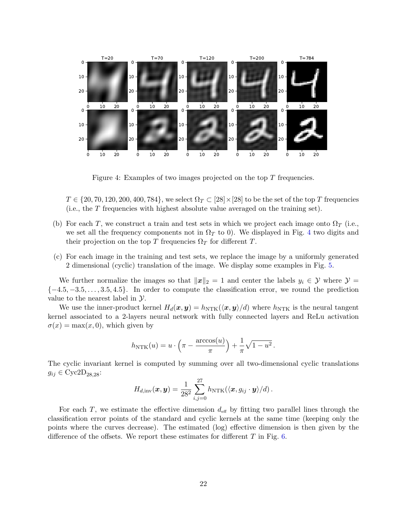

<span id="page-21-0"></span>Figure 4: Examples of two images projected on the top T frequencies.

 $T \in \{20, 70, 120, 200, 400, 784\}$ , we select  $\Omega_T \subset [28] \times [28]$  to be the set of the top T frequencies (i.e., the T frequencies with highest absolute value averaged on the training set).

- (b) For each T, we construct a train and test sets in which we project each image onto  $\Omega_T$  (i.e., we set all the frequency components not in  $\Omega_T$  to 0). We displayed in Fig. [4](#page-21-0) two digits and their projection on the top T frequencies  $\Omega_T$  for different T.
- (c) For each image in the training and test sets, we replace the image by a uniformly generated 2 dimensional (cyclic) translation of the image. We display some examples in Fig. [5.](#page-22-0)

We further normalize the images so that  $||x||_2 = 1$  and center the labels  $y_i \in \mathcal{Y}$  where  $\mathcal{Y} =$  $\{-4.5, -3.5, \ldots, 3.5, 4.5\}$ . In order to compute the classification error, we round the prediction value to the nearest label in  $\mathcal{Y}$ .

We use the inner-product kernel  $H_d(\boldsymbol{x}, \boldsymbol{y}) = h_{\text{NTK}}(\langle \boldsymbol{x}, \boldsymbol{y} \rangle / d)$  where  $h_{\text{NTK}}$  is the neural tangent kernel associated to a 2-layers neural network with fully connected layers and ReLu activation  $\sigma(x) = \max(x, 0)$ , which given by

$$
h_{\text{NTK}}(u) = u \cdot \left(\pi - \frac{\arccos(u)}{\pi}\right) + \frac{1}{\pi} \sqrt{1 - u^2}.
$$

The cyclic invariant kernel is computed by summing over all two-dimensional cyclic translations  $g_{ij} \in \text{Cyc2D}_{28.28}:$ 

$$
H_{d,\mathrm{inv}}(\boldsymbol{x},\boldsymbol{y}) = \frac{1}{28^2} \sum_{i,j=0}^{27} h_{\text{NTK}}(\langle \boldsymbol{x}, g_{ij} \cdot \boldsymbol{y} \rangle / d) \,.
$$

For each T, we estimate the effective dimension  $d_{\text{eff}}$  by fitting two parallel lines through the classification error points of the standard and cyclic kernels at the same time (keeping only the points where the curves decrease). The estimated (log) effective dimension is then given by the difference of the offsets. We report these estimates for different  $T$  in Fig. [6.](#page-22-1)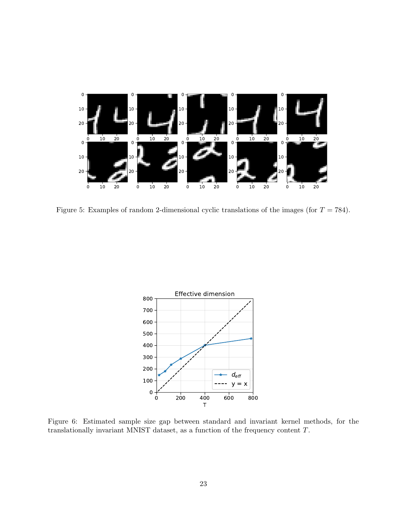

<span id="page-22-0"></span>Figure 5: Examples of random 2-dimensional cyclic translations of the images (for  $T = 784$ ).



<span id="page-22-1"></span>Figure 6: Estimated sample size gap between standard and invariant kernel methods, for the translationally invariant MNIST dataset, as a function of the frequency content T.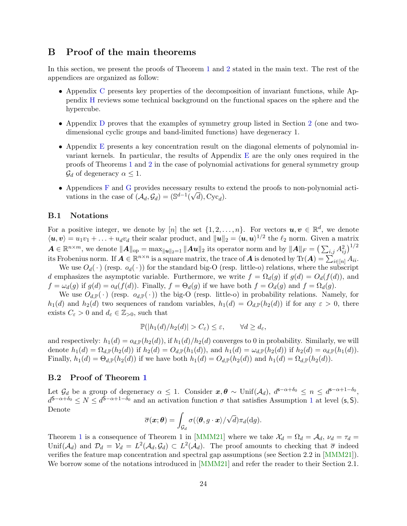# <span id="page-23-0"></span>B Proof of the main theorems

In this section, we present the proofs of Theorem [1](#page-8-0) and [2](#page-9-1) stated in the main text. The rest of the appendices are organized as follow:

- Appendix [C](#page-28-0) presents key properties of the decomposition of invariant functions, while Appendix [H](#page-57-0) reviews some technical background on the functional spaces on the sphere and the hypercube.
- Appendix [D](#page-30-1) proves that the examples of symmetry group listed in Section [2](#page-6-0) (one and twodimensional cyclic groups and band-limited functions) have degeneracy 1.
- Appendix [E](#page-35-0) presents a key concentration result on the diagonal elements of polynomial invariant kernels. In particular, the results of Appendix [E](#page-35-0) are the only ones required in the proofs of Theorems [1](#page-8-0) and [2](#page-9-1) in the case of polynomial activations for general symmetry group  $\mathcal{G}_d$  of degeneracy  $\alpha \leq 1$ .
- Appendices [F](#page-41-0) and [G](#page-49-0) provides necessary results to extend the proofs to non-polynomial acti-√ vations in the case of  $(\mathcal{A}_d, \mathcal{G}_d) = (\mathbb{S}^{d-1}(\sqrt{d}), \text{Cyc}_d)$ .

#### <span id="page-23-1"></span>B.1 Notations

For a positive integer, we denote by [n] the set  $\{1, 2, ..., n\}$ . For vectors  $u, v \in \mathbb{R}^d$ , we denote  $\langle u, v \rangle = u_1 v_1 + \ldots + u_d v_d$  their scalar product, and  $||u||_2 = \langle u, u \rangle^{1/2}$  the  $\ell_2$  norm. Given a matrix  $\boldsymbol{A} \in \mathbb{R}^{n \times m}$ , we denote  $\|\boldsymbol{A}\|_{\mathrm{op}} = \max_{\|\boldsymbol{u}\|_2 = 1} \|\boldsymbol{A}\boldsymbol{u}\|_2$  its operator norm and by  $\|\boldsymbol{A}\|_F = \big(\sum_{i,j} A_{ij}^2\big)^{1/2}$ its Frobenius norm. If  $\boldsymbol{A} \in \mathbb{R}^{n \times n}$  is a square matrix, the trace of  $\boldsymbol{A}$  is denoted by  $\text{Tr}(\boldsymbol{A}) = \sum_{i \in [n]}^{\infty} A_{ii}$ .

We use  $O_d(\cdot)$  (resp.  $o_d(\cdot)$ ) for the standard big-O (resp. little-o) relations, where the subscript d emphasizes the asymptotic variable. Furthermore, we write  $f = \Omega_d(g)$  if  $g(d) = O_d(f(d))$ , and  $f = \omega_d(g)$  if  $g(d) = o_d(f(d))$ . Finally,  $f = \Theta_d(g)$  if we have both  $f = O_d(g)$  and  $f = \Omega_d(g)$ .

We use  $O_{d,\mathbb{P}}(\cdot)$  (resp.  $o_{d,\mathbb{P}}(\cdot)$ ) the big-O (resp. little-o) in probability relations. Namely, for  $h_1(d)$  and  $h_2(d)$  two sequences of random variables,  $h_1(d) = O_{d,\mathbb{P}}(h_2(d))$  if for any  $\varepsilon > 0$ , there exists  $C_{\varepsilon} > 0$  and  $d_{\varepsilon} \in \mathbb{Z}_{>0}$ , such that

$$
\mathbb{P}(|h_1(d)/h_2(d)| > C_{\varepsilon}) \le \varepsilon, \qquad \forall d \ge d_{\varepsilon},
$$

and respectively:  $h_1(d) = o_{d,\mathbb{P}}(h_2(d))$ , if  $h_1(d)/h_2(d)$  converges to 0 in probability. Similarly, we will denote  $h_1(d) = \Omega_{d,\mathbb{P}}(h_2(d))$  if  $h_2(d) = O_{d,\mathbb{P}}(h_1(d))$ , and  $h_1(d) = \omega_{d,\mathbb{P}}(h_2(d))$  if  $h_2(d) = o_{d,\mathbb{P}}(h_1(d))$ . Finally,  $h_1(d) = \Theta_{d,\mathbb{P}}(h_2(d))$  if we have both  $h_1(d) = O_{d,\mathbb{P}}(h_2(d))$  and  $h_1(d) = \Omega_{d,\mathbb{P}}(h_2(d))$ .

#### <span id="page-23-2"></span>B.2 Proof of Theorem [1](#page-8-0)

Let  $\mathcal{G}_d$  be a group of degeneracy  $\alpha \leq 1$ . Consider  $\boldsymbol{x}, \boldsymbol{\theta} \sim \text{Unif}(\mathcal{A}_d)$ ,  $d^{\mathbf{s}-\alpha+\delta_0} \leq n \leq d^{\mathbf{s}-\alpha+1-\delta_0}$ ,  $d^{5-\alpha+\delta_0} \leq N \leq d^{5-\alpha+1-\delta_0}$  $d^{5-\alpha+\delta_0} \leq N \leq d^{5-\alpha+1-\delta_0}$  $d^{5-\alpha+\delta_0} \leq N \leq d^{5-\alpha+1-\delta_0}$  and an activation function  $\sigma$  that satisfies Assumption 1 at level (s, S). Denote

$$
\overline{\sigma}(\boldsymbol{x};\boldsymbol{\theta})=\int_{\mathcal{G}_d}\sigma(\langle \boldsymbol{\theta},g\cdot\boldsymbol{x}\rangle/\sqrt{d})\pi_d(\mathrm{d}g).
$$

Theorem [1](#page-8-0) is a consequence of Theorem 1 in [\[MMM21\]](#page-15-11) where we take  $\mathcal{X}_d = \Omega_d = \mathcal{A}_d$ ,  $\nu_d = \tau_d =$ Unif( $\mathcal{A}_d$ ) and  $\mathcal{D}_d = \mathcal{V}_d = L^2(\mathcal{A}_d, \mathcal{G}_d) \subset L^2(\mathcal{A}_d)$ . The proof amounts to checking that  $\bar{\sigma}$  indeed verifies the feature map concentration and spectral gap assumptions (see Section 2.2 in [\[MMM21\]](#page-15-11)). We borrow some of the notations introduced in [\[MMM21\]](#page-15-11) and refer the reader to their Section 2.1.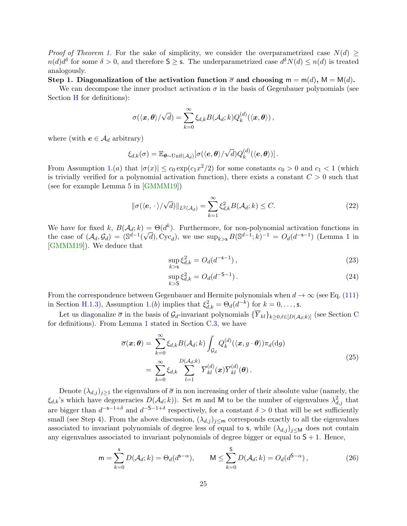*Proof of Theorem [1.](#page-8-0)* For the sake of simplicity, we consider the overparametrized case  $N(d) \geq$  $n(d)d^{\delta}$  for some  $\delta > 0$ , and therefore  $S \geq s$ . The underparametrized case  $d^{\delta}N(d) \leq n(d)$  is treated analogously.

Step 1. Diagonalization of the activation function  $\bar{\sigma}$  and choosing m = m(d), M = M(d).

We can decompose the inner product activation  $\sigma$  in the basis of Gegenbauer polynomials (see Section [H](#page-57-0) for definitions):

$$
\sigma(\langle \boldsymbol{x}, \boldsymbol{\theta} \rangle / \sqrt{d}) = \sum_{k=0}^{\infty} \xi_{d,k} B(\mathcal{A}_d; k) Q_k^{(d)}(\langle \boldsymbol{x}, \boldsymbol{\theta} \rangle),
$$

where (with  $e \in \mathcal{A}_d$  arbitrary)

$$
\xi_{d,k}(\sigma) = \mathbb{E}_{\boldsymbol{\theta} \sim \text{Unif}(\mathcal{A}_d)}[\sigma(\langle \boldsymbol{e}, \boldsymbol{\theta} \rangle / \sqrt{d}) Q_k^{(d)}(\langle \boldsymbol{e}, \boldsymbol{\theta} \rangle)].
$$

From Assumption [1.](#page-8-1)(a) that  $|\sigma(x)| \leq c_0 \exp(c_1 x^2/2)$  for some constants  $c_0 > 0$  and  $c_1 < 1$  (which is trivially verified for a polynomial activation function), there exists a constant  $C > 0$  such that (see for example Lemma 5 in [\[GMMM19\]](#page-14-10))

<span id="page-24-0"></span>
$$
\|\sigma(\langle e, \cdot \rangle / \sqrt{d})\|_{L^2(\mathcal{A}_d)} = \sum_{k=1}^{\infty} \xi_{d,k}^2 B(\mathcal{A}_d; k) \le C. \tag{22}
$$

We have for fixed k,  $B(A_d; k) = \Theta(d^k)$ . Furthermore, for non-polynomial activation functions in the case of  $(\mathcal{A}_d, \mathcal{G}_d) = (\mathbb{S}^{d-1}(\sqrt{d}), \text{Cyc}_d)$ , we use  $\sup_{k>S} B(\mathbb{S}^{d-1}; k)^{-1} = O_d(d^{-s-1})$  (Lemma 1 in [\[GMMM19\]](#page-14-10)). We deduce that

$$
\sup_{k>s} \xi_{d,k}^2 = O_d(d^{-s-1}),
$$
\n(23)

$$
\sup_{k>S} \xi_{d,k}^2 = O_d(d^{-S-1}).\tag{24}
$$

From the correspondence between Gegenbauer and Hermite polynomials when  $d \to \infty$  (see Eq. [\(111\)](#page-60-2) in Section [H.1.3\)](#page-59-0), Assumption [1.](#page-8-1)(b) implies that  $\xi_{d,k}^2 = \Theta_d(d^{-k})$  for  $k = 0, \ldots, s$ .

Let us diagonalize  $\overline{\sigma}$  in the basis of  $\mathcal{G}_d$ -invariant polynomials  $\{\overline{Y}_{kl}\}_{k\geq 0,\ell\in[D(\mathcal{A}_d;k)]}$  (see Section [C](#page-28-0) for definitions). From Lemma [1](#page-29-1) stated in Section [C.3,](#page-29-0) we have

<span id="page-24-1"></span>
$$
\overline{\sigma}(\boldsymbol{x};\boldsymbol{\theta}) = \sum_{k=0}^{\infty} \xi_{d,k} B(\mathcal{A}_d; k) \int_{\mathcal{G}_d} Q_k^{(d)}(\langle \boldsymbol{x}, g \cdot \boldsymbol{\theta} \rangle) \pi_d(\mathrm{d}g)
$$
  
= 
$$
\sum_{k=0}^{\infty} \xi_{d,k} \sum_{l=1}^{D(\mathcal{A}_d; k)} \overline{Y}_{kl}^{(d)}(\boldsymbol{x}) \overline{Y}_{kl}^{(d)}(\boldsymbol{\theta}).
$$
 (25)

Denote  $(\lambda_{d,j})_{j\geq 1}$  the eigenvalues of  $\overline{\sigma}$  in non increasing order of their absolute value (namely, the  $\xi_{d,k}$ 's which have degeneracies  $D(\mathcal{A}_d; k)$ . Set m and M to be the number of eigenvalues  $\lambda_{d,j}^2$  that are bigger than  $d^{-s-1+\delta}$  and  $d^{-s-1+\delta}$  respectively, for a constant  $\delta > 0$  that will be set sufficiently small (see Step 4). From the above discussion,  $(\lambda_{d,j})_{j\leq m}$  corresponds exactly to all the eigenvalues associated to invariant polynomials of degree less of equal to s, while  $(\lambda_{d,j})_{j\leq M}$  does not contain any eigenvalues associated to invariant polynomials of degree bigger or equal to  $S + 1$ . Hence,

<span id="page-24-2"></span>
$$
\mathsf{m} = \sum_{k=0}^{\mathsf{s}} D(\mathcal{A}_d; k) = \Theta_d(d^{\mathsf{s}-\alpha}), \qquad \mathsf{M} \le \sum_{k=0}^{\mathsf{s}} D(\mathcal{A}_d; k) = O_d(d^{\mathsf{s}-\alpha}), \tag{26}
$$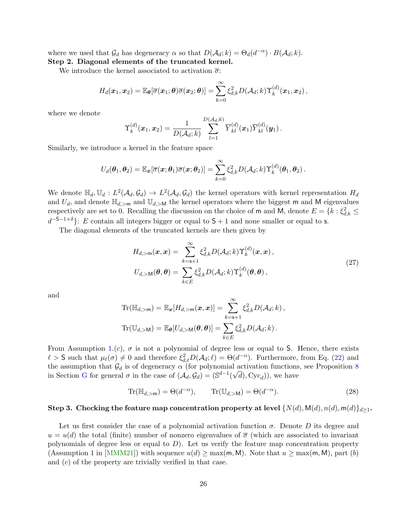where we used that  $\mathcal{G}_d$  has degeneracy  $\alpha$  so that  $D(\mathcal{A}_d; k) = \Theta_d(d^{-\alpha}) \cdot B(\mathcal{A}_d; k)$ . Step 2. Diagonal elements of the truncated kernel.

We introduce the kernel associated to activation  $\bar{\sigma}$ :

$$
H_d(\boldsymbol{x}_1,\boldsymbol{x}_2) = \mathbb{E}_{\boldsymbol{\theta}}[\overline{\sigma}(\boldsymbol{x}_1;\boldsymbol{\theta})\overline{\sigma}(\boldsymbol{x}_2;\boldsymbol{\theta})] = \sum_{k=0}^{\infty} \xi_{d,k}^2 D(\mathcal{A}_d;k) \Upsilon_k^{(d)}(\boldsymbol{x}_1,\boldsymbol{x}_2),
$$

where we denote

$$
\Upsilon_k^{(d)}(\boldsymbol{x}_1, \boldsymbol{x}_2) = \frac{1}{D(\mathcal{A}_d; k)} \sum_{l=1}^{D(\mathcal{A}_d; k)} \overline{Y}_{kl}^{(d)}(\boldsymbol{x}_1) \overline{Y}_{kl}^{(d)}(\boldsymbol{y}_1) .
$$

Similarly, we introduce a kernel in the feature space

$$
U_d(\boldsymbol{\theta}_1,\boldsymbol{\theta}_2)=\mathbb{E}_{\boldsymbol{x}}[\overline{\sigma}(\boldsymbol{x};\boldsymbol{\theta}_1)\overline{\sigma}(\boldsymbol{x};\boldsymbol{\theta}_2)]=\sum_{k=0}^{\infty}\xi_{d,k}^2D(\mathcal{A}_d;k)\Upsilon_k^{(d)}(\boldsymbol{\theta}_1,\boldsymbol{\theta}_2).
$$

We denote  $\mathbb{H}_d$ ,  $\mathbb{U}_d$  :  $L^2(\mathcal{A}_d, \mathcal{G}_d) \to L^2(\mathcal{A}_d, \mathcal{G}_d)$  the kernel operators with kernel representation  $H_d$ and  $U_d$ , and denote  $\mathbb{H}_{d,\geq m}$  and  $\mathbb{U}_{d,\geq M}$  the kernel operators where the biggest m and M eigenvalues respectively are set to 0. Recalling the discussion on the choice of m and M, denote  $E = \{k : \xi_{d,k}^2 \leq$  $d^{-S-1+\delta}$ : E contain all integers bigger or equal to S + 1 and none smaller or equal to s.

The diagonal elements of the truncated kernels are then given by

<span id="page-25-0"></span>
$$
H_{d,\geq m}(\boldsymbol{x},\boldsymbol{x}) = \sum_{k=s+1}^{\infty} \xi_{d,k}^{2} D(\mathcal{A}_{d}; k) \Upsilon_{k}^{(d)}(\boldsymbol{x}, \boldsymbol{x}),
$$
  

$$
U_{d,\geq M}(\boldsymbol{\theta}, \boldsymbol{\theta}) = \sum_{k \in E} \xi_{d,k}^{2} D(\mathcal{A}_{d}; k) \Upsilon_{k}^{(d)}(\boldsymbol{\theta}, \boldsymbol{\theta}),
$$
 (27)

and

$$
\mathrm{Tr}(\mathbb{H}_{d,\gt;\mathbf{m}})=\mathbb{E}_{\mathbf{x}}[H_{d,\gt;\mathbf{m}}(\mathbf{x},\mathbf{x})]=\sum_{k=\mathbf{s}+1}^{\infty}\xi_{d,k}^{2}D(\mathcal{A}_{d};k),
$$
  
\n
$$
\mathrm{Tr}(\mathbb{U}_{d,\gt;\mathbf{M}})=\mathbb{E}_{\theta}[U_{d,\gt;\mathbf{M}}(\theta,\theta)]=\sum_{k\in E}\xi_{d,k}^{2}D(\mathcal{A}_{d};k).
$$

From Assumption [1.](#page-8-1)(c),  $\sigma$  is not a polynomial of degree less or equal to S. Hence, there exists  $\ell > S$  such that  $\mu_{\ell}(\sigma) \neq 0$  and therefore  $\xi_{d,\ell}^2 D(\mathcal{A}_d; \ell) = \Theta(d^{-\alpha})$ . Furthermore, from Eq. [\(22\)](#page-24-0) and the assumption that  $\mathcal{G}_d$  is of degeneracy  $\alpha$  (for polynomial activation functions, see Proposition [8](#page-42-0) in Section [G](#page-49-0) for general  $\sigma$  in the case of  $(\mathcal{A}_d, \mathcal{G}_d) = (\mathbb{S}^{d-1}(\sqrt{d}), \text{Cyc}_d)$ , we have

<span id="page-25-1"></span>
$$
\operatorname{Tr}(\mathbb{H}_{d,\geq m}) = \Theta(d^{-\alpha}), \qquad \operatorname{Tr}(\mathbb{U}_{d,\geq M}) = \Theta(d^{-\alpha}). \tag{28}
$$

#### Step 3. Checking the feature map concentration property at level  $\{N(d), M(d), n(d), m(d)\}_{d\geq 1}$ .

Let us first consider the case of a polynomial activation function  $\sigma$ . Denote D its degree and  $u = u(d)$  the total (finite) number of nonzero eigenvalues of  $\overline{\sigma}$  (which are associated to invariant polynomials of degree less or equal to  $D$ ). Let us verify the feature map concentration property (Assumption 1 in [\[MMM21\]](#page-15-11)) with sequence  $u(d) \ge \max(m, M)$ . Note that  $u \ge \max(m, M)$ , part (b) and (c) of the property are trivially verified in that case.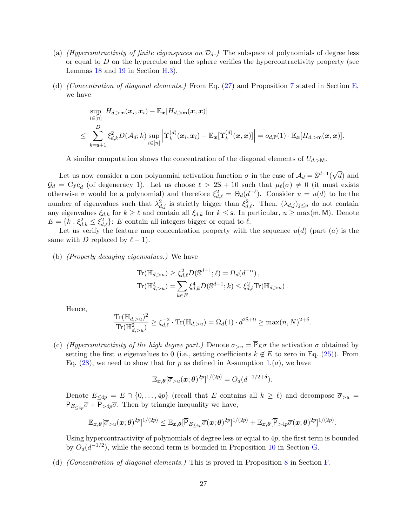- (a) *(Hypercontractivity of finite eigenspaces on*  $\mathcal{D}_d$ .) The subspace of polynomials of degree less or equal to  $D$  on the hypercube and the sphere verifies the hypercontractivity property (see Lemmas [18](#page-61-2) and [19](#page-61-3) in Section [H.3\)](#page-61-1).
- (d) (Concentration of diagonal elements.) From Eq. [\(27\)](#page-25-0) and Proposition [7](#page-36-1) stated in Section [E,](#page-35-0) we have

$$
\sup_{i\in[n]}\Big|H_{d,\gt;\mathfrak{m}}(\boldsymbol{x}_i,\boldsymbol{x}_i)-\mathbb{E}_{\boldsymbol{x}}[H_{d,\gt;\mathfrak{m}}(\boldsymbol{x},\boldsymbol{x})]\Big|\\\leq \sum_{k=\mathsf{s}+1}^D \xi_{d,k}^2 D(\mathcal{A}_d;k)\sup_{i\in[n]}\Big|\Upsilon_k^{(d)}(\boldsymbol{x}_i,\boldsymbol{x}_i)-\mathbb{E}_{\boldsymbol{x}}[\Upsilon_k^{(d)}(\boldsymbol{x},\boldsymbol{x})]\Big|=o_{d,\mathbb{P}}(1)\cdot \mathbb{E}_{\boldsymbol{x}}[H_{d,\gt;\mathfrak{m}}(\boldsymbol{x},\boldsymbol{x})].
$$

A similar computation shows the concentration of the diagonal elements of  $U_{d,\geq M}$ .

Let us now consider a non polynomial activation function  $\sigma$  in the case of  $\mathcal{A}_d = \mathbb{S}^{d-1}$ √ d) and  $\mathcal{G}_d = \text{Cyc}_d$  (of degeneracy 1). Let us choose  $\ell > 2\mathsf{S}+10$  such that  $\mu_\ell(\sigma) \neq 0$  (it must exists otherwise  $\sigma$  would be a polynomial) and therefore  $\xi_{d,\ell}^2 = \Theta_d(d^{-\ell})$ . Consider  $u = u(d)$  to be the number of eigenvalues such that  $\lambda_{d,j}^2$  is strictly bigger than  $\xi_{d,\ell}^2$ . Then,  $(\lambda_{d,j})_{j\leq u}$  do not contain any eigenvalues  $\xi_{d,k}$  for  $k \geq \ell$  and contain all  $\xi_{d,k}$  for  $k \leq s$ . In particular,  $u \geq \max(\mathsf{m}, \mathsf{M})$ . Denote  $E = \{k : \xi_{d,k}^2 \leq \xi_{d,\ell}^2\}$ : E contain all integers bigger or equal to  $\ell$ .

Let us verify the feature map concentration property with the sequence  $u(d)$  (part  $(a)$ ) is the same with D replaced by  $\ell - 1$ .

(b) (Properly decaying eigenvalues.) We have

$$
\mathrm{Tr}(\mathbb{H}_{d,>u}) \ge \xi_{d,\ell}^2 D(\mathbb{S}^{d-1}; \ell) = \Omega_d(d^{-\alpha}),
$$
  
\n
$$
\mathrm{Tr}(\mathbb{H}_{d,>u}^2) = \sum_{k \in E} \xi_{d,k}^4 D(\mathbb{S}^{d-1}; k) \le \xi_{d,\ell}^2 \mathrm{Tr}(\mathbb{H}_{d,>u}).
$$

Hence,

$$
\frac{\text{Tr}(\mathbb{H}_{d,>u})^2}{\text{Tr}(\mathbb{H}_{d,>u}^2)} \ge \xi_{d,\ell}^{-2} \cdot \text{Tr}(\mathbb{H}_{d,>u}) = \Omega_d(1) \cdot d^{2\mathsf{S}+\mathsf{9}} \ge \max(n,N)^{2+\delta}.
$$

(c) (Hypercontractivity of the high degree part.) Denote  $\overline{\sigma}_{>u} = \overline{P}_E \overline{\sigma}$  the activation  $\overline{\sigma}$  obtained by setting the first u eigenvalues to 0 (i.e., setting coefficients  $k \notin E$  to zero in Eq. [\(25\)](#page-24-1)). From Eq. [\(28\)](#page-25-1), we need to show that for p as defined in Assumption [1.](#page-8-1) $(a)$ , we have

$$
\mathbb{E}_{\boldsymbol{x},\boldsymbol{\theta}}[\overline{\sigma}_{>u}(\boldsymbol{x};\boldsymbol{\theta})^{2p}]^{1/(2p)} = O_d(d^{-1/2+\delta}).
$$

Denote  $E_{\leq 4p} = E \cap \{0, \ldots, 4p\}$  (recall that E contains all  $k \geq \ell$ ) and decompose  $\overline{\sigma}_{>u} =$  $P_{E_{\leq 4p}}\overline{\sigma}$  +  $P_{>4p}\overline{\sigma}$ . Then by triangle inequality we have,

$$
\mathbb{E}_{\boldsymbol{x},\boldsymbol{\theta}}[\overline{\sigma}_{>u}(\boldsymbol{x};\boldsymbol{\theta})^{2p}]^{1/(2p)} \leq \mathbb{E}_{\boldsymbol{x},\boldsymbol{\theta}}[\overline{\mathsf{P}}_{E_{\leq 4p}}\overline{\sigma}(\boldsymbol{x};\boldsymbol{\theta})^{2p}]^{1/(2p)} + \mathbb{E}_{\boldsymbol{x},\boldsymbol{\theta}}[\overline{\mathsf{P}}_{>4p}\overline{\sigma}(\boldsymbol{x};\boldsymbol{\theta})^{2p}]^{1/(2p)}.
$$

Using hypercontractivity of polynomials of degree less or equal to  $4p$ , the first term is bounded by  $O_d(d^{-1/2})$ , while the second term is bounded in Proposition [10](#page-49-1) in Section [G.](#page-49-0)

(d) (Concentration of diagonal elements.) This is proved in Proposition [8](#page-42-0) in Section [F.](#page-41-0)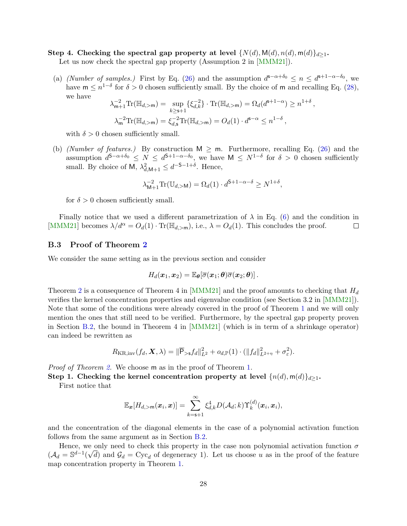## Step 4. Checking the spectral gap property at level  $\{N(d), M(d), n(d), m(d)\}_{d\geq 1}$ .

Let us now check the spectral gap property (Assumption 2 in [\[MMM21\]](#page-15-11)).

(a) (Number of samples.) First by Eq. [\(26\)](#page-24-2) and the assumption  $d^{s-\alpha+\delta_0} \leq n \leq d^{s+1-\alpha-\delta_0}$ , we have  $m \leq n^{1-\delta}$  for  $\delta > 0$  chosen sufficiently small. By the choice of m and recalling Eq. [\(28\)](#page-25-1), we have

$$
\lambda_{m+1}^{-2} \text{Tr}(\mathbb{H}_{d,>m}) = \sup_{k \ge s+1} \{ \xi_{d,k}^{-2} \} \cdot \text{Tr}(\mathbb{H}_{d,>m}) = \Omega_d(d^{s+1-\alpha}) \ge n^{1+\delta}
$$
  

$$
\lambda_m^{-2} \text{Tr}(\mathbb{H}_{d,>m}) = \xi_{d,s}^{-2} \text{Tr}(\mathbb{H}_{d,>m}) = O_d(1) \cdot d^{s-\alpha} \le n^{1-\delta},
$$

,

with  $\delta > 0$  chosen sufficiently small.

(b) (Number of features.) By construction  $M \geq m$ . Furthermore, recalling Eq. [\(26\)](#page-24-2) and the assumption  $d^{\mathsf{S}-\alpha+\delta_0} \leq N \leq d^{\mathsf{S}+1-\alpha-\delta_0}$ , we have  $\mathsf{M} \leq N^{1-\delta}$  for  $\delta > 0$  chosen sufficiently small. By choice of M,  $\lambda_{d,M+1}^2 \leq d^{-S-1+\delta}$ . Hence,

$$
\lambda_{\mathsf{M}+1}^{-2} \mathrm{Tr}(\mathbb{U}_{d,>\mathsf{M}}) = \Omega_d(1) \cdot d^{\mathsf{S}+1-\alpha-\delta} \ge N^{1+\delta},
$$

for  $\delta > 0$  chosen sufficiently small.

Finally notice that we used a different parametrization of  $\lambda$  in Eq. [\(6\)](#page-7-3) and the condition in [\[MMM21\]](#page-15-11) becomes  $\lambda/d^{\alpha} = O_d(1) \cdot \text{Tr}(\mathbb{H}_{d,\geq m})$ , i.e.,  $\lambda = O_d(1)$ . This concludes the proof.  $\Box$ 

## <span id="page-27-0"></span>B.3 Proof of Theorem [2](#page-9-1)

We consider the same setting as in the previous section and consider

$$
H_d(\boldsymbol{x}_1,\boldsymbol{x}_2) = \mathbb{E}_{\boldsymbol{\theta}}[\overline{\sigma}(\boldsymbol{x}_1;\boldsymbol{\theta})\overline{\sigma}(\boldsymbol{x}_2;\boldsymbol{\theta})].
$$

Theorem [2](#page-9-1) is a consequence of Theorem 4 in [\[MMM21\]](#page-15-11) and the proof amounts to checking that  $H_d$ verifies the kernel concentration properties and eigenvalue condition (see Section 3.2 in [\[MMM21\]](#page-15-11)). Note that some of the conditions were already covered in the proof of Theorem [1](#page-8-0) and we will only mention the ones that still need to be verified. Furthermore, by the spectral gap property proven in Section [B.2,](#page-23-2) the bound in Theorem 4 in [\[MMM21\]](#page-15-11) (which is in term of a shrinkage operator) can indeed be rewritten as

$$
R_{\text{KR,inv}}(f_d, \mathbf{X}, \lambda) = \|\overline{\mathsf{P}}_{>s} f_d\|_{L^2}^2 + o_{d,\mathbb{P}}(1) \cdot (\|f_d\|_{L^{2+\eta}}^2 + \sigma_{\varepsilon}^2).
$$

*Proof of Theorem [2.](#page-9-1)* We choose m as in the proof of Theorem [1.](#page-8-0)

Step 1. Checking the kernel concentration property at level  $\{n(d), m(d)\}_{d\geq 1}$ .

First notice that

$$
\mathbb{E}_{\boldsymbol{x}}[H_{d,\gt;\mathsf{m}}(\boldsymbol{x}_i,\boldsymbol{x})] = \sum_{k=\mathsf{s}+1}^{\infty} \xi_{d,k}^4 D(\mathcal{A}_d;k) \Upsilon_k^{(d)}(\boldsymbol{x}_i,\boldsymbol{x}_i),
$$

and the concentration of the diagonal elements in the case of a polynomial activation function follows from the same argument as in Section [B.2.](#page-23-2)

Hence, we only need to check this property in the case non polynomial activation function  $\sigma$  $(\mathcal{A}_d = \mathbb{S}^{d-1}(\sqrt{d})$  and  $\mathcal{G}_d = \text{Cyc}_d$  of degeneracy 1). Let us choose u as in the proof of the feature map concentration property in Theorem [1.](#page-8-0)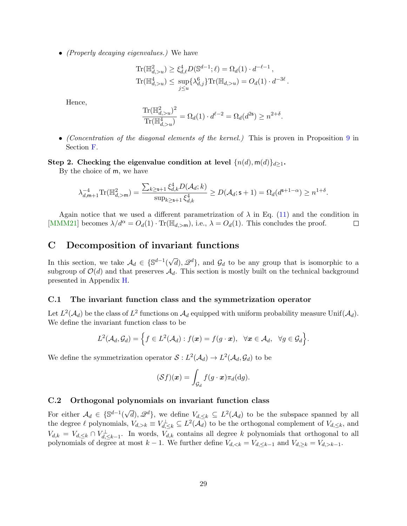• *(Properly decaying eigenvalues.)* We have

$$
\text{Tr}(\mathbb{H}_{d,>u}^2) \ge \xi_{d,\ell}^4 D(\mathbb{S}^{d-1}; \ell) = \Omega_d(1) \cdot d^{-\ell-1},
$$
  
\n
$$
\text{Tr}(\mathbb{H}_{d,>u}^4) \le \sup_{j \le u} \{\lambda_{d,j}^6\} \text{Tr}(\mathbb{H}_{d,>u}) = O_d(1) \cdot d^{-3\ell}.
$$

Hence,

$$
\frac{\text{Tr}(\mathbb{H}_{d,>u}^2)^2}{\text{Tr}(\mathbb{H}_{d,>u}^4)} = \Omega_d(1) \cdot d^{\ell-2} = \Omega_d(d^{2\mathsf{s}}) \ge n^{2+\delta}.
$$

• (Concentration of the diagonal elements of the kernel.) This is proven in Proposition [9](#page-43-0) in Section [F.](#page-41-0)

## Step 2. Checking the eigenvalue condition at level  $\{n(d), m(d)\}_{d\geq 1}$ .

By the choice of m, we have

$$
\lambda_{d,\mathsf{m}+1}^{-4}\text{Tr}(\mathbb{H}^2_{d,>\mathsf{m}})=\frac{\sum_{k\geq \mathsf{s}+1}\xi_{d,k}^4D(\mathcal{A}_d;k)}{\sup_{k\geq \mathsf{s}+1}\xi_{d,k}^4}\geq D(\mathcal{A}_d;\mathsf{s}+1)=\Omega_d(d^{\mathsf{s}+1-\alpha})\geq n^{1+\delta}.
$$

Again notice that we used a different parametrization of  $\lambda$  in Eq. [\(11\)](#page-9-4) and the condition in [\[MMM21\]](#page-15-11) becomes  $\lambda/d^{\alpha} = O_d(1) \cdot \text{Tr}(\mathbb{H}_{d,\geq m})$ , i.e.,  $\lambda = O_d(1)$ . This concludes the proof.  $\Box$ 

# <span id="page-28-0"></span>C Decomposition of invariant functions

In this section, we take  $A_d \in \{S^{d-1}(\}$  $\sqrt{d}$ ,  $\mathscr{Q}^d$ , and  $\mathcal{G}_d$  to be any group that is isomorphic to a subgroup of  $\mathcal{O}(d)$  and that preserves  $\mathcal{A}_d$ . This section is mostly built on the technical background presented in Appendix [H.](#page-57-0)

## <span id="page-28-1"></span>C.1 The invariant function class and the symmetrization operator

Let  $L^2(\mathcal{A}_d)$  be the class of  $L^2$  functions on  $\mathcal{A}_d$  equipped with uniform probability measure Unif $(\mathcal{A}_d)$ . We define the invariant function class to be

$$
L^2(\mathcal{A}_d,\mathcal{G}_d)=\Big\{f\in L^2(\mathcal{A}_d):f(\boldsymbol{x})=f(g\cdot\boldsymbol{x}),\;\;\forall \boldsymbol{x}\in\mathcal{A}_d,\;\;\forall g\in\mathcal{G}_d\Big\}.
$$

We define the symmetrization operator  $S: L^2(\mathcal{A}_d) \to L^2(\mathcal{A}_d, \mathcal{G}_d)$  to be

$$
(\mathcal{S}f)(\boldsymbol{x}) = \int_{\mathcal{G}_d} f(g \cdot \boldsymbol{x}) \pi_d(\mathrm{d}g).
$$

### <span id="page-28-2"></span>C.2 Orthogonal polynomials on invariant function class

For either  $A_d \in \{\mathbb{S}^{d-1}(\}$  $\sqrt{d}$ ,  $\mathscr{Q}^d$ }, we define  $V_{d,\leq k} \subseteq L^2(\mathcal{A}_d)$  to be the subspace spanned by all the degree  $\ell$  polynomials,  $V_{d,\geq k} \equiv V_{d,\leq k}^{\perp} \subseteq L^2(\overline{\mathcal{A}_d})$  to be the orthogonal complement of  $V_{d,\leq k}$ , and  $V_{d,k} = V_{d,\leq k} \cap V_{d,\leq k-1}^{\perp}$ . In words,  $V_{d,k}$  contains all degree k polynomials that orthogonal to all polynomials of degree at most  $k-1$ . We further define  $V_{d,\leq k} = V_{d,\leq k-1}$  and  $V_{d,\geq k} = V_{d,\geq k-1}$ .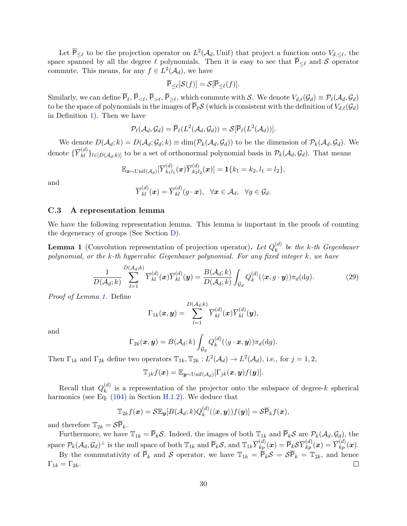Let  $\overline{P}_{\leq \ell}$  to be the projection operator on  $L^2(\mathcal{A}_d, \text{Unif})$  that project a function onto  $V_{d,\leq \ell}$ , the space spanned by all the degree  $\ell$  polynomials. Then it is easy to see that  $\overline{P}_{\leq \ell}$  and S operator commute. This means, for any  $f \in L^2(\mathcal{A}_d)$ , we have

$$
\overline{\mathsf{P}}_{\leq \ell}[\mathcal{S}(f)] = \mathcal{S}[\overline{\mathsf{P}}_{\leq \ell}(f)].
$$

Similarly, we can define  $P_\ell, P_{\leq \ell}, P_{\geq \ell}$ , which commute with S. We denote  $V_{d,\ell}(\mathcal{G}_d) \equiv \mathcal{P}_\ell(\mathcal{A}_d, \mathcal{G}_d)$ to be the space of polynomials in the images of  $\overline{P}_\ell S$  (which is consistent with the definition of  $V_{d,\ell}(\mathcal{G}_d)$ in Definition [1\)](#page-3-1). Then we have

$$
\mathcal{P}_{\ell}(\mathcal{A}_d, \mathcal{G}_d) = \overline{\mathsf{P}}_{\ell}(L^2(\mathcal{A}_d, \mathcal{G}_d)) = \mathcal{S}[\overline{\mathsf{P}}_{\ell}(L^2(\mathcal{A}_d))].
$$

We denote  $D(\mathcal{A}_d; k) = D(\mathcal{A}_d; \mathcal{G}_d; k) \equiv \dim(\mathcal{P}_k(\mathcal{A}_d, \mathcal{G}_d))$  to be the dimension of  $\mathcal{P}_k(\mathcal{A}_d, \mathcal{G}_d)$ . We denote  $\{\overline{Y}_{kl}^{(d)}\}_{l\in[D(\mathcal{A}_d;k)]}$  to be a set of orthonormal polynomial basis in  $\mathcal{P}_k(\mathcal{A}_d,\mathcal{G}_d)$ . That means

$$
\mathbb{E}_{\boldsymbol{x}\sim\text{Unif}(\mathcal{A}_d)}[\overline{Y}_{k_1l_1}^{(d)}(\boldsymbol{x})\overline{Y}_{k_2l_2}^{(d)}(\boldsymbol{x})]=\mathbf{1}\{k_1=k_2,l_1=l_2\},\
$$

and

$$
\overline{Y}_{kl}^{(d)}(\boldsymbol{x})=\overline{Y}_{kl}^{(d)}(g\cdot\boldsymbol{x}),\ \ \forall \boldsymbol{x}\in\mathcal{A}_d,\ \ \forall g\in\mathcal{G}_d.
$$

#### <span id="page-29-0"></span>C.3 A representation lemma

We have the following representation lemma. This lemma is important in the proofs of counting the degeneracy of groups (See Section [D\)](#page-30-1).

<span id="page-29-1"></span>**Lemma 1** (Convolution representation of projection operator). Let  $Q_k^{(d)}$  $\binom{a}{k}$  be the k-th Gegenbauer polynomial, or the  $k$ -th hypercubic Gegenbauer polynomial. For any fixed integer  $k$ , we have

$$
\frac{1}{D(\mathcal{A}_d;k)}\sum_{l=1}^{D(\mathcal{A}_d;k)}\overline{Y}_{kl}^{(d)}(\boldsymbol{x})\overline{Y}_{kl}^{(d)}(\boldsymbol{y})=\frac{B(\mathcal{A}_d;k)}{D(\mathcal{A}_d;k)}\int_{\mathcal{G}_d}Q_k^{(d)}(\langle \boldsymbol{x},g\cdot\boldsymbol{y}\rangle)\pi_d(\mathrm{d}g).
$$
 (29)

Proof of Lemma [1.](#page-29-1) Define

$$
\Gamma_{1k}(\boldsymbol{x},\boldsymbol{y})=\sum_{l=1}^{D(\mathcal{A}_d;k)}\overline{Y}_{kl}^{(d)}(\boldsymbol{x})\overline{Y}_{kl}^{(d)}(\boldsymbol{y}),
$$

and

$$
\Gamma_{2k}(\boldsymbol{x},\boldsymbol{y})=B(\mathcal{A}_d;k)\int_{\mathcal{G}_d}Q_k^{(d)}(\langle g\cdot\boldsymbol{x},\boldsymbol{y}\rangle)\pi_d(\mathrm{d}g).
$$

Then  $\Gamma_{1k}$  and  $\Gamma_{2k}$  define two operators  $\mathbb{T}_{1k}$ ,  $\mathbb{T}_{2k}$  :  $L^2(\mathcal{A}_d) \to L^2(\mathcal{A}_d)$ , i.e., for  $j = 1, 2$ ,

$$
\mathbb{T}_{jk}f(\boldsymbol{x}) = \mathbb{E}_{\boldsymbol{y} \sim \text{Unif}(\mathcal{A}_d)}[\Gamma_{jk}(\boldsymbol{x}, \boldsymbol{y})f(\boldsymbol{y})].
$$

Recall that  $Q_k^{(d)}$  $\binom{u}{k}$  is a representation of the projector onto the subspace of degree-k spherical harmonics (see Eq.  $(104)$  in Section [H.1.2\)](#page-58-0). We deduce that

$$
\mathbb{T}_{2k}f(\boldsymbol{x})=\mathcal{S}\mathbb{E}_{\boldsymbol{y}}[B(\mathcal{A}_d;k)Q_k^{(d)}(\langle \boldsymbol{x},\boldsymbol{y}\rangle)f(\boldsymbol{y})]=\mathcal{S}\overline{\mathsf{P}}_kf(\boldsymbol{x}),
$$

and therefore  $\mathbb{T}_{2k} = \mathcal{S}\overline{P}_k$ .

Furthermore, we have  $\mathbb{T}_{1k} = \overline{P}_k \mathcal{S}$ . Indeed, the images of both  $\mathbb{T}_{1k}$  and  $\overline{P}_k \mathcal{S}$  are  $\mathcal{P}_k(\mathcal{A}_d, \mathcal{G}_d)$ , the space  $\mathcal{P}_k(\mathcal{A}_d, \mathcal{G}_d)^{\perp}$  is the null space of both  $\mathbb{T}_{1k}$  and  $\overline{\mathsf{P}}_k\mathcal{S}$ , and  $\mathbb{T}_{1k} \overline{Y}_{kp}^{(d)}(\boldsymbol{x}) = \overline{\mathsf{P}}_k \mathcal{S} \overline{Y}_{kp}^{(d)}(\boldsymbol{x}) = \overline{Y}_{kp}^{(d)}(\boldsymbol{x})$ .

By the commutativity of  $\overline{P}_k$  and S operator, we have  $\mathbb{T}_{1k} = \overline{P}_k \mathcal{S} = \mathcal{S}\overline{P}_k = \mathbb{T}_{2k}$ , and hence  $\Gamma_{1k} = \Gamma_{2k}.$ П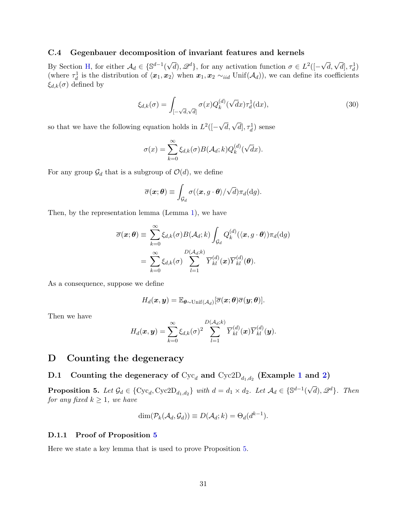### <span id="page-30-0"></span>C.4 Gegenbauer decomposition of invariant features and kernels

By Section [H,](#page-57-0) for either  $A_d \in \{S^{d-1}(\}$  $\sqrt{d}$ ),  $\mathscr{Q}^d$ }, for any activation function  $\sigma \in L^2([ \sqrt{d}, \sqrt{d}], \tau_d^1)$ (where  $\tau_d^1$  is the distribution of  $\langle x_1, x_2 \rangle$  when  $x_1, x_2 \sim_{iid} \text{Unif}(\mathcal{A}_d)$ ), we can define its coefficients  $\xi_{d,k}(\sigma)$  defined by

$$
\xi_{d,k}(\sigma) = \int_{\left[-\sqrt{d},\sqrt{d}\right]} \sigma(x) Q_k^{(d)}(\sqrt{d}x) \tau_d^1(\mathrm{d}x),\tag{30}
$$

so that we have the following equation holds in  $L^2([ \sqrt{d}, \sqrt{d}$ ,  $\tau_d^1$ ) sense

$$
\sigma(x) = \sum_{k=0}^{\infty} \xi_{d,k}(\sigma) B(\mathcal{A}_d; k) Q_k^{(d)}(\sqrt{d}x).
$$

For any group  $\mathcal{G}_d$  that is a subgroup of  $\mathcal{O}(d)$ , we define

$$
\overline{\sigma}(\boldsymbol{x};\boldsymbol{\theta})\equiv\int_{\mathcal{G}_d}\sigma(\langle \boldsymbol{x},g\cdot \boldsymbol{\theta}\rangle/\sqrt{d})\pi_d(\mathrm{d} g).
$$

Then, by the representation lemma (Lemma [1\)](#page-29-1), we have

$$
\overline{\sigma}(\boldsymbol{x};\boldsymbol{\theta}) \equiv \sum_{k=0}^{\infty} \xi_{d,k}(\sigma) B(\mathcal{A}_d; k) \int_{\mathcal{G}_d} Q_k^{(d)}(\langle \boldsymbol{x}, g \cdot \boldsymbol{\theta} \rangle) \pi_d(\mathrm{d}g)
$$

$$
= \sum_{k=0}^{\infty} \xi_{d,k}(\sigma) \sum_{l=1}^{D(\mathcal{A}_d; k)} \overline{Y}_{kl}^{(d)}(\boldsymbol{x}) \overline{Y}_{kl}^{(d)}(\boldsymbol{\theta}).
$$

As a consequence, suppose we define

$$
H_d(\boldsymbol{x},\boldsymbol{y}) = \mathbb{E}_{\boldsymbol{\theta} \sim \text{Unif}(\mathcal{A}_d)}[\overline{\sigma}(\boldsymbol{x}; \boldsymbol{\theta}) \overline{\sigma}(\boldsymbol{y}; \boldsymbol{\theta})].
$$

Then we have

$$
H_d(\boldsymbol{x}, \boldsymbol{y}) = \sum_{k=0}^{\infty} \xi_{d,k}(\sigma)^2 \sum_{l=1}^{D(\mathcal{A}_d;k)} \overline{Y}_{kl}^{(d)}(\boldsymbol{x}) \overline{Y}_{kl}^{(d)}(\boldsymbol{y}).
$$

## <span id="page-30-1"></span>D Counting the degeneracy

# <span id="page-30-2"></span>D.[1](#page-6-1) Counting the degeneracy of  $\text{Cyc}_d$  and  $\text{Cyc2D}_{d_1,d_2}$  (Example 1 and [2\)](#page-6-2)

<span id="page-30-3"></span>**Proposition 5.** Let  $\mathcal{G}_d \in \{\text{Cyc}_d, \text{Cyc2D}_{d_1, d_2}\}\$  with  $d = d_1 \times d_2$ . Let  $\mathcal{A}_d \in \{\mathbb{S}^{d-1}(\text{Cyc}_d, \text{Cyc}_d\})\}$  $\sqrt{d}$ ,  $\mathscr{Q}^d$ . Then for any fixed  $k \geq 1$ , we have

$$
\dim(\mathcal{P}_k(\mathcal{A}_d, \mathcal{G}_d)) \equiv D(\mathcal{A}_d; k) = \Theta_d(d^{k-1}).
$$

#### <span id="page-30-4"></span>D.1.1 Proof of Proposition [5](#page-30-3)

Here we state a key lemma that is used to prove Proposition [5.](#page-30-3)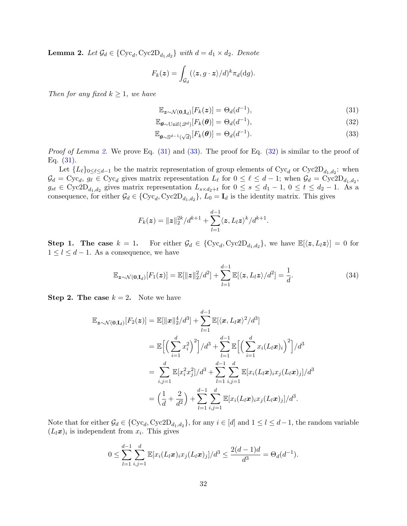<span id="page-31-0"></span>**Lemma 2.** Let  $\mathcal{G}_d \in \{ \text{Cyc}_d, \text{Cyc2D}_{d_1, d_2} \}$  with  $d = d_1 \times d_2$ . Denote

$$
F_k(\boldsymbol{z}) = \int_{\mathcal{G}_d} (\langle \boldsymbol{z}, g \cdot \boldsymbol{z} \rangle / d)^k \pi_d(\mathrm{d}g).
$$

Then for any fixed  $k \geq 1$ , we have

<span id="page-31-3"></span><span id="page-31-2"></span><span id="page-31-1"></span>
$$
\mathbb{E}_{\mathbf{z}\sim\mathcal{N}(\mathbf{0},\mathbf{I}_d)}[F_k(\mathbf{z})] = \Theta_d(d^{-1}),\tag{31}
$$

$$
\mathbb{E}_{\boldsymbol{\theta} \sim \text{Unif}(\mathscr{Q}^d)}[F_k(\boldsymbol{\theta})] = \Theta_d(d^{-1}),\tag{32}
$$

$$
\mathbb{E}_{\boldsymbol{\theta}\sim\mathbb{S}^{d-1}(\sqrt{d})}[F_k(\boldsymbol{\theta})] = \Theta_d(d^{-1}).
$$
\n(33)

Proof of Lemma [2.](#page-31-0) We prove Eq. [\(31\)](#page-31-1) and [\(33\)](#page-31-2). The proof for Eq. [\(32\)](#page-31-3) is similar to the proof of Eq. [\(31\)](#page-31-1).

Let  ${L_\ell}_{0 \leq \ell \leq d-1}$  be the matrix representation of group elements of  $Cyc_d$  or  $Cyc2D_{d_1,d_2}$ : when  $\mathcal{G}_d = \text{Cyc}_d$ ,  $g_\ell \in \text{Cyc}_d$  gives matrix representation  $L_\ell$  for  $0 \leq \ell \leq d-1$ ; when  $\mathcal{G}_d = \text{Cyc2D}_{d_1,d_2}$ ,  $g_{st} \in \text{Cyc2D}_{d_1, d_2}$  gives matrix representation  $L_{s \times d_2 + t}$  for  $0 \le s \le d_1 - 1$ ,  $0 \le t \le d_2 - 1$ . As a consequence, for either  $\mathcal{G}_d \in \{\text{Cyc}_d, \text{Cyc2D}_{d_1,d_2}\}, L_0 = \mathbf{I}_d$  is the identity matrix. This gives

$$
F_k(z) = ||z||_2^{2k} / d^{k+1} + \sum_{l=1}^{d-1} \langle z, L_l z \rangle^k / d^{k+1}.
$$

**Step 1. The case**  $k = 1$ . For either  $\mathcal{G}_d \in \{ \text{Cyc}_d, \text{Cyc2D}_{d_1, d_2} \}$ , we have  $\mathbb{E}[\langle z, L_l z \rangle] = 0$  for  $1 \leq l \leq d-1$ . As a consequence, we have

<span id="page-31-4"></span>
$$
\mathbb{E}_{\mathbf{z}\sim\mathcal{N}(\mathbf{0},\mathbf{I}_d)}[F_1(\mathbf{z})] = \mathbb{E}[\|\mathbf{z}\|_2^2/d^2] + \sum_{l=1}^{d-1} \mathbb{E}[\langle \mathbf{z}, L_l \mathbf{z} \rangle/d^2] = \frac{1}{d}.
$$
 (34)

**Step 2. The case**  $k = 2$ . Note we have

$$
\mathbb{E}_{\mathbf{z}\sim\mathcal{N}(\mathbf{0},\mathbf{I}_d)}[F_2(\mathbf{z})] = \mathbb{E}[\|\mathbf{x}\|_2^4/d^3] + \sum_{l=1}^{d-1} \mathbb{E}[\langle \mathbf{x}, L_l \mathbf{x} \rangle^2/d^3]
$$
  
\n
$$
= \mathbb{E}\Big[\Big(\sum_{i=1}^d x_i^2\Big)^2\Big]/d^3 + \sum_{l=1}^{d-1} \mathbb{E}\Big[\Big(\sum_{i=1}^d x_i (L_l \mathbf{x})_i\Big)^2\Big]/d^3
$$
  
\n
$$
= \sum_{i,j=1}^d \mathbb{E}[x_i^2 x_j^2]/d^3 + \sum_{l=1}^{d-1} \sum_{i,j=1}^d \mathbb{E}[x_i (L_l \mathbf{x})_i x_j (L_l \mathbf{x})_j]/d^3
$$
  
\n
$$
= \Big(\frac{1}{d} + \frac{2}{d^2}\Big) + \sum_{l=1}^{d-1} \sum_{i,j=1}^d \mathbb{E}[x_i (L_l \mathbf{x})_i x_j (L_l \mathbf{x})_j]/d^3.
$$

Note that for either  $\mathcal{G}_d \in \{\text{Cyc}_d, \text{Cyc2D}_{d_1,d_2}\}$ , for any  $i \in [d]$  and  $1 \leq l \leq d-1$ , the random variable  $(L_l x)_i$  is independent from  $x_i$ . This gives

$$
0 \leq \sum_{l=1}^{d-1} \sum_{i,j=1}^d \mathbb{E}[x_i(L_l \boldsymbol{x})_i x_j(L_l \boldsymbol{x})_j]/d^3 \leq \frac{2(d-1)d}{d^3} = \Theta_d(d^{-1}).
$$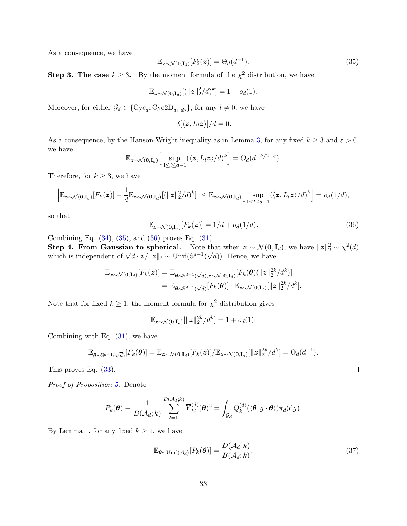As a consequence, we have

<span id="page-32-0"></span>
$$
\mathbb{E}_{\mathbf{z}\sim\mathcal{N}(\mathbf{0},\mathbf{I}_d)}[F_2(\mathbf{z})] = \Theta_d(d^{-1}).\tag{35}
$$

**Step 3. The case**  $k \geq 3$ . By the moment formula of the  $\chi^2$  distribution, we have

$$
\mathbb{E}_{\mathbf{z}\sim\mathcal{N}(\mathbf{0},\mathbf{I}_d)}[(\|\mathbf{z}\|_2^2/d)^k] = 1 + o_d(1).
$$

Moreover, for either  $\mathcal{G}_d \in \{\text{Cyc}_d, \text{Cyc2D}_{d_1, d_2}\}$ , for any  $l \neq 0$ , we have

$$
\mathbb{E}[\langle z, L_l z \rangle]/d = 0.
$$

As a consequence, by the Hanson-Wright inequality as in Lemma [3,](#page-33-1) for any fixed  $k \ge 3$  and  $\varepsilon > 0$ , we have

$$
\mathbb{E}_{\boldsymbol{z}\sim\mathcal{N}(\mathbf{0},\mathbf{I}_d)}\Big[\sup_{1\leq l\leq d-1}(\langle \boldsymbol{z},L_l\boldsymbol{z}\rangle/d)^k\Big] = O_d(d^{-k/2+\varepsilon}).
$$

Therefore, for  $k \geq 3$ , we have

$$
\left|\mathbb{E}_{\boldsymbol{z}\sim\mathcal{N}(\mathbf{0},\mathbf{I}_d)}[F_k(\boldsymbol{z})] - \frac{1}{d}\mathbb{E}_{\boldsymbol{z}\sim\mathcal{N}(\mathbf{0},\mathbf{I}_d)}[(\|\boldsymbol{z}\|_2^2/d)^k]\right| \leq \mathbb{E}_{\boldsymbol{z}\sim\mathcal{N}(\mathbf{0},\mathbf{I}_d)}\Big[\sup_{1\leq l\leq d-1}(\langle \boldsymbol{z},L_l\boldsymbol{z}\rangle/d)^k\Big] = o_d(1/d),
$$

so that

<span id="page-32-1"></span>
$$
\mathbb{E}_{\mathbf{z}\sim\mathcal{N}(\mathbf{0},\mathbf{I}_d)}[F_k(\mathbf{z})] = 1/d + o_d(1/d). \tag{36}
$$

Combining Eq. [\(34\)](#page-31-4), [\(35\)](#page-32-0), and [\(36\)](#page-32-1) proves Eq. [\(31\)](#page-31-1).

Step 4. From Gaussian to spherical. Note that when  $z \sim \mathcal{N}(0, \mathbf{I}_d)$ , we have  $||z||_2^2 \sim \chi^2(d)$ **Step 4. From Gaussian to spherical.** Note that when  $\mathbf{z} \sim \mathcal{N}(\mathbf{0}, \mathbf{0})$ , which is independent of  $\sqrt{d} \cdot \mathbf{z}/\|\mathbf{z}\|_2 \sim \text{Unif}(\mathbb{S}^{d-1}(\sqrt{d}))$ . Hence, we have

$$
\mathbb{E}_{\mathbf{z}\sim\mathcal{N}(\mathbf{0},\mathbf{I}_d)}[F_k(\mathbf{z})] = \mathbb{E}_{\boldsymbol{\theta}\sim\mathbb{S}^{d-1}(\sqrt{d}),\mathbf{z}\sim\mathcal{N}(\mathbf{0},\mathbf{I}_d)}[F_k(\boldsymbol{\theta})(\|\mathbf{z}\|_2^{2k}/d^k)]
$$
  
= 
$$
\mathbb{E}_{\boldsymbol{\theta}\sim\mathbb{S}^{d-1}(\sqrt{d})}[F_k(\boldsymbol{\theta})] \cdot \mathbb{E}_{\mathbf{z}\sim\mathcal{N}(\mathbf{0},\mathbf{I}_d)}[\|\mathbf{z}\|_2^{2k}/d^k].
$$

Note that for fixed  $k \geq 1$ , the moment formula for  $\chi^2$  distribution gives

$$
\mathbb{E}_{\boldsymbol{z}\sim\mathcal{N}(\mathbf{0},\mathbf{I}_d)}[\|\boldsymbol{z}\|_2^{2k}/d^k] = 1 + o_d(1).
$$

Combining with Eq.  $(31)$ , we have

$$
\mathbb{E}_{\boldsymbol{\theta}\sim\mathbb{S}^{d-1}(\sqrt{d})}[F_k(\boldsymbol{\theta})]=\mathbb{E}_{\boldsymbol{z}\sim\mathcal{N}(\mathbf{0},\mathbf{I}_d)}[F_k(\boldsymbol{z})]/\mathbb{E}_{\boldsymbol{z}\sim\mathcal{N}(\mathbf{0},\mathbf{I}_d)}[\|\boldsymbol{z}\|_2^{2k}/d^k]=\Theta_d(d^{-1}).
$$

This proves Eq. [\(33\)](#page-31-2).

Proof of Proposition [5.](#page-30-3) Denote

$$
P_k(\boldsymbol{\theta}) \equiv \frac{1}{B(\mathcal{A}_d; k)} \sum_{l=1}^{D(\mathcal{A}_d; k)} \overline{Y}_{kl}^{(d)}(\boldsymbol{\theta})^2 = \int_{\mathcal{G}_d} Q_k^{(d)}(\langle \boldsymbol{\theta}, g \cdot \boldsymbol{\theta} \rangle) \pi_d(\mathrm{d}g).
$$

By Lemma [1,](#page-29-1) for any fixed  $k \geq 1$ , we have

<span id="page-32-2"></span>
$$
\mathbb{E}_{\boldsymbol{\theta} \sim \text{Unif}(\mathcal{A}_d)}[P_k(\boldsymbol{\theta})] = \frac{D(\mathcal{A}_d; k)}{B(\mathcal{A}_d; k)}.
$$
\n(37)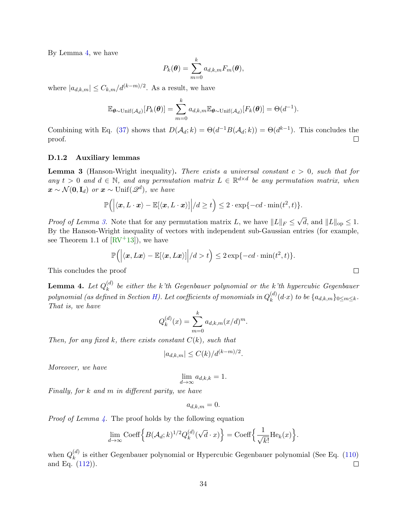By Lemma [4,](#page-33-2) we have

$$
P_k(\boldsymbol{\theta}) = \sum_{m=0}^k a_{d,k,m} F_m(\boldsymbol{\theta}),
$$

where  $|a_{d,k,m}| \leq C_{k,m}/d^{(k-m)/2}$ . As a result, we have

$$
\mathbb{E}_{\boldsymbol{\theta} \sim \text{Unif}(\mathcal{A}_d)}[P_k(\boldsymbol{\theta})] = \sum_{m=0}^k a_{d,k,m} \mathbb{E}_{\boldsymbol{\theta} \sim \text{Unif}(\mathcal{A}_d)}[F_k(\boldsymbol{\theta})] = \Theta(d^{-1}).
$$

Combining with Eq. [\(37\)](#page-32-2) shows that  $D(\mathcal{A}_d; k) = \Theta(d^{-1}B(\mathcal{A}_d; k)) = \Theta(d^{k-1})$ . This concludes the  $\Box$ proof.

#### <span id="page-33-0"></span>D.1.2 Auxiliary lemmas

<span id="page-33-1"></span>**Lemma 3** (Hanson-Wright inequality). There exists a universal constant  $c > 0$ , such that for any  $t > 0$  and  $d \in \mathbb{N}$ , and any permutation matrix  $L \in \mathbb{R}^{d \times d}$  be any permutation matrix, when  $\boldsymbol{x} \sim \mathcal{N}(\mathbf{0}, \mathbf{I}_d)$  or  $\boldsymbol{x} \sim \text{Unif}(\mathscr{Q}^d)$ , we have

$$
\mathbb{P}\Big(\Big|\langle \boldsymbol{x}, L \cdot \boldsymbol{x}\rangle - \mathbb{E}[\langle \boldsymbol{x}, L \cdot \boldsymbol{x}\rangle]\Big|/d \ge t\Big) \le 2 \cdot \exp\{-cd \cdot \min(t^2, t)\}.
$$

*Proof of Lemma [3.](#page-33-1)* Note that for any permutation matrix L, we have  $||L||_F \le$ d, and  $||L||_{op} \leq 1$ . By the Hanson-Wright inequality of vectors with independent sub-Gaussian entries (for example, see Theorem 1.1 of  $[RV^+13]$ , we have

$$
\mathbb{P}\Big(\Big| \langle \boldsymbol{x}, L\boldsymbol{x}\rangle - \mathbb{E}[\langle \boldsymbol{x}, L\boldsymbol{x}\rangle]\Big| / d > t\Big) \leq 2\exp\{-cd\cdot\min(t^2, t)\}.
$$

This concludes the proof

<span id="page-33-2"></span>Lemma 4. Let  $Q_k^{(d)}$  $\binom{a}{k}$  be either the k'th Gegenbauer polynomial or the k'th hypercubic Gegenbauer polynomial (as defined in Section [H\)](#page-57-0). Let coefficients of monomials in  $Q_k^{(d)}$  $\binom{a}{k}(d\mathbf{\cdot} x)$  to be  $\{a_{d,k,m}\}_{0\leq m\leq k}$ . That is, we have

$$
Q_k^{(d)}(x) = \sum_{m=0}^k a_{d,k,m}(x/d)^m.
$$

Then, for any fixed k, there exists constant  $C(k)$ , such that

$$
|a_{d,k,m}| \le C(k)/d^{(k-m)/2}.
$$

Moreover, we have

$$
\lim_{d \to \infty} a_{d,k,k} = 1.
$$

Finally, for k and m in different parity, we have

$$
a_{d,k,m}=0.
$$

*Proof of Lemma [4.](#page-33-2)* The proof holds by the following equation

$$
\lim_{d \to \infty} \text{Coeff} \Big\{ B(\mathcal{A}_d; k)^{1/2} Q_k^{(d)}(\sqrt{d} \cdot x) \Big\} = \text{Coeff} \Big\{ \frac{1}{\sqrt{k!}} \text{He}_k(x) \Big\}.
$$

when  $Q_k^{(d)}$  $\binom{a}{k}$  is either Gegenbauer polynomial or Hypercubic Gegenbauer polynomial (See Eq. [\(110\)](#page-60-3) and Eq. [\(112\)](#page-61-4)).  $\Box$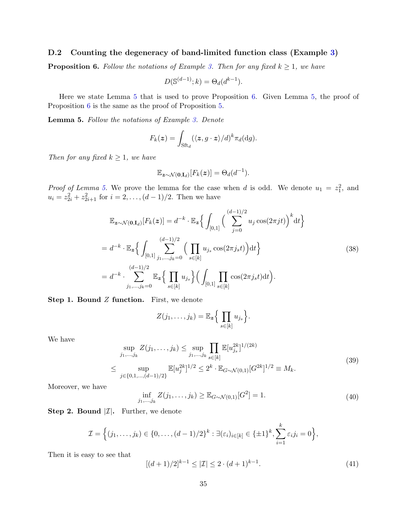## <span id="page-34-0"></span>D.2 Counting the degeneracy of band-limited function class (Example [3\)](#page-7-1)

<span id="page-34-2"></span>**Proposition 6.** Follow the notations of Example [3.](#page-7-1) Then for any fixed  $k \geq 1$ , we have

$$
D(\mathbb{S}^{(d-1)};k) = \Theta_d(d^{k-1}).
$$

Here we state Lemma [5](#page-34-1) that is used to prove Proposition [6.](#page-34-2) Given Lemma [5,](#page-34-1) the proof of Proposition [6](#page-34-2) is the same as the proof of Proposition [5.](#page-30-3)

<span id="page-34-1"></span>Lemma 5. Follow the notations of Example [3.](#page-7-1) Denote

$$
F_k(\boldsymbol{z}) = \int_{\mathrm{Sft}_d} (\langle \boldsymbol{z}, g \cdot \boldsymbol{z} \rangle / d)^k \pi_d(\mathrm{d}g).
$$

Then for any fixed  $k \geq 1$ , we have

$$
\mathbb{E}_{\boldsymbol{z}\sim\mathcal{N}(\mathbf{0},\mathbf{I}_d)}[F_k(\boldsymbol{z})] = \Theta_d(d^{-1}).
$$

*Proof of Lemma [5.](#page-34-1)* We prove the lemma for the case when d is odd. We denote  $u_1 = z_1^2$ , and  $u_i = z_{2i}^2 + z_{2i+1}^2$  for  $i = 2, ..., (d-1)/2$ . Then we have

<span id="page-34-3"></span>
$$
\mathbb{E}_{\mathbf{z}\sim\mathcal{N}(\mathbf{0},\mathbf{I}_d)}[F_k(\mathbf{z})] = d^{-k} \cdot \mathbb{E}_{\mathbf{z}} \Big\{ \int_{[0,1]} \Big( \sum_{j=0}^{(d-1)/2} u_j \cos(2\pi j t) \Big)^k \mathrm{d}t \Big\}
$$
  
=  $d^{-k} \cdot \mathbb{E}_{\mathbf{z}} \Big\{ \int_{[0,1]} \sum_{j_1,\ldots,j_k=0}^{(d-1)/2} \Big( \prod_{s \in [k]} u_{j_s} \cos(2\pi j_s t) \Big) \mathrm{d}t \Big\}$   
=  $d^{-k} \cdot \sum_{j_1,\ldots,j_k=0}^{(d-1)/2} \mathbb{E}_{\mathbf{z}} \Big\{ \prod_{s \in [k]} u_{j_s} \Big\} \Big( \int_{[0,1]} \prod_{s \in [k]} \cos(2\pi j_s t) \mathrm{d}t \Big).$  (38)

**Step 1. Bound**  $Z$  **function.** First, we denote

$$
Z(j_1,\ldots,j_k)=\mathbb{E}_{\boldsymbol{z}}\Big\{\prod_{s\in[k]}u_{j_s}\Big\}.
$$

We have

<span id="page-34-4"></span>
$$
\sup_{j_1,\dots,j_k} Z(j_1,\dots,j_k) \le \sup_{j_1,\dots,j_k} \prod_{s \in [k]} \mathbb{E}[u_{j_s}^{2k}]^{1/(2k)}
$$
  

$$
\le \sup_{j \in \{0,1,\dots,(d-1)/2\}} \mathbb{E}[u_j^{2k}]^{1/2} \le 2^k \cdot \mathbb{E}_{G \sim \mathcal{N}(0,1)}[G^{2k}]^{1/2} \equiv M_k.
$$
 (39)

Moreover, we have

<span id="page-34-6"></span>
$$
\inf_{j_1,\dots,j_k} Z(j_1,\dots,j_k) \geq \mathbb{E}_{G \sim \mathcal{N}(0,1)}[G^2] = 1.
$$
\n(40)

**Step 2. Bound**  $|\mathcal{I}|$ **.** Further, we denote

$$
\mathcal{I} = \Big\{ (j_1, \ldots, j_k) \in \{0, \ldots, (d-1)/2\}^k : \exists (\varepsilon_i)_{i \in [k]} \in {\{\pm 1\}}^k, \sum_{i=1}^k \varepsilon_i j_i = 0 \Big\},\
$$

Then it is easy to see that

<span id="page-34-5"></span>
$$
[(d+1)/2]^{k-1} \le |\mathcal{I}| \le 2 \cdot (d+1)^{k-1}.
$$
\n(41)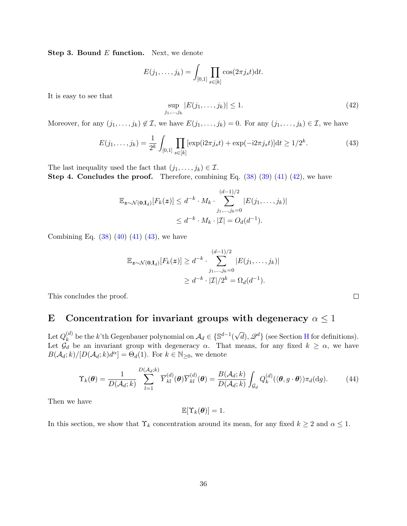**Step 3. Bound E function.** Next, we denote

$$
E(j_1,..., j_k) = \int_{[0,1]} \prod_{s \in [k]} \cos(2\pi j_s t) dt.
$$

It is easy to see that

<span id="page-35-1"></span>
$$
\sup_{j_1,\dots,j_k} |E(j_1,\dots,j_k)| \le 1.
$$
\n(42)

Moreover, for any  $(j_1, \ldots, j_k) \notin \mathcal{I}$ , we have  $E(j_1, \ldots, j_k) = 0$ . For any  $(j_1, \ldots, j_k) \in \mathcal{I}$ , we have

<span id="page-35-2"></span>
$$
E(j_1, \dots, j_k) = \frac{1}{2^k} \int_{[0,1]} \prod_{s \in [k]} [\exp(i2\pi j_s t) + \exp(-i2\pi j_s t)] dt \ge 1/2^k.
$$
 (43)

The last inequality used the fact that  $(j_1, \ldots, j_k) \in \mathcal{I}$ . **Step 4. Concludes the proof.** Therefore, combining Eq.  $(38)(39)(41)(42)$ , we have

$$
\mathbb{E}_{\mathbf{z}\sim\mathcal{N}(\mathbf{0},\mathbf{I}_d)}[F_k(\mathbf{z})] \leq d^{-k} \cdot M_k \cdot \sum_{j_1,\dots,j_k=0}^{(d-1)/2} |E(j_1,\dots,j_k)|
$$
  

$$
\leq d^{-k} \cdot M_k \cdot |\mathcal{I}| = O_d(d^{-1}).
$$

Combining Eq.  $(38)$   $(40)$   $(41)$   $(43)$ , we have

$$
\mathbb{E}_{\mathbf{z}\sim\mathcal{N}(\mathbf{0},\mathbf{I}_d)}[F_k(\mathbf{z})] \geq d^{-k} \cdot \sum_{j_1,\dots,j_k=0}^{(d-1)/2} |E(j_1,\dots,j_k)|
$$
  

$$
\geq d^{-k} \cdot |\mathcal{I}|/2^k = \Omega_d(d^{-1}).
$$

This concludes the proof.

# <span id="page-35-0"></span>E Concentration for invariant groups with degeneracy  $\alpha \leq 1$

 ${\rm Let}\, Q_k^{(d)}$  $\mathbf{k}^{(d)}$  be the k'th Gegenbauer polynomial on  $\mathcal{A}_d \in \{\mathbb{S}^{d-1}\}\$  $\sqrt{d}$ ,  $\mathscr{Q}^d$ } (see Section [H](#page-57-0) for definitions). Let  $\mathcal{G}_d$  be an invariant group with degeneracy  $\alpha$ . That means, for any fixed  $k \geq \alpha$ , we have  $B(\mathcal{A}_d; k)/[D(\mathcal{A}_d; k)d^{\alpha}] = \Theta_d(1)$ . For  $k \in \mathbb{N}_{\geq 0}$ , we denote

<span id="page-35-3"></span>
$$
\Upsilon_k(\boldsymbol{\theta}) = \frac{1}{D(\mathcal{A}_d; k)} \sum_{l=1}^{D(\mathcal{A}_d; k)} \overline{Y}_{kl}^{(d)}(\boldsymbol{\theta}) \overline{Y}_{kl}^{(d)}(\boldsymbol{\theta}) = \frac{B(\mathcal{A}_d; k)}{D(\mathcal{A}_d; k)} \int_{\mathcal{G}_d} Q_k^{(d)}(\langle \boldsymbol{\theta}, g \cdot \boldsymbol{\theta} \rangle) \pi_d(\mathrm{d}g). \tag{44}
$$

Then we have

$$
\mathbb{E}[\Upsilon_k(\boldsymbol{\theta})] = 1.
$$

In this section, we show that  $\Upsilon_k$  concentration around its mean, for any fixed  $k \geq 2$  and  $\alpha \leq 1$ .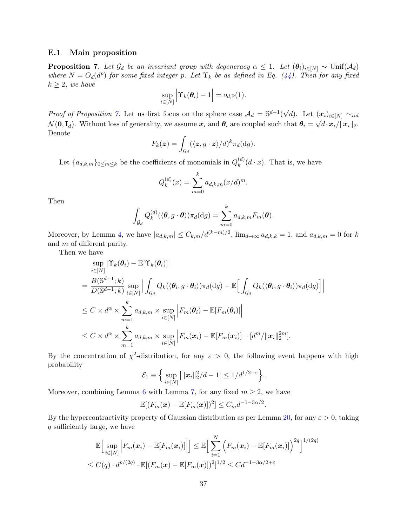### <span id="page-36-0"></span>E.1 Main proposition

<span id="page-36-1"></span>**Proposition 7.** Let  $\mathcal{G}_d$  be an invariant group with degeneracy  $\alpha \leq 1$ . Let  $(\theta_i)_{i \in [N]} \sim \text{Unif}(\mathcal{A}_d)$ where  $N = O_d(d^p)$  for some fixed integer p. Let  $\Upsilon_k$  be as defined in Eq. [\(44\)](#page-35-3). Then for any fixed  $k \geq 2$ , we have

$$
\sup_{i\in[N]}\Big|\Upsilon_k(\boldsymbol{\theta}_i)-1\Big|=o_{d,\mathbb{P}}(1).
$$

*Proof of Proposition [7.](#page-36-1)* Let us first focus on the sphere case  $\mathcal{A}_d = \mathbb{S}^{d-1}$ √ d). Let  $(\boldsymbol{x}_i)_{i\in[N]} \sim_{iid}$  $\mathcal{N}(\mathbf{0}, \mathbf{I}_d)$ . Without loss of generality, we assume  $\boldsymbol{x}_i$  and  $\boldsymbol{\theta}_i$  are coupled such that  $\boldsymbol{\theta}_i = \sqrt{d} \cdot \boldsymbol{x}_i / ||\boldsymbol{x}_i||_2$ . Denote

$$
F_k(z) = \int_{\mathcal{G}_d} (\langle z, g \cdot z \rangle / d)^k \pi_d(\mathrm{d}g).
$$

Let  $\{a_{d,k,m}\}_{0 \leq m \leq k}$  be the coefficients of monomials in  $Q_k^{(d)}$  $\binom{u}{k}(d \cdot x)$ . That is, we have

$$
Q_k^{(d)}(x) = \sum_{m=0}^k a_{d,k,m}(x/d)^m.
$$

Then

$$
\int_{\mathcal{G}_d} Q_k^{(d)} (\langle \boldsymbol{\theta}, g \cdot \boldsymbol{\theta} \rangle) \pi_d(\mathrm{d}g) = \sum_{m=0}^k a_{d,k,m} F_m(\boldsymbol{\theta}).
$$

Moreover, by Lemma [4,](#page-33-2) we have  $|a_{d,k,m}| \leq C_{k,m}/d^{(k-m)/2}$ ,  $\lim_{d\to\infty} a_{d,k,k} = 1$ , and  $a_{d,k,m} = 0$  for k and m of different parity.

Then we have

$$
\sup_{i \in [N]} |\Upsilon_{k}(\theta_{i}) - \mathbb{E}[\Upsilon_{k}(\theta_{i})]|
$$
\n
$$
= \frac{B(\mathbb{S}^{d-1}; k)}{D(\mathbb{S}^{d-1}; k)} \sup_{i \in [N]} \Big| \int_{\mathcal{G}_{d}} Q_{k}(\langle \theta_{i}, g \cdot \theta_{i} \rangle) \pi_{d}(\mathrm{d}g) - \mathbb{E} \Big[ \int_{\mathcal{G}_{d}} Q_{k}(\langle \theta_{i}, g \cdot \theta_{i} \rangle) \pi_{d}(\mathrm{d}g) \Big] \Big|
$$
\n
$$
\leq C \times d^{\alpha} \times \sum_{m=1}^{k} a_{d,k,m} \times \sup_{i \in [N]} \Big| F_{m}(\theta_{i}) - \mathbb{E}[F_{m}(\theta_{i})] \Big|
$$
\n
$$
\leq C \times d^{\alpha} \times \sum_{m=1}^{k} a_{d,k,m} \times \sup_{i \in [N]} \Big| F_{m}(x_{i}) - \mathbb{E}[F_{m}(x_{i})] \Big| \cdot [d^{m} / \|x_{i}\|_{2}^{2m}].
$$

 $\overline{\phantom{a}}$  $\overline{\phantom{a}}$ 

By the concentration of  $\chi^2$ -distribution, for any  $\varepsilon > 0$ , the following event happens with high probability

$$
\mathcal{E}_1 \equiv \left\{ \sup_{i \in [N]} \left| \|\boldsymbol{x}_i\|_2^2 / d - 1 \right| \leq 1 / d^{1/2 - \varepsilon} \right\}.
$$

Moreover, combining Lemma [6](#page-37-1) with Lemma [7,](#page-39-0) for any fixed  $m \geq 2$ , we have

$$
\mathbb{E}[(F_m(\boldsymbol{x}) - \mathbb{E}[F_m(\boldsymbol{x})])^2] \leq C_m d^{-1-3\alpha/2}.
$$

By the hypercontractivity property of Gaussian distribution as per Lemma [20,](#page-62-0) for any  $\varepsilon > 0$ , taking q sufficiently large, we have

$$
\mathbb{E}\Big[\sup_{i\in[N]}\Big|F_m(\boldsymbol{x}_i)-\mathbb{E}[F_m(\boldsymbol{x}_i)]\Big|\Big]\leq \mathbb{E}\Big[\sum_{i=1}^N\Big(F_m(\boldsymbol{x}_i)-\mathbb{E}[F_m(\boldsymbol{x}_i)]\Big)^{2q}\Big]^{1/(2q)}
$$
  

$$
\leq C(q)\cdot d^{p/(2q)}\cdot \mathbb{E}[(F_m(\boldsymbol{x})-\mathbb{E}[F_m(\boldsymbol{x})])^2]^{1/2}\leq Cd^{-1-3\alpha/2+\varepsilon}
$$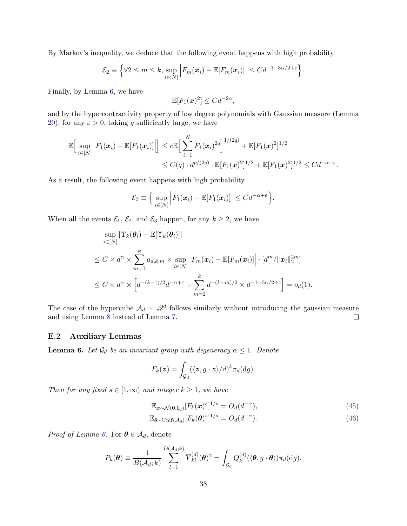By Markov's inequality, we deduce that the following event happens with high probability

$$
\mathcal{E}_2 \equiv \left\{ \forall 2 \leq m \leq k, \sup_{i \in [N]} \left| F_m(\boldsymbol{x}_i) - \mathbb{E}[F_m(\boldsymbol{x}_i)] \right| \leq C d^{-1-3\alpha/2+\varepsilon} \right\}.
$$

Finally, by Lemma [6,](#page-37-1) we have

$$
\mathbb{E}[F_1(\boldsymbol{x})^2] \leq C d^{-2\alpha},
$$

and by the hypercontractivity property of low degree polynomials with Gaussian measure (Lemma [20\)](#page-62-0), for any  $\varepsilon > 0$ , taking q sufficiently large, we have

$$
\mathbb{E}\Big[\sup_{i\in[N]}\Big|F_1(\boldsymbol{x}_i)-\mathbb{E}[F_1(\boldsymbol{x}_i)]\Big|\Big]\leq c\mathbb{E}\Big[\sum_{i=1}^N F_1(\boldsymbol{x}_i)^{2q}\Big]^{1/(2q)}+\mathbb{E}[F_1(\boldsymbol{x})^2]^{1/2} \leq C(q)\cdot d^{p/(2q)}\cdot \mathbb{E}[F_1(\boldsymbol{x})^2]^{1/2}+\mathbb{E}[F_1(\boldsymbol{x})^2]^{1/2}\leq Cd^{-\alpha+\varepsilon}.
$$

As a result, the following event happens with high probability

$$
\mathcal{E}_3 \equiv \Big\{\sup_{i\in[N]} \Big| F_1(\boldsymbol{x}_i) - \mathbb{E}[F_1(\boldsymbol{x}_i)] \Big| \leq C d^{-\alpha+\varepsilon} \Big\}.
$$

When all the events  $\mathcal{E}_1$ ,  $\mathcal{E}_2$ , and  $\mathcal{E}_3$  happen, for any  $k \geq 2$ , we have

$$
\sup_{i \in [N]} |\Upsilon_k(\theta_i) - \mathbb{E}[\Upsilon_k(\theta_i)]|
$$
\n
$$
\leq C \times d^{\alpha} \times \sum_{m=1}^k a_{d,k,m} \times \sup_{i \in [N]} \left| F_m(\boldsymbol{x}_i) - \mathbb{E}[F_m(\boldsymbol{x}_i)] \right| \cdot [d^m / \|\boldsymbol{x}_i\|_2^{2m}]
$$
\n
$$
\leq C \times d^{\alpha} \times \left[ d^{-(k-1)/2} d^{-\alpha + \varepsilon} + \sum_{m=2}^k d^{-(k-m)/2} \times d^{-1-3\alpha/2 + \varepsilon} \right] = o_d(1).
$$

The case of the hypercube  $\mathcal{A}_d \sim \mathcal{Q}^d$  follows similarly without introducing the gaussian measure and using Lemma [8](#page-40-0) instead of Lemma [7.](#page-39-0)  $\Box$ 

#### <span id="page-37-0"></span>E.2 Auxiliary Lemmas

<span id="page-37-1"></span>**Lemma 6.** Let  $\mathcal{G}_d$  be an invariant group with degeneracy  $\alpha \leq 1$ . Denote

$$
F_k(\boldsymbol{z}) = \int_{\mathcal{G}_d} (\langle \boldsymbol{z}, g \cdot \boldsymbol{z} \rangle / d)^k \pi_d(\mathrm{d}g).
$$

Then for any fixed  $s \in [1,\infty)$  and integer  $k \geq 1$ , we have

$$
\mathbb{E}_{\boldsymbol{x}\sim\mathcal{N}(\mathbf{0},\mathbf{I}_d)}[F_k(\boldsymbol{x})^s]^{1/s} = O_d(d^{-\alpha}),\tag{45}
$$

$$
\mathbb{E}_{\boldsymbol{\theta} \sim \text{Unif}(\mathcal{A}_d)} [F_k(\boldsymbol{\theta})^s]^{1/s} = O_d(d^{-\alpha}).\tag{46}
$$

*Proof of Lemma [6.](#page-37-1)* For  $\boldsymbol{\theta} \in \mathcal{A}_d$ , denote

$$
P_k(\boldsymbol{\theta}) \equiv \frac{1}{B(\mathcal{A}_d; k)} \sum_{l=1}^{D(\mathcal{A}_d; k)} \overline{Y}_{kl}^{(d)}(\boldsymbol{\theta})^2 = \int_{\mathcal{G}_d} Q_k^{(d)}(\langle \boldsymbol{\theta}, g \cdot \boldsymbol{\theta} \rangle) \pi_d(\mathrm{d}g).
$$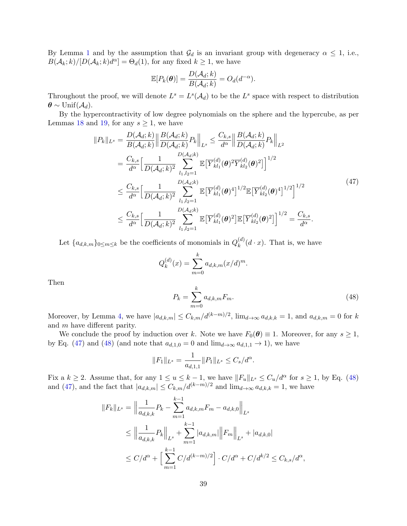By Lemma [1](#page-29-1) and by the assumption that  $\mathcal{G}_d$  is an invariant group with degeneracy  $\alpha \leq 1$ , i.e.,  $B(\mathcal{A}_k; k)/[D(\mathcal{A}_k; k)d^{\alpha}] = \Theta_d(1)$ , for any fixed  $k \geq 1$ , we have

$$
\mathbb{E}[P_k(\boldsymbol{\theta})] = \frac{D(\mathcal{A}_d; k)}{B(\mathcal{A}_d; k)} = O_d(d^{-\alpha}).
$$

Throughout the proof, we will denote  $L^s = L^s(\mathcal{A}_d)$  to be the  $L^s$  space with respect to distribution  $\boldsymbol{\theta} \sim \text{Unif}(\mathcal{A}_d).$ 

By the hypercontractivity of low degree polynomials on the sphere and the hypercube, as per Lemmas [18](#page-61-2) and [19,](#page-61-3) for any  $s \geq 1$ , we have

<span id="page-38-0"></span>
$$
||P_{k}||_{L^{s}} = \frac{D(\mathcal{A}_{d};k)}{B(\mathcal{A}_{d};k)} \left\| \frac{B(\mathcal{A}_{d};k)}{D(\mathcal{A}_{d};k)} P_{k} \right\|_{L^{s}} \leq \frac{C_{k,s}}{d^{\alpha}} \left\| \frac{B(\mathcal{A}_{d};k)}{D(\mathcal{A}_{d};k)} P_{k} \right\|_{L^{2}}
$$
  
\n
$$
= \frac{C_{k,s}}{d^{\alpha}} \Big[ \frac{1}{D(\mathcal{A}_{d};k)^{2}} \sum_{l_{1},l_{2}=1}^{D(\mathcal{A}_{d};k)} \mathbb{E} \Big[ \overline{Y}_{kl_{1}}^{(d)}(\boldsymbol{\theta})^{2} \overline{Y}_{kl_{2}}^{(d)}(\boldsymbol{\theta})^{2} \Big]^{1/2}
$$
  
\n
$$
\leq \frac{C_{k,s}}{d^{\alpha}} \Big[ \frac{1}{D(\mathcal{A}_{d};k)^{2}} \sum_{l_{1},l_{2}=1}^{D(\mathcal{A}_{d};k)} \mathbb{E} \Big[ \overline{Y}_{kl_{1}}^{(d)}(\boldsymbol{\theta})^{4} \Big]^{1/2} \mathbb{E} \Big[ \overline{Y}_{kl_{2}}^{(d)}(\boldsymbol{\theta})^{4} \Big]^{1/2} \Big]^{1/2}
$$
  
\n
$$
\leq \frac{C_{k,s}}{d^{\alpha}} \Big[ \frac{1}{D(\mathcal{A}_{d};k)^{2}} \sum_{l_{1},l_{2}=1}^{D(\mathcal{A}_{d};k)} \mathbb{E} \Big[ \overline{Y}_{kl_{1}}^{(d)}(\boldsymbol{\theta})^{2} \Big] \mathbb{E} \Big[ \overline{Y}_{kl_{2}}^{(d)}(\boldsymbol{\theta})^{2} \Big]^{1/2} = \frac{C_{k,s}}{d^{\alpha}}.
$$
 (47)

Let  $\{a_{d,k,m}\}_{0 \leq m \leq k}$  be the coefficients of monomials in  $Q_k^{(d)}$  $\binom{u}{k}(d \cdot x)$ . That is, we have

$$
Q_k^{(d)}(x) = \sum_{m=0}^k a_{d,k,m}(x/d)^m.
$$
  

$$
P_k = \sum_{k=0}^k a_{d,k,m} F_m.
$$
 (48)

Then

Moreover, by Lemma 4, we have 
$$
|a_{d,k,m}| \leq C_{k,m}/d^{(k-m)/2}
$$
,  $\lim_{d\to\infty} a_{d,k,k} = 1$ , and  $a_{d,k,m} = 0$  for k and m have different parity.

<span id="page-38-1"></span> $m=0$ 

We conclude the proof by induction over k. Note we have  $F_0(\theta) \equiv 1$ . Moreover, for any  $s \geq 1$ , by Eq. [\(47\)](#page-38-0) and [\(48\)](#page-38-1) (and note that  $a_{d,1,0} = 0$  and  $\lim_{d\to\infty} a_{d,1,1} \to 1$ ), we have

$$
||F_1||_{L^s} = \frac{1}{a_{d,1,1}} ||P_1||_{L^s} \leq C_s/d^{\alpha}.
$$

Fix a k ≥ 2. Assume that, for any  $1 \le u \le k-1$ , we have  $||F_u||_{L^s} \le C_u/d^{\alpha}$  for  $s \ge 1$ , by Eq. [\(48\)](#page-38-1) and [\(47\)](#page-38-0), and the fact that  $|a_{d,k,m}| \leq C_{k,m}/d^{(k-m)/2}$  and  $\lim_{d\to\infty} a_{d,k,k} = 1$ , we have

$$
||F_k||_{L^s} = \left\|\frac{1}{a_{d,k,k}}P_k - \sum_{m=1}^{k-1} a_{d,k,m}F_m - a_{d,k,0}\right\|_{L^s}
$$
  
\n
$$
\leq \left\|\frac{1}{a_{d,k,k}}P_k\right\|_{L^s} + \sum_{m=1}^{k-1} |a_{d,k,m}|\left\|F_m\right\|_{L^s} + |a_{d,k,0}|
$$
  
\n
$$
\leq C/d^{\alpha} + \left[\sum_{m=1}^{k-1} C/d^{(k-m)/2}\right] \cdot C/d^{\alpha} + C/d^{k/2} \leq C_{k,s}/d^{\alpha},
$$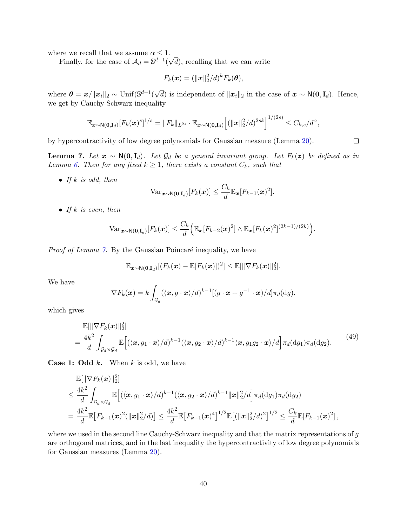where we recall that we assume  $\alpha \leq 1$ . √

Finally, for the case of  $\mathcal{A}_d = \mathbb{S}^{d-1}$ ( d), recalling that we can write

$$
F_k(\boldsymbol{x}) = (\|\boldsymbol{x}\|_2^2/d)^k F_k(\boldsymbol{\theta}),
$$

where  $\boldsymbol{\theta} = \boldsymbol{x} / \| \boldsymbol{x}_i \|_2 \sim \text{Unif}(\mathbb{S}^{d-1})$ √ d) is independent of  $||x_i||_2$  in the case of  $x \sim N(0, I_d)$ . Hence, we get by Cauchy-Schwarz inequality

$$
\mathbb{E}_{\mathbf{x}\sim\mathsf{N}(\mathbf{0},\mathbf{I}_d)}[F_k(\mathbf{x})^s]^{1/s} = \|F_k\|_{L^{2s}} \cdot \mathbb{E}_{\mathbf{x}\sim\mathsf{N}(\mathbf{0},\mathbf{I}_d)}\Big[ (\|\mathbf{x}\|_2^2/d)^{2sk} \Big]^{1/(2s)} \leq C_{k,s}/d^{\alpha},
$$

by hypercontractivity of low degree polynomials for Gaussian measure (Lemma [20\)](#page-62-0).

<span id="page-39-0"></span>**Lemma 7.** Let  $x \sim N(0, I_d)$ . Let  $\mathcal{G}_d$  be a general invariant group. Let  $F_k(z)$  be defined as in Lemma [6.](#page-37-1) Then for any fixed  $k \geq 1$ , there exists a constant  $C_k$ , such that

• If  $k$  is odd, then

$$
\text{Var}_{\boldsymbol{x}\sim\mathsf{N}(\boldsymbol{0},\mathbf{I}_d)}[F_k(\boldsymbol{x})] \leq \frac{C_k}{d} \mathbb{E}_{\boldsymbol{x}}[F_{k-1}(\boldsymbol{x})^2].
$$

• If k is even, then

$$
\text{Var}_{\boldsymbol{x}\sim\mathsf{N}(\mathbf{0},\mathbf{I}_d)}[F_k(\boldsymbol{x})] \leq \frac{C_k}{d} \Big( \mathbb{E}_{\boldsymbol{x}}[F_{k-2}(\boldsymbol{x})^2] \wedge \mathbb{E}_{\boldsymbol{x}}[F_k(\boldsymbol{x})^2]^{(2k-1)/(2k)} \Big).
$$

*Proof of Lemma*  $\gamma$ *.* By the Gaussian Poincaré inequality, we have

$$
\mathbb{E}_{\boldsymbol{x}\sim\mathsf{N}(\mathbf{0},\mathbf{I}_d)}[(F_k(\boldsymbol{x})-\mathbb{E}[F_k(\boldsymbol{x})])^2] \leq \mathbb{E}[\|\nabla F_k(\boldsymbol{x})\|_2^2].
$$

We have

$$
\nabla F_k(\boldsymbol{x}) = k \int_{\mathcal{G}_d} (\langle \boldsymbol{x}, g \cdot \boldsymbol{x} \rangle / d)^{k-1} [(g \cdot \boldsymbol{x} + g^{-1} \cdot \boldsymbol{x}) / d] \pi_d(\mathrm{d}g),
$$

which gives

<span id="page-39-1"></span>
$$
\mathbb{E}[\|\nabla F_k(\boldsymbol{x})\|_2^2] \n= \frac{4k^2}{d} \int_{\mathcal{G}_d \times \mathcal{G}_d} \mathbb{E}\Big[ (\langle \boldsymbol{x}, g_1 \cdot \boldsymbol{x} \rangle / d)^{k-1} (\langle \boldsymbol{x}, g_2 \cdot \boldsymbol{x} \rangle / d)^{k-1} \langle \boldsymbol{x}, g_1 g_2 \cdot \boldsymbol{x} \rangle / d \Big] \pi_d(\mathrm{d}g_1) \pi_d(\mathrm{d}g_2).
$$
\n(49)

**Case 1: Odd k.** When k is odd, we have

$$
\mathbb{E}[\|\nabla F_k(\boldsymbol{x})\|_2^2] \n\leq \frac{4k^2}{d} \int_{\mathcal{G}_d \times \mathcal{G}_d} \mathbb{E}\Big[ \langle \langle \boldsymbol{x}, g_1 \cdot \boldsymbol{x} \rangle / d \rangle^{k-1} (\langle \boldsymbol{x}, g_2 \cdot \boldsymbol{x} \rangle / d)^{k-1} \|\boldsymbol{x}\|_2^2 / d \Big] \pi_d(\mathrm{d} g_1) \pi_d(\mathrm{d} g_2) \n= \frac{4k^2}{d} \mathbb{E}\big[F_{k-1}(\boldsymbol{x})^2 (\|\boldsymbol{x}\|_2^2 / d) \big] \leq \frac{4k^2}{d} \mathbb{E}\big[F_{k-1}(\boldsymbol{x})^4\big]^{1/2} \mathbb{E}\big[ (\|\boldsymbol{x}\|_2^2 / d)^2 \big]^{1/2} \leq \frac{C_k}{d} \mathbb{E}[F_{k-1}(\boldsymbol{x})^2],
$$

where we used in the second line Cauchy-Schwarz inequality and that the matrix representations of g are orthogonal matrices, and in the last inequality the hypercontractivity of low degree polynomials for Gaussian measures (Lemma [20\)](#page-62-0).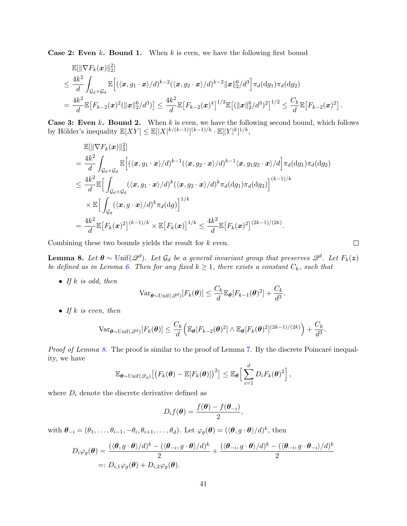**Case 2: Even k. Bound 1.** When k is even, we have the following first bound

$$
\mathbb{E}[\|\nabla F_k(\boldsymbol{x})\|_2^2] \n\leq \frac{4k^2}{d} \int_{\mathcal{G}_d \times \mathcal{G}_d} \mathbb{E}\Big[ (\langle \boldsymbol{x}, g_1 \cdot \boldsymbol{x} \rangle / d)^{k-2} (\langle \boldsymbol{x}, g_2 \cdot \boldsymbol{x} \rangle / d)^{k-2} \|\boldsymbol{x}\|_2^6 / d^3 \Big] \pi_d(\mathrm{d}g_1) \pi_d(\mathrm{d}g_2) \n= \frac{4k^2}{d} \mathbb{E}\Big[ F_{k-2}(\boldsymbol{x})^2 (\|\boldsymbol{x}\|_2^6 / d^3) \Big] \leq \frac{4k^2}{d} \mathbb{E}\Big[ F_{k-2}(\boldsymbol{x})^4 \Big]^{1/2} \mathbb{E}\big[ (\|\boldsymbol{x}\|_2^6 / d^3)^2 \big]^{1/2} \leq \frac{C_k}{d} \mathbb{E}\big[ F_{k-2}(\boldsymbol{x})^2 \big].
$$

**Case 3: Even k. Bound 2.** When  $k$  is even, we have the following second bound, which follows by Hölder's inequality  $\mathbb{E}[XY] \leq \mathbb{E}[|X|^{k/(k-1)}]^{(k-1)/k} \cdot \mathbb{E}[|Y|^{k}]^{1/k}$ ,

$$
\mathbb{E}[\|\nabla F_k(\boldsymbol{x})\|_2^2] \n= \frac{4k^2}{d} \int_{\mathcal{G}_d \times \mathcal{G}_d} \mathbb{E}\Big[ \langle \langle \boldsymbol{x}, g_1 \cdot \boldsymbol{x} \rangle / d \rangle^{k-1} \langle \langle \boldsymbol{x}, g_2 \cdot \boldsymbol{x} \rangle / d \rangle^{k-1} \langle \boldsymbol{x}, g_1 g_2 \cdot \boldsymbol{x} \rangle / d \Big] \pi_d(\mathrm{d}g_1) \pi_d(\mathrm{d}g_2) \n\leq \frac{4k^2}{d} \mathbb{E}\Big[ \int_{\mathcal{G}_d \times \mathcal{G}_d} (\langle \boldsymbol{x}, g_1 \cdot \boldsymbol{x} \rangle / d)^k (\langle \boldsymbol{x}, g_2 \cdot \boldsymbol{x} \rangle / d)^k \pi_d(\mathrm{d}g_1) \pi_d(\mathrm{d}g_2) \Big]^{(k-1)/k} \n\times \mathbb{E}\Big[ \int_{\mathcal{G}_d} (\langle \boldsymbol{x}, g \cdot \boldsymbol{x} \rangle / d)^k \pi_d(\mathrm{d}g) \Big]^{1/k} \n= \frac{4k^2}{d} \mathbb{E}\big[F_k(\boldsymbol{x})^2\big]^{(k-1)/k} \times \mathbb{E}\big[F_k(\boldsymbol{x})\big]^{1/k} \leq \frac{4k^2}{d} \mathbb{E}\big[F_k(\boldsymbol{x})^2\big]^{(2k-1)/(2k)}.
$$

Combining these two bounds yields the result for  $k$  even.

<span id="page-40-0"></span>**Lemma 8.** Let  $\theta \sim \text{Unif}(\mathscr{Q}^d)$ . Let  $\mathcal{G}_d$  be a general invariant group that preserves  $\mathscr{Q}^d$ . Let  $F_k(z)$ be defined as in Lemma [6.](#page-37-1) Then for any fixed  $k \geq 1$ , there exists a constant  $C_k$ , such that

• If k is odd, then

$$
\text{Var}_{\boldsymbol{\theta} \sim \text{Unif}(\mathscr{Q}^d)}[F_k(\boldsymbol{\theta})] \leq \frac{C_k}{d} \mathbb{E}_{\boldsymbol{\theta}}[F_{k-1}(\boldsymbol{\theta})^2] + \frac{C_k}{d^3}.
$$

• If k is even, then

$$
\text{Var}_{\boldsymbol{\theta} \sim \text{Unif}(\mathscr{Q}^d)}[F_k(\boldsymbol{\theta})] \leq \frac{C_k}{d} \Big( \mathbb{E}_{\boldsymbol{\theta}}[F_{k-2}(\boldsymbol{\theta})^2] \wedge \mathbb{E}_{\boldsymbol{\theta}}[F_k(\boldsymbol{\theta})^2]^{(2k-1)/(2k)} \Big) + \frac{C_k}{d^3}.
$$

*Proof of Lemma [8.](#page-40-0)* The proof is similar to the proof of Lemma [7.](#page-39-0) By the discrete Poincaré inequality, we have

$$
\mathbb{E}_{\boldsymbol{\theta}\sim\text{Unif}(\mathscr{Q}_d)}\big[\big(F_k(\boldsymbol{\theta})-\mathbb{E}[F_k(\boldsymbol{\theta})]\big)^2\big]\leq \mathbb{E}_{\boldsymbol{\theta}}\bigg[\sum_{i=1}^d D_i F_k(\boldsymbol{\theta})^2\bigg],
$$

where  $D_i$  denote the discrete derivative defined as

$$
D_i f(\boldsymbol{\theta}) = \frac{f(\boldsymbol{\theta}) - f(\boldsymbol{\theta}_{-i})}{2},
$$

with  $\boldsymbol{\theta}_{-i} = (\theta_1, \dots, \theta_{i-1}, -\theta_i, \theta_{i+1}, \dots, \theta_d)$ . Let  $\varphi_g(\boldsymbol{\theta}) = (\langle \boldsymbol{\theta}, g \cdot \boldsymbol{\theta} \rangle / d)^k$ , then

$$
D_i \varphi_g(\boldsymbol{\theta}) = \frac{(\langle \boldsymbol{\theta}, g \cdot \boldsymbol{\theta} \rangle / d)^k - (\langle \boldsymbol{\theta}_{-i}, g \cdot \boldsymbol{\theta} \rangle / d)^k}{2} + \frac{(\langle \boldsymbol{\theta}_{-i}, g \cdot \boldsymbol{\theta} \rangle / d)^k - (\langle \boldsymbol{\theta}_{-i}, g \cdot \boldsymbol{\theta}_{-i} \rangle / d)^k}{2}
$$
  
=:  $D_{i,1} \varphi_g(\boldsymbol{\theta}) + D_{i,2} \varphi_g(\boldsymbol{\theta}).$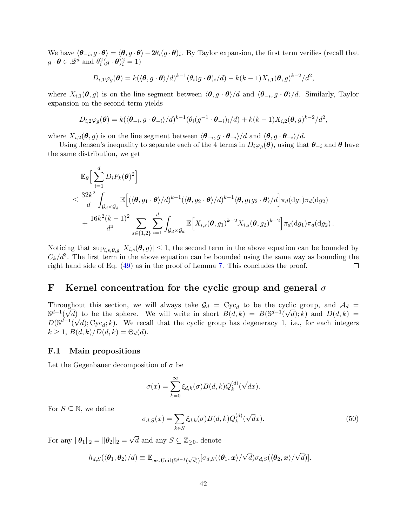We have  $\langle \theta_{-i}, g \cdot \theta \rangle = \langle \theta, g \cdot \theta \rangle - 2\theta_i (g \cdot \theta)_i$ . By Taylor expansion, the first term verifies (recall that  $g \cdot \boldsymbol{\theta} \in \mathscr{Q}^d$  and  $\theta_i^2(g \cdot \boldsymbol{\theta})_i^2 = 1$ )

$$
D_{i,1}\varphi_g(\boldsymbol{\theta})=k(\langle \boldsymbol{\theta}, g\cdot\boldsymbol{\theta}\rangle/d)^{k-1}(\theta_i(g\cdot\boldsymbol{\theta})_i/d)-k(k-1)X_{i,1}(\boldsymbol{\theta}, g)^{k-2}/d^2,
$$

where  $X_{i,1}(\theta, g)$  is on the line segment between  $\langle \theta, g \cdot \theta \rangle / d$  and  $\langle \theta_{-i}, g \cdot \theta \rangle / d$ . Similarly, Taylor expansion on the second term yields

$$
D_{i,2}\varphi_g(\boldsymbol{\theta})=k(\langle \boldsymbol{\theta}_{-i},g\cdot\boldsymbol{\theta}_{-i}\rangle/d)^{k-1}(\theta_i(g^{-1}\cdot\boldsymbol{\theta}_{-i})_i/d)+k(k-1)X_{i,2}(\boldsymbol{\theta},g)^{k-2}/d^2,
$$

where  $X_{i,2}(\theta, g)$  is on the line segment between  $\langle \theta_{-i}, g \cdot \theta_{-i} \rangle / d$  and  $\langle \theta, g \cdot \theta_{-i} \rangle / d$ .

Using Jensen's inequality to separate each of the 4 terms in  $D_i\varphi_q(\theta)$ , using that  $\theta_{-i}$  and  $\theta$  have the same distribution, we get

$$
\mathbb{E}_{\theta}\Big[\sum_{i=1}^{d}D_{i}F_{k}(\theta)^{2}\Big] \n\leq \frac{32k^{2}}{d}\int_{\mathcal{G}_{d}\times\mathcal{G}_{d}}\mathbb{E}\Big[(\langle\theta,g_{1}\cdot\theta\rangle/d)^{k-1}(\langle\theta,g_{2}\cdot\theta\rangle/d)^{k-1}\langle\theta,g_{1}g_{2}\cdot\theta\rangle/d\Big]\pi_{d}(dg_{1})\pi_{d}(dg_{2}) \n+\frac{16k^{2}(k-1)^{2}}{d^{4}}\sum_{s\in\{1,2\}}\sum_{i=1}^{d}\int_{\mathcal{G}_{d}\times\mathcal{G}_{d}}\mathbb{E}\Big[X_{i,s}(\theta,g_{1})^{k-2}X_{i,s}(\theta,g_{2})^{k-2}\Big]\pi_{d}(dg_{1})\pi_{d}(dg_{2}).
$$

Noticing that  $\sup_{i,s,\theta,g} |X_{i,s}(\theta,g)| \leq 1$ , the second term in the above equation can be bounded by  $C_k/d^3$ . The first term in the above equation can be bounded using the same way as bounding the right hand side of Eq. [\(49\)](#page-39-1) as in the proof of Lemma [7.](#page-39-0) This concludes the proof.  $\Box$ 

# <span id="page-41-0"></span>F Kernel concentration for the cyclic group and general  $\sigma$

Throughout this section, we will always take  $\mathcal{G}_d$  = Cyc<sub>d</sub> to be the cyclic group, and  $\mathcal{A}_d$  =  $\mathbb{S}^{d-1}(\sqrt{d})$  to be the sphere. We will write in short  $B(d,k) = B(\mathbb{S}^{d-1}(\sqrt{d});k)$  and  $D(d,k) =$  $D(\mathbb{S}^{d-1}(\sqrt{d}); \text{Cyc}_d; k)$ . We recall that the cyclic group has degeneracy 1, i.e., for each integers  $k \geq 1$ ,  $B(d,k)/D(d,k) = \Theta_d(d)$ .

### <span id="page-41-1"></span>F.1 Main propositions

Let the Gegenbauer decomposition of  $\sigma$  be

$$
\sigma(x) = \sum_{k=0}^{\infty} \xi_{d,k}(\sigma) B(d,k) Q_k^{(d)}(\sqrt{d}x).
$$

For  $S \subseteq \mathbb{N}$ , we define

<span id="page-41-2"></span>
$$
\sigma_{d,S}(x) = \sum_{k \in S} \xi_{d,k}(\sigma) B(d,k) Q_k^{(d)}(\sqrt{d}x). \tag{50}
$$

For any  $\|\boldsymbol{\theta}_1\|_2 = \|\boldsymbol{\theta}_2\|_2 =$  $\sqrt{d}$  and any  $S \subseteq \mathbb{Z}_{\geq 0}$ , denote

> $h_{d,S}(\langle\boldsymbol{\theta}_1,\boldsymbol{\theta}_2\rangle/d)\equiv\mathbb{E}_{\boldsymbol{x}\sim\text{Unif}(\mathbb{S}^{d-1}(\sqrt{d}))}[\sigma_{d,S}(\langle\boldsymbol{\theta}_1,\boldsymbol{x}\rangle/d)]$ √  $d)\sigma_{d,S}(\langle\boldsymbol{\theta}_2,\boldsymbol{x}\rangle/$ √  $d)$ ].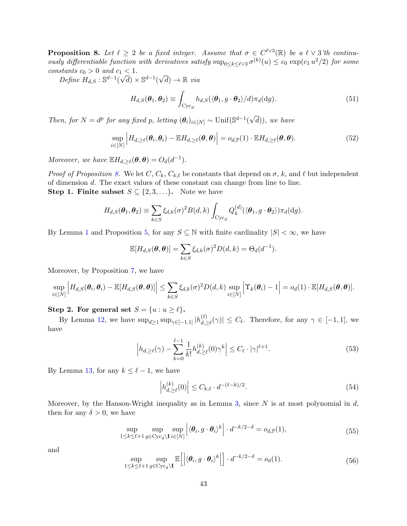<span id="page-42-0"></span>**Proposition 8.** Let  $\ell \geq 2$  be a fixed integer. Assume that  $\sigma \in C^{\ell \vee 3}(\mathbb{R})$  be a  $\ell \vee 3$ 'th continuously differentiable function with derivatives satisfy  $\sup_{0 \le k \le \ell \vee 3} \sigma^{(k)}(u) \le c_0 \exp(c_1 u^2/2)$  for some constants  $c_0 > 0$  and  $c_1 < 1$ .

Define  $H_{d,S} : \mathbb{S}^{d-1}$ (  $\sqrt{d}$ ) ×  $\mathbb{S}^{d-1}$ (  $\sqrt{d}$   $\rightarrow \mathbb{R}$  via

$$
H_{d,S}(\boldsymbol{\theta}_1, \boldsymbol{\theta}_2) \equiv \int_{\text{Cyc}_d} h_{d,S}(\langle \boldsymbol{\theta}_1, g \cdot \boldsymbol{\theta}_2 \rangle / d) \pi_d(\text{d}g). \tag{51}
$$

Then, for  $N = d^p$  for any fixed p, letting  $(\theta_i)_{i \in [N]} \sim \text{Unif}(\mathbb{S}^{d-1})$ √ d)), we have

$$
\sup_{i\in[N]} \left| H_{d,\geq \ell}(\boldsymbol{\theta}_i, \boldsymbol{\theta}_i) - \mathbb{E} H_{d,\geq \ell}(\boldsymbol{\theta}, \boldsymbol{\theta}) \right| = o_{d,\mathbb{P}}(1) \cdot \mathbb{E} H_{d,\geq \ell}(\boldsymbol{\theta}, \boldsymbol{\theta}). \tag{52}
$$

Moreover, we have  $\mathbb{E} H_{d,\geq \ell}(\boldsymbol{\theta}, \boldsymbol{\theta}) = O_d(d^{-1}).$ 

*Proof of Proposition [8.](#page-42-0)* We let  $C, C_k, C_{k,\ell}$  be constants that depend on  $\sigma, k$ , and  $\ell$  but independent of dimension d. The exact values of these constant can change from line to line. **Step 1. Finite subset**  $S \subseteq \{2, 3, ...\}$ . Note we have

$$
H_{d,S}(\boldsymbol{\theta}_1,\boldsymbol{\theta}_2)\equiv\sum_{k\in S}\xi_{d,k}(\sigma)^2B(d,k)\int_{\mathrm{Cyc}_d}Q_k^{(d)}(\langle\boldsymbol{\theta}_1,g\cdot\boldsymbol{\theta}_2\rangle)\pi_d(\mathrm{d}g).
$$

By Lemma [1](#page-29-1) and Proposition [5,](#page-30-3) for any  $S \subseteq \mathbb{N}$  with finite cardinality  $|S| < \infty$ , we have

$$
\mathbb{E}[H_{d,S}(\boldsymbol{\theta},\boldsymbol{\theta})] = \sum_{k \in S} \xi_{d,k}(\sigma)^2 D(d,k) = \Theta_d(d^{-1}).
$$

Moreover, by Proposition [7,](#page-36-1) we have

$$
\sup_{i\in[N]} \Big| H_{d,S}(\boldsymbol{\theta}_i,\boldsymbol{\theta}_i) - \mathbb{E}[H_{d,S}(\boldsymbol{\theta},\boldsymbol{\theta})] \Big| \leq \sum_{k\in S} \xi_{d,k}(\sigma)^2 D(d,k) \sup_{i\in[N]} \Big| \Upsilon_k(\boldsymbol{\theta}_i) - 1 \Big| = o_d(1) \cdot \mathbb{E}[H_{d,S}(\boldsymbol{\theta},\boldsymbol{\theta})].
$$

Step 2. For general set  $S = \{u : u \ge \ell\}.$ 

By Lemma [12,](#page-47-0) we have  $\sup_{d\geq 1} \sup_{\gamma \in [-1,1]} |h_{d,\gamma}^{(\ell)}|$  $\left|\frac{\partial f}{\partial x}\right|_{\alpha,\geq \ell}(\gamma)$   $\leq C_{\ell}$ . Therefore, for any  $\gamma \in [-1,1]$ , we have

$$
\left| h_{d,\geq \ell}(\gamma) - \sum_{k=0}^{\ell-1} \frac{1}{k!} h_{d,\geq \ell}^{(k)}(0) \gamma^k \right| \leq C_{\ell} \cdot |\gamma|^{\ell+1}.
$$
 (53)

By Lemma [13,](#page-47-1) for any  $k \leq \ell - 1$ , we have

<span id="page-42-2"></span><span id="page-42-1"></span>
$$
\left| h_{d,\geq \ell}^{(k)}(0) \right| \leq C_{k,\ell} \cdot d^{-(\ell-k)/2}.\tag{54}
$$

Moreover, by the Hanson-Wright inequality as in Lemma [3,](#page-33-1) since  $N$  is at most polynomial in  $d$ , then for any  $\delta > 0$ , we have

<span id="page-42-3"></span>
$$
\sup_{1 \le k \le \ell+1} \sup_{g \in \text{Cyc}_d \backslash \mathbf{I}} \sup_{i \in [N]} \left| \langle \boldsymbol{\theta}_i, g \cdot \boldsymbol{\theta}_i \rangle^k \right| \cdot d^{-k/2-\delta} = o_{d,\mathbb{P}}(1),\tag{55}
$$

and

<span id="page-42-4"></span>
$$
\sup_{1 \le k \le \ell+1} \sup_{g \in \text{Cyc}_d \backslash \mathbf{I}} \mathbb{E}\left[ \left| \langle \boldsymbol{\theta}_i, g \cdot \boldsymbol{\theta}_i \rangle^k \right| \right] \cdot d^{-k/2-\delta} = o_d(1). \tag{56}
$$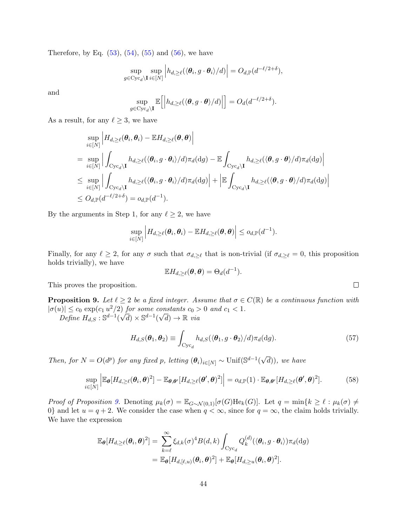Therefore, by Eq.  $(53)$ ,  $(54)$ ,  $(55)$  and  $(56)$ , we have

$$
\sup_{g \in \text{Cyc}_{d} \backslash \mathbf{I}} \sup_{i \in [N]} \left| h_{d, \geq \ell}(\langle \boldsymbol{\theta}_{i}, g \cdot \boldsymbol{\theta}_{i} \rangle / d) \right| = O_{d, \mathbb{P}}(d^{-\ell/2 + \delta}),
$$

and

$$
\sup_{g \in \text{Cyc}_d \setminus \mathbf{I}} \mathbb{E}\Big[\Big|h_{d,\geq \ell}(\langle \boldsymbol{\theta}, g \cdot \boldsymbol{\theta}\rangle/d)\Big|\Big] = O_d(d^{-\ell/2+\delta}).
$$

As a result, for any  $\ell \geq 3$ , we have

$$
\sup_{i \in [N]} \left| H_{d,\geq \ell}(\theta_i, \theta_i) - \mathbb{E} H_{d,\geq \ell}(\theta, \theta) \right|
$$
\n
$$
= \sup_{i \in [N]} \left| \int_{\text{Cyc}_d \backslash \mathbf{I}} h_{d,\geq \ell}(\langle \theta_i, g \cdot \theta_i \rangle / d) \pi_d(\text{d}g) - \mathbb{E} \int_{\text{Cyc}_d \backslash \mathbf{I}} h_{d,\geq \ell}(\langle \theta, g \cdot \theta \rangle / d) \pi_d(\text{d}g) \right|
$$
\n
$$
\leq \sup_{i \in [N]} \left| \int_{\text{Cyc}_d \backslash \mathbf{I}} h_{d,\geq \ell}(\langle \theta_i, g \cdot \theta_i \rangle / d) \pi_d(\text{d}g) \right| + \left| \mathbb{E} \int_{\text{Cyc}_d \backslash \mathbf{I}} h_{d,\geq \ell}(\langle \theta, g \cdot \theta \rangle / d) \pi_d(\text{d}g) \right|
$$
\n
$$
\leq O_{d,\mathbb{P}}(d^{-\ell/2+\delta}) = o_{d,\mathbb{P}}(d^{-1}).
$$

By the arguments in Step 1, for any  $\ell \geq 2$ , we have

$$
\sup_{i\in[N]}\Big|H_{d,\geq\ell}(\boldsymbol{\theta}_i,\boldsymbol{\theta}_i)-\mathbb{E}H_{d,\geq\ell}(\boldsymbol{\theta},\boldsymbol{\theta})\Big|\leq o_{d,\mathbb{P}}(d^{-1}).
$$

Finally, for any  $\ell \geq 2$ , for any  $\sigma$  such that  $\sigma_{d,\geq \ell}$  that is non-trivial (if  $\sigma_{d,\geq \ell} = 0$ , this proposition holds trivially), we have

$$
\mathbb{E} H_{d,\geq \ell}(\boldsymbol{\theta},\boldsymbol{\theta}) = \Theta_d(d^{-1}).
$$

This proves the proposition.

<span id="page-43-0"></span>**Proposition 9.** Let  $\ell \geq 2$  be a fixed integer. Assume that  $\sigma \in C(\mathbb{R})$  be a continuous function with  $|\sigma(u)| \leq c_0 \exp(c_1 u^2/2)$  for some constants  $c_0 > 0$  and  $c_1 < 1$ .  $\sqrt{d}$ ) × S<sup>d-1</sup>(  $\begin{aligned} &\text{constants } \textit{c}_{0} > \\ &\sqrt{d}) \rightarrow \mathbb{R} \text{ via} \end{aligned}$ 

Define  $H_{d,S}$ :  $\mathbb{S}^{d-1}$ (

$$
H_{d,S}(\boldsymbol{\theta}_1, \boldsymbol{\theta}_2) \equiv \int_{\text{Cyc}_d} h_{d,S}(\langle \boldsymbol{\theta}_1, g \cdot \boldsymbol{\theta}_2 \rangle / d) \pi_d(\text{d}g). \tag{57}
$$

Then, for  $N = O(d^p)$  for any fixed p, letting  $(\theta_i)_{i \in [N]} \sim \text{Unif}(\mathbb{S}^{d-1})$ √ d)), we have

$$
\sup_{i\in[N]} \left| \mathbb{E}_{\boldsymbol{\theta}}[H_{d,\geq \ell}(\boldsymbol{\theta}_i,\boldsymbol{\theta})^2] - \mathbb{E}_{\boldsymbol{\theta},\boldsymbol{\theta}'}[H_{d,\geq \ell}(\boldsymbol{\theta}',\boldsymbol{\theta})^2] \right| = o_{d,\mathbb{P}}(1) \cdot \mathbb{E}_{\boldsymbol{\theta},\boldsymbol{\theta}'}[H_{d,\geq \ell}(\boldsymbol{\theta}',\boldsymbol{\theta})^2]. \tag{58}
$$

Proof of Proposition [9.](#page-43-0) Denoting  $\mu_k(\sigma) = \mathbb{E}_{G \sim \mathcal{N}(0,1)}[\sigma(G) \text{He}_k(G)]$ . Let  $q = \min\{k \geq \ell : \mu_k(\sigma) \neq \ell\}$ 0} and let  $u = q + 2$ . We consider the case when  $q < \infty$ , since for  $q = \infty$ , the claim holds trivially. We have the expression

$$
\mathbb{E}_{\boldsymbol{\theta}}[H_{d,\geq \ell}(\boldsymbol{\theta}_i, \boldsymbol{\theta})^2] = \sum_{k=\ell}^{\infty} \xi_{d,k}(\sigma)^4 B(d,k) \int_{\text{Cyc}_d} Q_k^{(d)}(\langle \boldsymbol{\theta}_i, g \cdot \boldsymbol{\theta}_i \rangle) \pi_d(\text{d}g)
$$
  
= 
$$
\mathbb{E}_{\boldsymbol{\theta}}[H_{d,[\ell,u)}(\boldsymbol{\theta}_i, \boldsymbol{\theta})^2] + \mathbb{E}_{\boldsymbol{\theta}}[H_{d,\geq u}(\boldsymbol{\theta}_i, \boldsymbol{\theta})^2].
$$

 $\hfill\square$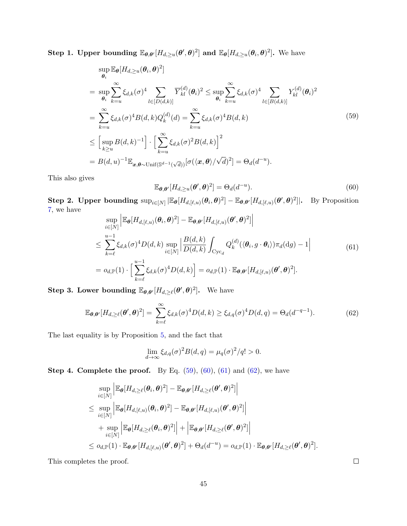Step 1. Upper bounding  $\mathbb{E}_{\theta,\theta'}[H_{d,\geq u}(\theta',\theta)^2]$  and  $\mathbb{E}_{\theta}[H_{d,\geq u}(\theta_i,\theta)^2]$ . We have

<span id="page-44-0"></span>
$$
\sup_{\theta_i} \mathbb{E}_{\theta}[H_{d,\geq u}(\theta_i, \theta)^2]
$$
\n
$$
= \sup_{\theta_i} \sum_{k=u}^{\infty} \xi_{d,k}(\sigma)^4 \sum_{l \in [D(d,k)]} \overline{Y}_{kl}^{(d)}(\theta_i)^2 \leq \sup_{\theta_i} \sum_{k=u}^{\infty} \xi_{d,k}(\sigma)^4 \sum_{l \in [B(d,k)]} Y_{kl}^{(d)}(\theta_i)^2
$$
\n
$$
= \sum_{k=u}^{\infty} \xi_{d,k}(\sigma)^4 B(d,k) Q_k^{(d)}(d) = \sum_{k=u}^{\infty} \xi_{d,k}(\sigma)^4 B(d,k)
$$
\n
$$
\leq \left[ \sup_{k \geq u} B(d,k)^{-1} \right] \cdot \left[ \sum_{k=u}^{\infty} \xi_{d,k}(\sigma)^2 B(d,k) \right]^2
$$
\n
$$
= B(d,u)^{-1} \mathbb{E}_{x,\theta \sim \text{Unif}(\mathbb{S}^{d-1}(\sqrt{d}))} [\sigma(\langle x, \theta \rangle / \sqrt{d})^2] = \Theta_d(d^{-u}).
$$
\n(59)

This also gives

<span id="page-44-1"></span>
$$
\mathbb{E}_{\boldsymbol{\theta},\boldsymbol{\theta}'}[H_{d,\geq u}(\boldsymbol{\theta}',\boldsymbol{\theta})^2] = \Theta_d(d^{-u}).
$$
\n(60)

Step 2. Upper bounding  $\sup_{i \in [N]} \left| \mathbb{E}_{\theta} [H_{d,[\ell,u)}(\theta_i, \theta)^2] - \mathbb{E}_{\theta, \theta'} [H_{d,[\ell,u)}(\theta', \theta)^2] \right|$ . By Proposition [7,](#page-36-1) we have  $\overline{1}$ 

<span id="page-44-2"></span>
$$
\sup_{i\in[N]} \left| \mathbb{E}_{\theta}[H_{d,[\ell,u)}(\theta_i, \theta)^2] - \mathbb{E}_{\theta,\theta'}[H_{d,[\ell,u)}(\theta', \theta)^2] \right|
$$
\n
$$
\leq \sum_{k=\ell}^{u-1} \xi_{d,k}(\sigma)^4 D(d,k) \sup_{i\in[N]} \left| \frac{B(d,k)}{D(d,k)} \int_{\text{Cyc}_d} Q_k^{(d)}(\langle \theta_i, g \cdot \theta_i \rangle) \pi_d(\text{d}g) - 1 \right|
$$
\n
$$
= o_{d,\mathbb{P}}(1) \cdot \left[ \sum_{k=\ell}^{u-1} \xi_{d,k}(\sigma)^4 D(d,k) \right] = o_{d,\mathbb{P}}(1) \cdot \mathbb{E}_{\theta,\theta'}[H_{d,[\ell,u)}(\theta', \theta)^2].
$$
\n(61)

Step 3. Lower bounding  $\mathbb{E}_{\theta, \theta'}[H_{d, \geq \ell}(\theta', \theta)^2]$ . We have

<span id="page-44-3"></span>
$$
\mathbb{E}_{\boldsymbol{\theta},\boldsymbol{\theta}'}[H_{d,\geq \ell}(\boldsymbol{\theta}',\boldsymbol{\theta})^2] = \sum_{k=\ell}^{\infty} \xi_{d,k}(\sigma)^4 D(d,k) \geq \xi_{d,q}(\sigma)^4 D(d,q) = \Theta_d(d^{-q-1}).\tag{62}
$$

The last equality is by Proposition [5,](#page-30-3) and the fact that

$$
\lim_{d \to \infty} \xi_{d,q}(\sigma)^2 B(d,q) = \mu_q(\sigma)^2/q! > 0.
$$

**Step 4. Complete the proof.** By Eq.  $(59)$ ,  $(60)$ ,  $(61)$  and  $(62)$ , we have

$$
\sup_{i \in [N]} \left| \mathbb{E}_{\boldsymbol{\theta}}[H_{d,\geq \ell}(\boldsymbol{\theta}_{i}, \boldsymbol{\theta})^{2}] - \mathbb{E}_{\boldsymbol{\theta}, \boldsymbol{\theta}'}[H_{d,\geq \ell}(\boldsymbol{\theta}', \boldsymbol{\theta})^{2}] \right|
$$
\n
$$
\leq \sup_{i \in [N]} \left| \mathbb{E}_{\boldsymbol{\theta}}[H_{d,[\ell,u)}(\boldsymbol{\theta}_{i}, \boldsymbol{\theta})^{2}] - \mathbb{E}_{\boldsymbol{\theta}, \boldsymbol{\theta}'}[H_{d,[\ell,u)}(\boldsymbol{\theta}', \boldsymbol{\theta})^{2}] \right|
$$
\n
$$
+ \sup_{i \in [N]} \left| \mathbb{E}_{\boldsymbol{\theta}}[H_{d,\geq \ell}(\boldsymbol{\theta}_{i}, \boldsymbol{\theta})^{2}] \right| + \left| \mathbb{E}_{\boldsymbol{\theta}, \boldsymbol{\theta}'}[H_{d,\geq \ell}(\boldsymbol{\theta}', \boldsymbol{\theta})^{2}] \right|
$$
\n
$$
\leq o_{d,\mathbb{P}}(1) \cdot \mathbb{E}_{\boldsymbol{\theta}, \boldsymbol{\theta}'}[H_{d,[\ell,u)}(\boldsymbol{\theta}', \boldsymbol{\theta})^{2}] + \Theta_{d}(d^{-u}) = o_{d,\mathbb{P}}(1) \cdot \mathbb{E}_{\boldsymbol{\theta}, \boldsymbol{\theta}'}[H_{d,\geq \ell}(\boldsymbol{\theta}', \boldsymbol{\theta})^{2}].
$$

This completes the proof.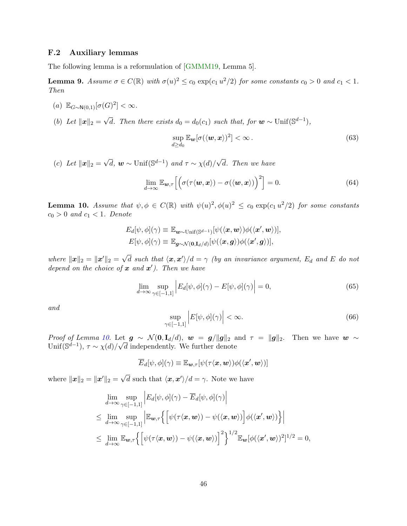## <span id="page-45-0"></span>F.2 Auxiliary lemmas

The following lemma is a reformulation of [\[GMMM19,](#page-14-10) Lemma 5].

<span id="page-45-2"></span>**Lemma 9.** Assume  $\sigma \in C(\mathbb{R})$  with  $\sigma(u)^2 \le c_0 \exp(c_1 u^2/2)$  for some constants  $c_0 > 0$  and  $c_1 < 1$ . Then

- (a)  $\mathbb{E}_{G \sim \mathsf{N}(0,1)}[\sigma(G)^2] < \infty$ .
- (b) Let  $||x||_2 =$  $\sqrt{d}$ . Then there exists  $d_0 = d_0(c_1)$  such that, for  $\mathbf{w} \sim \text{Unif}(\mathbb{S}^{d-1}),$

$$
\sup_{d\geq d_0} \mathbb{E}_{\boldsymbol{w}}[\sigma(\langle \boldsymbol{w}, \boldsymbol{x} \rangle)^2] < \infty \,. \tag{63}
$$

 $(c)$  Let  $||x||_2 =$  $\sqrt{d}$ ,  $\boldsymbol{w} \sim \text{Unif}(\mathbb{S}^{d-1})$  and  $\tau \sim \chi(d)$ / √ d. Then we have

$$
\lim_{d\to\infty} \mathbb{E}_{\mathbf{w},\tau} \left[ \left( \sigma(\tau \langle \mathbf{w}, \mathbf{x} \rangle) - \sigma(\langle \mathbf{w}, \mathbf{x} \rangle) \right)^2 \right] = 0. \tag{64}
$$

<span id="page-45-1"></span>**Lemma 10.** Assume that  $\psi, \phi \in C(\mathbb{R})$  with  $\psi(u)^2, \phi(u)^2 \leq c_0 \exp(c_1 u^2/2)$  for some constants  $c_0 > 0$  and  $c_1 < 1$ . Denote

$$
E_d[\psi, \phi](\gamma) \equiv \mathbb{E}_{\mathbf{w} \sim \text{Unif}(\mathbb{S}^{d-1})}[\psi(\langle \mathbf{x}, \mathbf{w} \rangle) \phi(\langle \mathbf{x}', \mathbf{w} \rangle)],
$$
  

$$
E[\psi, \phi](\gamma) \equiv \mathbb{E}_{\mathbf{g} \sim \mathcal{N}(\mathbf{0}, \mathbf{I}_d/d)}[\psi(\langle \mathbf{x}, \mathbf{g} \rangle) \phi(\langle \mathbf{x}', \mathbf{g} \rangle)],
$$

where  $||x||_2 = ||x'||_2 = \sqrt{\frac{2}{\pi}}$  $\overline{d}$  such that  $\langle x, x' \rangle / d = \gamma$  (by an invariance argument,  $E_d$  and E do not depend on the choice of  $\boldsymbol{x}$  and  $\boldsymbol{x}'$ ). Then we have

<span id="page-45-3"></span>
$$
\lim_{d \to \infty} \sup_{\gamma \in [-1,1]} \left| E_d[\psi, \phi](\gamma) - E[\psi, \phi](\gamma) \right| = 0,\tag{65}
$$

and

<span id="page-45-4"></span>
$$
\sup_{\gamma \in [-1,1]} \left| E[\psi,\phi](\gamma) \right| < \infty. \tag{66}
$$

Proof of Lemma [10.](#page-45-1) Let  $g \sim \mathcal{N}(0, I_d/d)$ ,  $w = g/||g||_2$  and  $\tau = ||g||_2$ . Then we have  $w \sim$ Unif( $\mathbb{S}^{d-1}$ ),  $\tau \sim \chi(d)/\sqrt{d}$  independently. We further denote

$$
\overline{E}_d[\psi,\phi](\gamma) \equiv \mathbb{E}_{\boldsymbol{w},\tau}[\psi(\tau\langle \boldsymbol{x},\boldsymbol{w}\rangle)\phi(\langle \boldsymbol{x}',\boldsymbol{w}\rangle)]
$$

where  $\|\boldsymbol{x}\|_2 = \|\boldsymbol{x}'\|_2 = \sqrt{\}$  $\overline{d}$  such that  $\langle x, x' \rangle / d = \gamma$ . Note we have

$$
\lim_{d \to \infty} \sup_{\gamma \in [-1,1]} \left| E_d[\psi, \phi](\gamma) - \overline{E}_d[\psi, \phi](\gamma) \right|
$$
\n
$$
\leq \lim_{d \to \infty} \sup_{\gamma \in [-1,1]} \left| \mathbb{E}_{\mathbf{w},\tau} \left\{ \left[ \psi(\tau \langle \mathbf{x}, \mathbf{w} \rangle) - \psi(\langle \mathbf{x}, \mathbf{w} \rangle) \right] \phi(\langle \mathbf{x}', \mathbf{w} \rangle) \right\} \right|
$$
\n
$$
\leq \lim_{d \to \infty} \mathbb{E}_{\mathbf{w},\tau} \left\{ \left[ \psi(\tau \langle \mathbf{x}, \mathbf{w} \rangle) - \psi(\langle \mathbf{x}, \mathbf{w} \rangle) \right]^2 \right\}^{1/2} \mathbb{E}_{\mathbf{w}} [\phi(\langle \mathbf{x}', \mathbf{w} \rangle)^2]^{1/2} = 0,
$$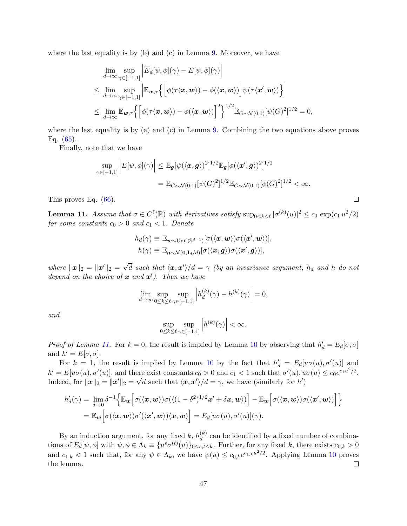where the last equality is by (b) and (c) in Lemma [9.](#page-45-2) Moreover, we have

$$
\lim_{d \to \infty} \sup_{\gamma \in [-1,1]} \left| \overline{E}_d[\psi, \phi](\gamma) - E[\psi, \phi](\gamma) \right|
$$
\n
$$
\leq \lim_{d \to \infty} \sup_{\gamma \in [-1,1]} \left| \mathbb{E}_{\mathbf{w}, \tau} \left\{ \left[ \phi(\tau \langle \mathbf{x}, \mathbf{w} \rangle) - \phi(\langle \mathbf{x}, \mathbf{w} \rangle) \right] \psi(\tau \langle \mathbf{x}', \mathbf{w} \rangle) \right\} \right|
$$
\n
$$
\leq \lim_{d \to \infty} \mathbb{E}_{\mathbf{w}, \tau} \left\{ \left[ \phi(\tau \langle \mathbf{x}, \mathbf{w} \rangle) - \phi(\langle \mathbf{x}, \mathbf{w} \rangle) \right]^2 \right\}^{1/2} \mathbb{E}_{G \sim \mathcal{N}(0,1)} [\psi(G)^2]^{1/2} = 0,
$$

where the last equality is by (a) and (c) in Lemma [9.](#page-45-2) Combining the two equations above proves Eq.  $(65)$ .

Finally, note that we have

$$
\sup_{\gamma \in [-1,1]} \left| E[\psi,\phi](\gamma) \right| \leq \mathbb{E}_{\mathbf{g}}[\psi(\langle \mathbf{x}, \mathbf{g} \rangle)^2]^{1/2} \mathbb{E}_{\mathbf{g}}[\phi(\langle \mathbf{x}', \mathbf{g} \rangle)^2]^{1/2} \n= \mathbb{E}_{G \sim \mathcal{N}(0,1)}[\psi(G)^2]^{1/2} \mathbb{E}_{G \sim \mathcal{N}(0,1)}[\phi(G)^2]^{1/2} < \infty.
$$

 $\Box$ 

This proves Eq. [\(66\)](#page-45-4).

<span id="page-46-0"></span>**Lemma 11.** Assume that  $\sigma \in C^{\ell}(\mathbb{R})$  with derivatives satisfy  $\sup_{0 \le k \le \ell} |\sigma^{(k)}(u)|^2 \le c_0 \exp(c_1 u^2/2)$ for some constants  $c_0 > 0$  and  $c_1 < 1$ . Denote

$$
h_d(\gamma) \equiv \mathbb{E}_{\mathbf{w}\sim\text{Unif}(\mathbb{S}^{d-1})}[\sigma(\langle \mathbf{x}, \mathbf{w} \rangle) \sigma(\langle \mathbf{x}', \mathbf{w} \rangle)],
$$
  

$$
h(\gamma) \equiv \mathbb{E}_{\mathbf{g}\sim\mathcal{N}(\mathbf{0}, \mathbf{I}_d/d)}[\sigma(\langle \mathbf{x}, \mathbf{g} \rangle) \sigma(\langle \mathbf{x}', \mathbf{g} \rangle)],
$$

where  $||x||_2 = ||x'||_2 = \sqrt{\frac{2}{\pi}}$  $\overline{d}$  such that  $\langle x, x' \rangle / d = \gamma$  (by an invariance argument,  $h_d$  and h do not depend on the choice of  $\boldsymbol{x}$  and  $\boldsymbol{x}'$ ). Then we have

$$
\lim_{d \to \infty} \sup_{0 \le k \le \ell} \sup_{\gamma \in [-1,1]} \left| h_d^{(k)}(\gamma) - h^{(k)}(\gamma) \right| = 0,
$$

and

$$
\sup_{0\leq k\leq \ell}\sup_{\gamma\in[-1,1]}\left|h^{(k)}(\gamma)\right|<\infty.
$$

*Proof of Lemma [11.](#page-46-0)* For  $k = 0$ , the result is implied by Lemma [10](#page-45-1) by observing that  $h'_d = E_d[\sigma, \sigma]$ and  $h' = E[\sigma, \sigma]$ .

For  $k = 1$ , the result is implied by Lemma [10](#page-45-1) by the fact that  $h'_d = E_d[u\sigma(u), \sigma'(u)]$  and  $h' = E[u\sigma(u), \sigma'(u)]$ , and there exist constants  $c_0 > 0$  and  $c_1 < 1$  such that  $\sigma'(u)$ ,  $u\sigma(u) \leq c_0 e^{c_1 u^2/2}$ . Indeed, for  $\|\boldsymbol{x}\|_2 = \|\boldsymbol{x}'\|_2 = \sqrt{d}$  such that  $\langle \boldsymbol{x}, \boldsymbol{x}' \rangle/d = \gamma$ , we have (similarly for  $h'$ )

$$
h'_d(\gamma) = \lim_{\delta \to 0} \delta^{-1} \Big\{ \mathbb{E}_{\mathbf{w}} \Big[ \sigma(\langle \mathbf{x}, \mathbf{w} \rangle) \sigma(\langle (1-\delta^2)^{1/2} \mathbf{x}' + \delta \mathbf{x}, \mathbf{w} \rangle) \Big] - \mathbb{E}_{\mathbf{w}} \Big[ \sigma(\langle \mathbf{x}, \mathbf{w} \rangle) \sigma(\langle \mathbf{x}', \mathbf{w} \rangle) \Big] \Big\}
$$
  
=  $\mathbb{E}_{\mathbf{w}} \Big[ \sigma(\langle \mathbf{x}, \mathbf{w} \rangle) \sigma'(\langle \mathbf{x}', \mathbf{w} \rangle) \langle \mathbf{x}, \mathbf{w} \rangle \Big] = E_d[u \sigma(u), \sigma'(u)](\gamma).$ 

By an induction argument, for any fixed k,  $h_d^{(k)}$  $\binom{k}{d}$  can be identified by a fixed number of combinations of  $E_d[\psi, \phi]$  with  $\psi, \phi \in \Lambda_k \equiv \{u^s \sigma^{(t)}(u)\}_{0 \le s, t \le k}$ . Further, for any fixed k, there exists  $c_{0,k} > 0$ and  $c_{1,k} < 1$  such that, for any  $\psi \in \Lambda_k$ , we have  $\psi(u) \leq c_{0,k}e^{c_{1,k}u^2/2}$ . Applying Lemma [10](#page-45-1) proves the lemma.  $\Box$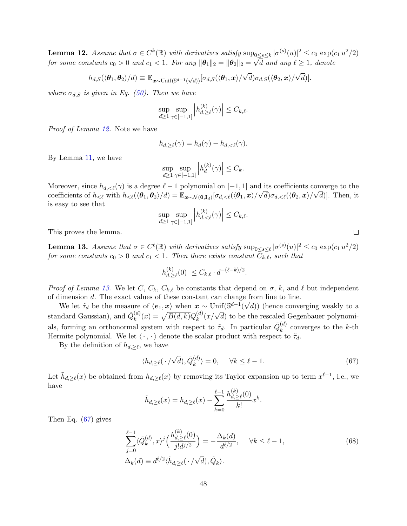<span id="page-47-0"></span>**Lemma 12.** Assume that  $\sigma \in C^k(\mathbb{R})$  with derivatives satisfy  $\sup_{0 \le s \le k} |\sigma^{(s)}(u)|^2 \le c_0 \exp(c_1 u^2/2)$ for some constants  $c_0 > 0$  and  $c_1 < 1$ . For any  $\|\boldsymbol{\theta}_1\|_2 = \|\boldsymbol{\theta}_2\|_2 = \sqrt{d}$  and any  $\ell \ge 1$ , denote

$$
h_{d,S}(\langle \boldsymbol{\theta}_1, \boldsymbol{\theta}_2 \rangle/d) \equiv \mathbb{E}_{\boldsymbol{x}\sim \text{Unif}(\mathbb{S}^{d-1}(\sqrt{d}))}[\sigma_{d,S}(\langle \boldsymbol{\theta}_1, \boldsymbol{x} \rangle/\sqrt{d})\sigma_{d,S}(\langle \boldsymbol{\theta}_2, \boldsymbol{x} \rangle/\sqrt{d})].
$$

where  $\sigma_{d,S}$  is given in Eq. [\(50\)](#page-41-2). Then we have

$$
\sup_{d\geq 1} \sup_{\gamma \in [-1,1]} \left| h_{d,\geq \ell}^{(k)}(\gamma) \right| \leq C_{k,\ell}.
$$

Proof of Lemma [12.](#page-47-0) Note we have

$$
h_{d,\geq \ell}(\gamma) = h_d(\gamma) - h_{d,\lt(\ell)}(\gamma).
$$

By Lemma [11,](#page-46-0) we have

$$
\sup_{d\geq 1} \sup_{\gamma \in [-1,1]} \left| h_d^{(k)}(\gamma) \right| \leq C_k.
$$

Moreover, since  $h_{d,<\ell}(\gamma)$  is a degree  $\ell-1$  polynomial on  $[-1,1]$  and its coefficients converge to the coefficients of  $h_{\leq \ell}$  with  $h_{\leq \ell}(\langle \theta_1, \theta_2 \rangle / d) = \mathbb{E}_{\boldsymbol{x} \sim \mathcal{N}(\mathbf{0}, \mathbf{I}_d)}[\sigma_{d,\leq \ell}(\langle \theta_1, \boldsymbol{x} \rangle / \sqrt{d}) \sigma_{d,\leq \ell}(\langle \theta_2, \boldsymbol{x} \rangle / \sqrt{d})]$ . Then, it is easy to see that

$$
\sup_{d\geq 1} \sup_{\gamma \in [-1,1]} \left| h_{d,<\ell}^{(k)}(\gamma) \right| \leq C_{k,\ell}.
$$

This proves the lemma.

<span id="page-47-1"></span>**Lemma 13.** Assume that  $\sigma \in C^{\ell}(\mathbb{R})$  with derivatives satisfy  $\sup_{0 \le s \le \ell} |\sigma^{(s)}(u)|^2 \le c_0 \exp(c_1 u^2/2)$ for some constants  $c_0 > 0$  and  $c_1 < 1$ . Then there exists constant  $\overline{C_{k,\ell}}$ , such that

$$
\left| h_{d,\geq \ell}^{(k)}(0) \right| \leq C_{k,\ell} \cdot d^{-(\ell-k)/2}
$$

Proof of Lemma [13.](#page-47-1) We let C,  $C_k$ ,  $C_{k,\ell}$  be constants that depend on  $\sigma$ , k, and  $\ell$  but independent of dimension d. The exact values of these constant can change from line to line.

We let  $\tilde{\tau}_d$  be the measure of  $\langle e_1, x \rangle$  when  $x \sim \text{Unif}(\mathbb{S}^{d-1}(\sqrt{d}))$  (hence converging weakly to a standard Gaussian), and  $\tilde{Q}_k^{(d)}$  $k_{k}^{(d)}(x) = \sqrt{B(d,k)}Q_{k}^{(d)}$  $\binom{d}{k}(x/\sqrt{d})$  to be the rescaled Gegenbauer polynomials, forming an orthonormal system with respect to  $\tilde{\tau}_d$ . In particular  $\tilde{Q}_k^{(d)}$  $k^{(u)}_k$  converges to the k-th Hermite polynomial. We let  $\langle \cdot, \cdot \rangle$  denote the scalar product with respect to  $\tilde{\tau}_d$ .

By the definition of  $h_{d,\geq \ell}$ , we have

$$
\langle h_{d,\geq \ell}(\cdot/\sqrt{d}), \tilde{Q}_k^{(d)} \rangle = 0, \quad \forall k \leq \ell - 1.
$$
 (67)

<span id="page-47-3"></span><span id="page-47-2"></span>.

Let  $\tilde{h}_{d,\geq \ell}(x)$  be obtained from  $h_{d,\geq \ell}(x)$  by removing its Taylor expansion up to term  $x^{\ell-1}$ , i.e., we have  $(L)$ 

$$
\tilde{h}_{d,\geq \ell}(x) = h_{d,\geq \ell}(x) - \sum_{k=0}^{\ell-1} \frac{h_{d,\geq \ell}^{(k)}(0)}{k!} x^k.
$$

Then Eq. [\(67\)](#page-47-2) gives

$$
\sum_{j=0}^{\ell-1} \langle \tilde{Q}_k^{(d)}, x \rangle^j \left( \frac{h_{d,\geq \ell}^{(k)}(0)}{j!d^{j/2}} \right) = -\frac{\Delta_k(d)}{d^{\ell/2}}, \quad \forall k \leq \ell - 1,
$$
\n
$$
\Delta_k(d) \equiv d^{\ell/2} \langle \tilde{h}_{d,\geq \ell}(\cdot/\sqrt{d}), \tilde{Q}_k \rangle.
$$
\n(68)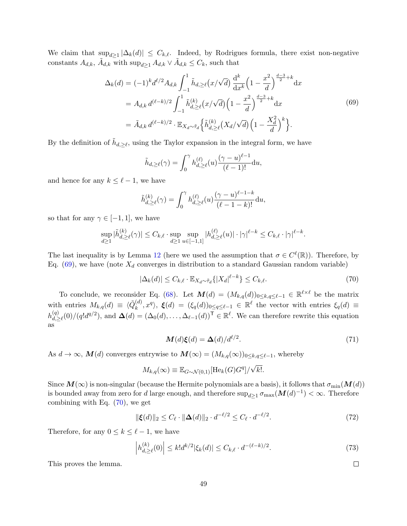We claim that  $\sup_{d\geq 1} |\Delta_k(d)| \leq C_{k,\ell}$ . Indeed, by Rodrigues formula, there exist non-negative constants  $A_{d,k}$ ,  $\tilde{A}_{d,k}$  with  $\sup_{d\geq 1} A_{d,k} \vee \tilde{A}_{d,k} \leq C_k$ , such that

<span id="page-48-0"></span>
$$
\Delta_{k}(d) = (-1)^{k} d^{\ell/2} A_{d,k} \int_{-1}^{1} \tilde{h}_{d,\geq \ell}(x/\sqrt{d}) \frac{d^{k}}{dx^{k}} \left(1 - \frac{x^{2}}{d}\right)^{\frac{d-3}{2}+k} dx
$$
  
\n
$$
= A_{d,k} d^{(\ell-k)/2} \int_{-1}^{1} \tilde{h}_{d,\geq \ell}^{(k)}(x/\sqrt{d}) \left(1 - \frac{x^{2}}{d}\right)^{\frac{d-3}{2}+k} dx
$$
  
\n
$$
= \tilde{A}_{d,k} d^{(\ell-k)/2} \cdot \mathbb{E}_{X_{d} \sim \tilde{\tau}_{d}} \left\{ \tilde{h}_{d,\geq \ell}^{(k)}(X_{d}/\sqrt{d}) \left(1 - \frac{X_{d}^{2}}{d}\right)^{k} \right\}.
$$
\n(69)

By the definition of  $\tilde{h}_{d,\geq \ell}$ , using the Taylor expansion in the integral form, we have

$$
\tilde{h}_{d,\geq \ell}(\gamma) = \int_0^{\gamma} h_{d,\geq \ell}^{(\ell)}(u) \frac{(\gamma - u)^{\ell - 1}}{(\ell - 1)!} \mathrm{d}u,
$$

and hence for any  $k \leq \ell - 1$ , we have

$$
\tilde{h}_{d,\geq \ell}^{(k)}(\gamma) = \int_0^{\gamma} h_{d,\geq \ell}^{(\ell)}(u) \frac{(\gamma - u)^{\ell - 1 - k}}{(\ell - 1 - k)!} \mathrm{d}u,
$$

so that for any  $\gamma \in [-1, 1]$ , we have

$$
\sup_{d\geq 1} |\tilde{h}_{d,\geq \ell}^{(k)}(\gamma)| \leq C_{k,\ell} \cdot \sup_{d\geq 1} \sup_{u\in [-1,1]} |h_{d,\geq \ell}^{(\ell)}(u)| \cdot |\gamma|^{\ell-k} \leq C_{k,\ell} \cdot |\gamma|^{\ell-k}.
$$

The last inequality is by Lemma [12](#page-47-0) (here we used the assumption that  $\sigma \in C^{\ell}(\mathbb{R})$ ). Therefore, by Eq. [\(69\)](#page-48-0), we have (note  $X_d$  converges in distribution to a standard Gaussian random variable)

$$
|\Delta_k(d)| \le C_{k,\ell} \cdot \mathbb{E}_{X_d \sim \tilde{\tau}_d} \{ |X_d|^{\ell-k} \} \le C_{k,\ell}.
$$
 (70)

To conclude, we reconsider Eq. [\(68\)](#page-47-3). Let  $M(d) = (M_{k,q}(d))_{0 \leq k,q \leq \ell-1} \in \mathbb{R}^{\ell \times \ell}$  be the matrix with entries  $M_{k,q}(d) \equiv \langle \tilde{Q}_k^{(d)} \rangle$  $\mathcal{L}_{k}^{(d)}, x^q$ ,  $\xi(d) = (\xi_q(d))_{0 \leq q \leq \ell-1} \in \mathbb{R}^{\ell}$  the vector with entries  $\xi_q(d) \equiv$  $h_{d}^{(q)}$  $\Delta(d) = (\Delta_0(d), \ldots, \Delta_{\ell-1}(d))^T \in \mathbb{R}^{\ell}$ . We can therefore rewrite this equation as

<span id="page-48-1"></span>
$$
\mathbf{M}(d)\boldsymbol{\xi}(d) = \boldsymbol{\Delta}(d)/d^{\ell/2}.\tag{71}
$$

As  $d \to \infty$ ,  $M(d)$  converges entrywise to  $M(\infty) = (M_{k,q}(\infty))_{0 \leq k,q \leq \ell-1}$ , whereby

$$
M_{k,q}(\infty) \equiv \mathbb{E}_{G \sim \mathcal{N}(0,1)}[\text{He}_k(G)G^q]/\sqrt{k!}.
$$

Since  $M(\infty)$  is non-singular (because the Hermite polynomials are a basis), it follows that  $\sigma_{\min}(M(d))$ is bounded away from zero for d large enough, and therefore  $\sup_{d\geq 1}\sigma_{\max}(M(d)^{-1})<\infty$ . Therefore combining with Eq. [\(70\)](#page-48-1), we get

$$
\|\xi(d)\|_2 \le C_{\ell} \cdot \|\Delta(d)\|_2 \cdot d^{-\ell/2} \le C_{\ell} \cdot d^{-\ell/2}.\tag{72}
$$

Therefore, for any  $0 \leq k \leq \ell - 1$ , we have

$$
\left| h_{d,\geq \ell}^{(k)}(0) \right| \leq k! d^{k/2} |\xi_k(d)| \leq C_{k,\ell} \cdot d^{-(\ell-k)/2}.
$$
 (73)

This proves the lemma.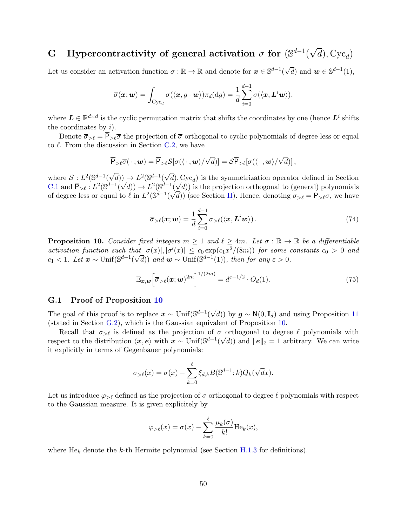#### <span id="page-49-0"></span>G Hypercontractivity of general activation  $\sigma$  for  $(\mathbb{S}^{d-1})$ √  $(d)$ , Cyc<sub>d</sub>)

Let us consider an activation function  $\sigma : \mathbb{R} \to \mathbb{R}$  and denote for  $x \in \mathbb{S}^{d-1}$  $\sqrt{d}$ ) and  $\mathbf{w} \in \mathbb{S}^{d-1}(1)$ ,

$$
\overline{\sigma}(\boldsymbol{x};\boldsymbol{w}) = \int_{\mathrm{Cyc}_d} \sigma(\langle \boldsymbol{x}, g \cdot \boldsymbol{w} \rangle) \pi_d(\mathrm{d}g) = \frac{1}{d} \sum_{i=0}^{d-1} \sigma(\langle \boldsymbol{x}, \boldsymbol{L}^i \boldsymbol{w} \rangle),
$$

where  $L \in \mathbb{R}^{d \times d}$  is the cyclic permutation matrix that shifts the coordinates by one (hence  $L^i$  shifts the coordinates by  $i$ ).

Denote  $\overline{\sigma}_{\geq \ell} = \overline{P}_{\geq \ell} \overline{\sigma}$  the projection of  $\overline{\sigma}$  orthogonal to cyclic polynomials of degree less or equal to  $\ell$ . From the discussion in Section [C.2,](#page-28-2) we have

$$
\overline{\mathsf{P}}_{\geq \ell} \overline{\sigma}(\cdot; \mathbf{w}) = \overline{\mathsf{P}}_{\geq \ell} \mathcal{S} [\sigma(\langle \cdot, \mathbf{w} \rangle / \sqrt{d})] = \mathcal{S} \overline{\mathsf{P}}_{> \ell} [\sigma(\langle \cdot, \mathbf{w} \rangle / \sqrt{d})],
$$

where  $S: L^2(\mathbb{S}^{d-1})$  $\overline{d})$   $\rightarrow$   $L^2$ ( $\mathbb{S}^{d-1}$ (  $(d)$ ,  $Cyc_d$ ) is the symmetrization operator defined in Section [C.1](#page-28-1) and  $\overline{P}_{\geq \ell} : L^2(\mathbb{S}^{d-1})$ √  $\overline{d})$   $\rightarrow$   $L^2$ ( $\mathbb{S}^{d-1}$ ( √  $\frac{d^1(\sqrt{d})}{dx^2}$  is the projection orthogonal to (general) polynomials of degree less or equal to  $\ell$  in  $L^2(\mathbb{S}^{d-1}(\sqrt{d}))$  (see Section [H\)](#page-57-0). Hence, denoting  $\sigma_{>\ell} = \overline{\mathsf{P}}_{>\ell}\sigma$ , we have

$$
\overline{\sigma}_{\geq \ell}(\boldsymbol{x}; \boldsymbol{w}) = \frac{1}{d} \sum_{i=0}^{d-1} \sigma_{\geq \ell}(\langle \boldsymbol{x}, \boldsymbol{L}^i \boldsymbol{w} \rangle).
$$
 (74)

<span id="page-49-1"></span>**Proposition 10.** Consider fixed integers  $m \geq 1$  and  $\ell \geq 4m$ . Let  $\sigma : \mathbb{R} \to \mathbb{R}$  be a differentiable activation function such that  $|\sigma(x)|, |\sigma'(x)| \leq c_0 \exp(c_1 x^2/(8m))$  for some constants  $c_0 > 0$  and c<sub>1</sub> < 1. Let  $\mathbf{x} \sim \text{Unif}(\mathbb{S}^{d-1}(\sqrt{d}))$  and  $\mathbf{w} \sim \text{Unif}(\mathbb{S}^{d-1}(1))$ , then for any  $\varepsilon > 0$ ,

$$
\mathbb{E}_{\boldsymbol{x},\boldsymbol{w}}\Big[\overline{\sigma}_{>\ell}(\boldsymbol{x};\boldsymbol{w})^{2m}\Big]^{1/(2m)} = d^{\varepsilon-1/2} \cdot O_d(1). \tag{75}
$$

#### <span id="page-49-2"></span>G.1 Proof of Proposition [10](#page-49-1)

The goal of this proof is to replace  $x \sim \text{Unif}(\mathbb{S}^{d-1})$ √ d)) by  $g \sim N(0, I_d)$  and using Proposition [11](#page-52-1) (stated in Section [G.2\)](#page-52-0), which is the Gaussian equivalent of Proposition [10.](#page-49-1)

Recall that  $\sigma_{\geq \ell}$  is defined as the projection of  $\sigma$  orthogonal to degree  $\ell$  polynomials with respect to the distribution  $\langle x, e \rangle$  with  $x \sim \text{Unif}(\mathbb{S}^{d-1}(\sqrt{d}))$  and  $||e||_2 = 1$  arbitrary. We can write it explicitly in terms of Gegenbauer polynomials:

$$
\sigma_{>l}(x) = \sigma(x) - \sum_{k=0}^{\ell} \xi_{d,k} B(\mathbb{S}^{d-1}; k) Q_k(\sqrt{d}x).
$$

Let us introduce  $\varphi_{>\ell}$  defined as the projection of  $\sigma$  orthogonal to degree  $\ell$  polynomials with respect to the Gaussian measure. It is given explicitely by

$$
\varphi_{>l}(x) = \sigma(x) - \sum_{k=0}^{\ell} \frac{\mu_k(\sigma)}{k!} \text{He}_k(x),
$$

where  $He_k$  denote the k-th Hermite polynomial (see Section [H.1.3](#page-59-0) for definitions).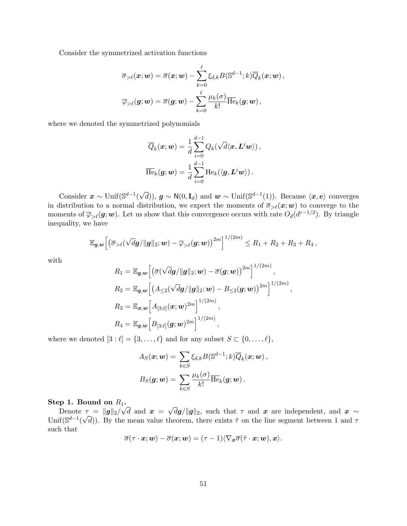Consider the symmetrized activation functions

$$
\overline{\sigma}_{>\ell}(\boldsymbol{x};\boldsymbol{w}) = \overline{\sigma}(\boldsymbol{x};\boldsymbol{w}) - \sum_{k=0}^{\ell} \xi_{d,k} B(\mathbb{S}^{d-1}; k) \overline{Q}_k(\boldsymbol{x};\boldsymbol{w}) ,\\ \overline{\varphi}_{>\ell}(\boldsymbol{g};\boldsymbol{w}) = \overline{\sigma}(\boldsymbol{g};\boldsymbol{w}) - \sum_{k=0}^{\ell} \frac{\mu_k(\sigma)}{k!} \overline{\text{He}}_k(\boldsymbol{g};\boldsymbol{w})\,,
$$

where we denoted the symmetrized polynomials

$$
\overline{Q}_k(\boldsymbol{x}; \boldsymbol{w}) = \frac{1}{d} \sum_{i=0}^{d-1} Q_k(\sqrt{d} \langle \boldsymbol{x}, \boldsymbol{L}^i \boldsymbol{w} \rangle),
$$
  

$$
\overline{\text{He}}_k(\boldsymbol{g}; \boldsymbol{w}) = \frac{1}{d} \sum_{i=0}^{d-1} \text{He}_k(\langle \boldsymbol{g}, \boldsymbol{L}^i \boldsymbol{w} \rangle).
$$

Consider  $x \sim \text{Unif}(\mathbb{S}^{d-1})$  $(\sqrt{d})$ ,  $g \sim N(0, I_d)$  and  $w \sim \text{Unif}(\mathbb{S}^{d-1}(1))$ . Because  $\langle x, e \rangle$  converges in distribution to a normal distribution, we expect the moments of  $\overline{\sigma}_{\geq \ell}(x; w)$  to converge to the moments of  $\overline{\varphi}_{\geq \ell}(g; w)$ . Let us show that this convergence occurs with rate  $O_d(d^{\varepsilon - 1/2})$ . By triangle inequality, we have

$$
\mathbb{E}_{\boldsymbol{g},\boldsymbol{w}}\Big[\big(\overline{\sigma}_{\geq \ell}(\sqrt{d}\boldsymbol{g}/\|\boldsymbol{g}\|_2; \boldsymbol{w}) - \overline{\varphi}_{>\ell}(\boldsymbol{g};\boldsymbol{w})\big)^{2m}\Big]^{1/(2m)} \leq R_1 + R_2 + R_3 + R_4\,,
$$

with

$$
R_1 = \mathbb{E}_{\mathbf{g},\mathbf{w}} \Big[ \big( \overline{\sigma} (\sqrt{d}\mathbf{g}/\|\mathbf{g}\|_2; \mathbf{w}) - \overline{\sigma}(\mathbf{g}; \mathbf{w}) \big)^{2m} \Big]^{1/(2m)},
$$
  
\n
$$
R_2 = \mathbb{E}_{\mathbf{g},\mathbf{w}} \Big[ \big( A_{\leq 2} (\sqrt{d}\mathbf{g}/\|\mathbf{g}\|_2; \mathbf{w}) - B_{\leq 2}(\mathbf{g}; \mathbf{w}) \big)^{2m} \Big]^{1/(2m)},
$$
  
\n
$$
R_3 = \mathbb{E}_{\mathbf{x},\mathbf{w}} \Big[ A_{[3:\ell]}(\mathbf{x}; \mathbf{w})^{2m} \Big]^{1/(2m)},
$$
  
\n
$$
R_4 = \mathbb{E}_{\mathbf{g},\mathbf{w}} \Big[ B_{[3:\ell]}(\mathbf{g}; \mathbf{w})^{2m} \Big]^{1/(2m)},
$$

where we denoted  $[3 : \ell] = \{3, \ldots, \ell\}$  and for any subset  $S \subset \{0, \ldots, \ell\},$ 

$$
A_S(\boldsymbol{x}; \boldsymbol{w}) = \sum_{k \in S} \xi_{d,k} B(\mathbb{S}^{d-1}; k) \overline{Q}_k(\boldsymbol{x}; \boldsymbol{w}),
$$

$$
B_S(\boldsymbol{g}; \boldsymbol{w}) = \sum_{k \in S} \frac{\mu_k(\sigma)}{k!} \overline{\text{He}}_k(\boldsymbol{g}; \boldsymbol{w}).
$$

#### Step 1. Bound on  $R_1$ .  $^1$ ;

Denote  $\tau = ||g||_2$ / d and  $x =$ √  $\tau = ||g||_2 / \sqrt{d}$  and  $\boldsymbol{x} = \sqrt{d\boldsymbol{g}}/||g||_2$ , such that  $\tau$  and  $\boldsymbol{x}$  are independent, and  $\boldsymbol{x} \sim$ Unif( $\mathbb{S}^{d-1}(\sqrt{d})$ ). By the mean value theorem, there exists  $\tilde{\tau}$  on the line segment between 1 and  $\tau$ such that

$$
\overline{\sigma}(\tau \cdot \boldsymbol{x}; \boldsymbol{w}) - \overline{\sigma}(\boldsymbol{x}; \boldsymbol{w}) = (\tau - 1) \langle \nabla_{\boldsymbol{x}} \overline{\sigma}(\tilde{\tau} \cdot \boldsymbol{x}; \boldsymbol{w}), \boldsymbol{x} \rangle.
$$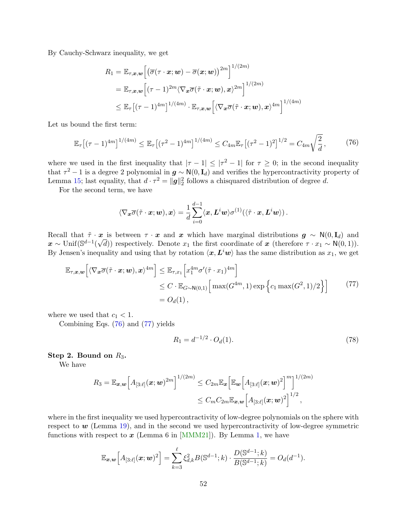By Cauchy-Schwarz inequality, we get

$$
R_1 = \mathbb{E}_{\tau,\boldsymbol{x},\boldsymbol{w}} \Big[ \big(\overline{\sigma}(\tau \cdot \boldsymbol{x}; \boldsymbol{w}) - \overline{\sigma}(\boldsymbol{x}; \boldsymbol{w})\big)^{2m} \Big]^{1/(2m)}
$$
  
\n
$$
= \mathbb{E}_{\tau,\boldsymbol{x},\boldsymbol{w}} \Big[ (\tau - 1)^{2m} \langle \nabla_{\boldsymbol{x}} \overline{\sigma}(\tilde{\tau} \cdot \boldsymbol{x}; \boldsymbol{w}), \boldsymbol{x} \rangle^{2m} \Big]^{1/(2m)}
$$
  
\n
$$
\leq \mathbb{E}_{\tau} \big[ (\tau - 1)^{4m} \big]^{1/(4m)} \cdot \mathbb{E}_{\tau,\boldsymbol{x},\boldsymbol{w}} \Big[ \langle \nabla_{\boldsymbol{x}} \overline{\sigma}(\tilde{\tau} \cdot \boldsymbol{x}; \boldsymbol{w}), \boldsymbol{x} \rangle^{4m} \Big]^{1/(4m)}
$$

Let us bound the first term:

<span id="page-51-0"></span>
$$
\mathbb{E}_{\tau}\big[(\tau-1)^{4m}\big]^{1/(4m)} \leq \mathbb{E}_{\tau}\big[(\tau^2-1)^{4m}\big]^{1/(4m)} \leq C_{4m}\mathbb{E}_{\tau}\big[(\tau^2-1)^2\big]^{1/2} = C_{4m}\sqrt{\frac{2}{d}},\tag{76}
$$

where we used in the first inequality that  $|\tau - 1| \leq |\tau^2 - 1|$  for  $\tau \geq 0$ ; in the second inequality that  $\tau^2 - 1$  is a degree 2 polynomial in  $g \sim N(0, I_d)$  and verifies the hypercontractivity property of Lemma [15;](#page-55-1) last equality, that  $d \cdot \tau^2 = ||g||_2^2$  follows a chisquared distribution of degree d.

For the second term, we have

$$
\langle \nabla_{\boldsymbol{x}} \overline{\sigma}(\tilde{\tau} \cdot \boldsymbol{x}; \boldsymbol{w}), \boldsymbol{x} \rangle = \frac{1}{d} \sum_{i=0}^{d-1} \langle \boldsymbol{x}, \boldsymbol{L}^i \boldsymbol{w} \rangle \sigma^{(1)}(\langle \tilde{\tau} \cdot \boldsymbol{x}, \boldsymbol{L}^i \boldsymbol{w} \rangle) .
$$

Recall that  $\tilde{\tau} \cdot x$  is between  $\tau \cdot x$  and x which have marginal distributions  $g \sim N(0, I_d)$  and  $\mathbf{x} \sim \text{Unif}(\mathbb{S}^{d-1}(\sqrt{d}))$  respectively. Denote  $x_1$  the first coordinate of  $\mathbf{x}$  (therefore  $\tau \cdot x_1 \sim \mathsf{N}(0,1)$ ). By Jensen's inequality and using that by rotation  $\langle x, L^i w \rangle$  has the same distribution as  $x_1$ , we get

<span id="page-51-1"></span>
$$
\mathbb{E}_{\tau,\boldsymbol{x},\boldsymbol{w}}\Big[\langle\nabla_{\boldsymbol{x}}\overline{\sigma}(\tilde{\tau}\cdot\boldsymbol{x};\boldsymbol{w}),\boldsymbol{x}\rangle^{4m}\Big] \leq \mathbb{E}_{\tau,x_1}\Big[x_1^{4m}\sigma'(\tilde{\tau}\cdot x_1)^{4m}\Big] \leq C \cdot \mathbb{E}_{G\sim\mathbb{N}(0,1)}\Big[\max(G^{4m},1)\exp\Big\{c_1\max(G^2,1)/2\Big\}\Big] \tag{77} = O_d(1),
$$

where we used that  $c_1 < 1$ .

Combining Eqs. [\(76\)](#page-51-0) and [\(77\)](#page-51-1) yields

<span id="page-51-2"></span>
$$
R_1 = d^{-1/2} \cdot O_d(1). \tag{78}
$$

#### Step 2. Bound on  $R_3$ .

We have

$$
R_3 = \mathbb{E}_{\bm{x},\bm{w}} \Big[ A_{[3:\ell]}(\bm{x};\bm{w})^{2m} \Big]^{1/(2m)} \leq C_{2m} \mathbb{E}_{\bm{x}} \Big[ \mathbb{E}_{\bm{w}} \Big[ A_{[3:\ell]}(\bm{x};\bm{w})^2 \Big]^m \Big]^{1/(2m)} \\ \leq C_m C_{2m} \mathbb{E}_{\bm{x},\bm{w}} \Big[ A_{[3:\ell]}(\bm{x};\bm{w})^2 \Big]^{1/2},
$$

where in the first inequality we used hypercontractivity of low-degree polynomials on the sphere with respect to  $w$  (Lemma [19\)](#page-61-3), and in the second we used hypercontractivity of low-degree symmetric functions with respect to  $x$  (Lemma 6 in [\[MMM21\]](#page-15-11)). By Lemma [1,](#page-29-1) we have

$$
\mathbb{E}_{\boldsymbol{x},\boldsymbol{w}}\Big[A_{[3:\ell]}(\boldsymbol{x};\boldsymbol{w})^2\Big] = \sum_{k=3}^{\ell} \xi_{d,k}^2 B(\mathbb{S}^{d-1};k) \cdot \frac{D(\mathbb{S}^{d-1};k)}{B(\mathbb{S}^{d-1};k)} = O_d(d^{-1}).
$$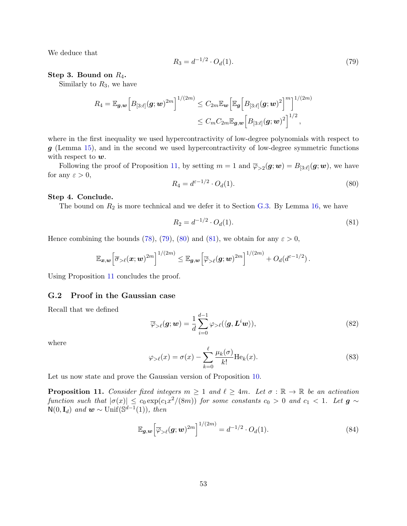We deduce that

<span id="page-52-2"></span>
$$
R_3 = d^{-1/2} \cdot O_d(1). \tag{79}
$$

#### Step 3. Bound on  $R_4$ .

Similarly to  $R_3$ , we have

$$
R_4 = \mathbb{E}_{\bm{g},\bm{w}} \Big[ B_{[3:\ell]}(\bm{g};\bm{w})^{2m} \Big]^{1/(2m)} \leq C_{2m} \mathbb{E}_{\bm{w}} \Big[ \mathbb{E}_{\bm{g}} \Big[ B_{[3:\ell]}(\bm{g};\bm{w})^2 \Big]^m \Big]^{1/(2m)} \\ \leq C_m C_{2m} \mathbb{E}_{\bm{g},\bm{w}} \Big[ B_{[3:\ell]}(\bm{g};\bm{w})^2 \Big]^{1/2},
$$

where in the first inequality we used hypercontractivity of low-degree polynomials with respect to  $g$  (Lemma [15\)](#page-55-1), and in the second we used hypercontractivity of low-degree symmetric functions with respect to  $w$ .

Following the proof of Proposition [11,](#page-52-1) by setting  $m=1$  and  $\overline{\varphi}_{>2}(\bm{g}; \bm{w}) = B_{[3:\ell]}(\bm{g}; \bm{w})$ , we have for any  $\varepsilon > 0$ ,

<span id="page-52-3"></span>
$$
R_4 = d^{\varepsilon - 1/2} \cdot O_d(1). \tag{80}
$$

#### Step 4. Conclude.

The bound on  $R_2$  is more technical and we defer it to Section [G.3.](#page-55-0) By Lemma [16,](#page-55-2) we have

<span id="page-52-4"></span>
$$
R_2 = d^{-1/2} \cdot O_d(1). \tag{81}
$$

Hence combining the bounds [\(78\)](#page-51-2), [\(79\)](#page-52-2), [\(80\)](#page-52-3) and [\(81\)](#page-52-4), we obtain for any  $\varepsilon > 0$ ,

$$
\mathbb{E}_{\boldsymbol{x},\boldsymbol{w}}\Big[\overline{\sigma}_{\geq \ell}(\boldsymbol{x};\boldsymbol{w})^{2m}\Big]^{1/(2m)} \leq \mathbb{E}_{\boldsymbol{g},\boldsymbol{w}}\Big[\overline{\varphi}_{\geq \ell}(\boldsymbol{g};\boldsymbol{w})^{2m}\Big]^{1/(2m)} + O_d(d^{\varepsilon-1/2}).
$$

Using Proposition [11](#page-52-1) concludes the proof.

## <span id="page-52-0"></span>G.2 Proof in the Gaussian case

Recall that we defined

<span id="page-52-5"></span>
$$
\overline{\varphi}_{>\ell}(\mathbf{g};\mathbf{w}) = \frac{1}{d} \sum_{i=0}^{d-1} \varphi_{>\ell}(\langle \mathbf{g}, \mathbf{L}^i \mathbf{w} \rangle), \tag{82}
$$

where

$$
\varphi_{>\ell}(x) = \sigma(x) - \sum_{k=0}^{\ell} \frac{\mu_k(\sigma)}{k!} \text{He}_k(x). \tag{83}
$$

Let us now state and prove the Gaussian version of Proposition [10.](#page-49-1)

<span id="page-52-1"></span>**Proposition 11.** Consider fixed integers  $m \geq 1$  and  $\ell \geq 4m$ . Let  $\sigma : \mathbb{R} \to \mathbb{R}$  be an activation function such that  $|\sigma(x)| \leq c_0 \exp(c_1x^2/(8m))$  for some constants  $c_0 > 0$  and  $c_1 < 1$ . Let  $\boldsymbol{g} \sim$  $\mathsf{N}(0,\mathbf{I}_d)$  and  $\mathbf{w} \sim \text{Unif}(\mathbb{S}^{d-1}(1)),$  then

$$
\mathbb{E}_{\boldsymbol{g},\boldsymbol{w}}\Big[\overline{\varphi}_{>\ell}(\boldsymbol{g};\boldsymbol{w})^{2m}\Big]^{1/(2m)} = d^{-1/2} \cdot O_d(1). \tag{84}
$$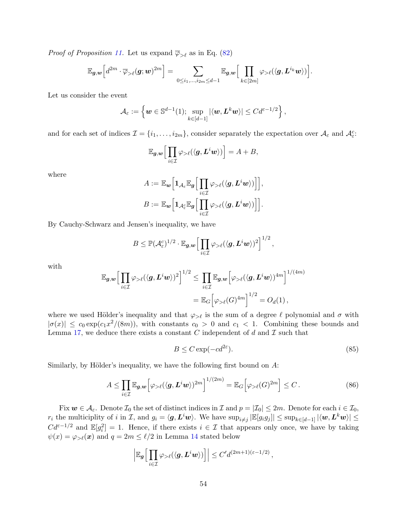*Proof of Proposition [11.](#page-52-1)* Let us expand  $\overline{\varphi}_{\geq \ell}$  as in Eq. [\(82\)](#page-52-5)

$$
\mathbb{E}_{\boldsymbol{g},\boldsymbol{w}}\Big[d^{2m}\cdot\overline{\varphi}_{>\ell}(\boldsymbol{g};\boldsymbol{w})^{2m}\Big]=\sum_{0\leq i_1,\dots,i_{2m}\leq d-1}\mathbb{E}_{\boldsymbol{g},\boldsymbol{w}}\Big[\prod_{k\in [2m]}\varphi_{>\ell}(\langle \boldsymbol{g},\boldsymbol{L}^{i_k}\boldsymbol{w}\rangle)\Big].
$$

Let us consider the event

$$
\mathcal{A}_{\varepsilon} := \left\{ \boldsymbol{w} \in \mathbb{S}^{d-1}(1); \sup_{k \in [d-1]} |\langle \boldsymbol{w}, \boldsymbol{L}^k \boldsymbol{w} \rangle| \leq C d^{\varepsilon - 1/2} \right\},\
$$

and for each set of indices  $\mathcal{I} = \{i_1, \ldots, i_{2m}\}\$ , consider separately the expectation over  $\mathcal{A}_{\varepsilon}$  and  $\mathcal{A}_{\varepsilon}^c$ .

$$
\mathbb{E}_{g,w}\Big[\prod_{i\in\mathcal{I}}\varphi_{>\ell}(\langle g,L^iw\rangle)\Big]=A+B,
$$

where

$$
A:=\mathbb{E}_{\boldsymbol{w}}\Big[\boldsymbol{1}_{\mathcal{A}_{\varepsilon}}\mathbb{E}_{\boldsymbol{g}}\Big[\prod_{i\in\mathcal{I}}\varphi_{>\ell}(\langle\boldsymbol{g},\boldsymbol{L}^i\boldsymbol{w}\rangle)\Big]\Big],\\B:=\mathbb{E}_{\boldsymbol{w}}\Big[\boldsymbol{1}_{\mathcal{A}^c_{\varepsilon}}\mathbb{E}_{\boldsymbol{g}}\Big[\prod_{i\in\mathcal{I}}\varphi_{>\ell}(\langle\boldsymbol{g},\boldsymbol{L}^i\boldsymbol{w}\rangle)\Big]\Big].
$$

By Cauchy-Schwarz and Jensen's inequality, we have

$$
B \leq \mathbb{P}(\mathcal{A}_{\varepsilon}^c)^{1/2} \cdot \mathbb{E}_{\mathbf{g},\mathbf{w}} \Big[ \prod_{i \in \mathcal{I}} \varphi_{> \ell}(\langle \mathbf{g}, \mathbf{L}^i \mathbf{w} \rangle)^2 \Big]^{1/2},
$$

with

$$
\mathbb{E}_{\mathbf{g},\mathbf{w}} \Big[ \prod_{i \in \mathcal{I}} \varphi_{> \ell} (\langle \mathbf{g}, \mathbf{L}^i \mathbf{w} \rangle)^2 \Big]^{1/2} \leq \prod_{i \in \mathcal{I}} \mathbb{E}_{\mathbf{g},\mathbf{w}} \Big[ \varphi_{> \ell} (\langle \mathbf{g}, \mathbf{L}^i \mathbf{w} \rangle)^{4m} \Big]^{1/(4m)}
$$
  
= 
$$
\mathbb{E}_G \Big[ \varphi_{> \ell} (G)^{4m} \Big]^{1/2} = O_d(1),
$$

where we used Hölder's inequality and that  $\varphi_{\geq \ell}$  is the sum of a degree  $\ell$  polynomial and  $\sigma$  with  $|\sigma(x)| \leq c_0 \exp(c_1 x^2/(8m))$ , with constants  $c_0 > 0$  and  $c_1 < 1$ . Combining these bounds and Lemma [17,](#page-57-3) we deduce there exists a constant C independent of d and  $\mathcal I$  such that

<span id="page-53-0"></span>
$$
B \le C \exp(-cd^{2\varepsilon}).\tag{85}
$$

Similarly, by Hölder's inequality, we have the following first bound on  $A$ :

<span id="page-53-1"></span>
$$
A \leq \prod_{i \in \mathcal{I}} \mathbb{E}_{\mathbf{g},\mathbf{w}} \left[ \varphi_{> \ell} (\langle \mathbf{g}, \mathbf{L}^i \mathbf{w} \rangle)^{2m} \right]^{1/(2m)} = \mathbb{E}_G \left[ \varphi_{> \ell} (G)^{2m} \right] \leq C. \tag{86}
$$

Fix  $w \in \mathcal{A}_{\varepsilon}$ . Denote  $\mathcal{I}_{0}$  the set of distinct indices in  $\mathcal{I}$  and  $p = |\mathcal{I}_{0}| \leq 2m$ . Denote for each  $i \in \mathcal{I}_{0}$ ,  $r_i$  the multiciplity of i in I, and  $g_i = \langle g, L^i w \rangle$ . We have  $\sup_{i \neq j} |\mathbb{E}[g_i g_j]| \leq \sup_{k \in [d-1]} |\langle w, L^k w \rangle| \leq$  $Cd^{\varepsilon-1/2}$  and  $\mathbb{E}[g_i^2]=1$ . Hence, if there exists  $i \in \mathcal{I}$  that appears only once, we have by taking  $\psi(x) = \varphi_{> \ell}(x)$  and  $q = 2m \leq \ell/2$  in Lemma [14](#page-54-0) stated below

$$
\left| \mathbb{E}_{\boldsymbol{g}} \Big[ \prod_{i \in \mathcal{I}} \varphi_{> \ell} (\langle \boldsymbol{g}, \boldsymbol{L}^i \boldsymbol{w} \rangle ) \Big] \right| \leq C' d^{(2m+1)(\varepsilon - 1/2)},
$$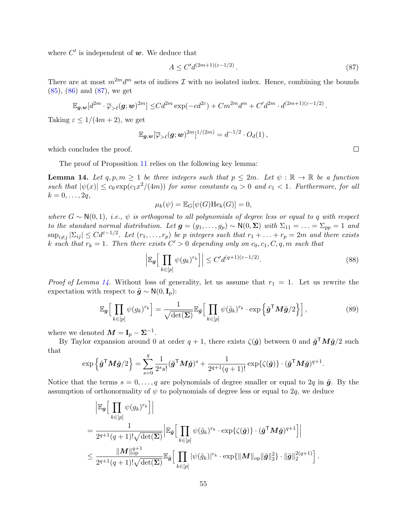where  $C'$  is independent of  $w$ . We deduce that

<span id="page-54-1"></span>
$$
A \le C' d^{(2m+1)(\varepsilon - 1/2)}.
$$
\n
$$
(87)
$$

There are at most  $m^{2m}d^m$  sets of indices  $\mathcal I$  with no isolated index. Hence, combining the bounds [\(85\)](#page-53-0), [\(86\)](#page-53-1) and [\(87\)](#page-54-1), we get

$$
\mathbb{E}_{\boldsymbol{g},\boldsymbol{w}}[d^{2m}\cdot\overline{\varphi}_{\geq \ell}(\boldsymbol{g};\boldsymbol{w})^{2m}] \leq Cd^{2m}\exp(-cd^{2\varepsilon})+Cm^{2m}d^{m}+C'd^{2m}\cdot d^{(2m+1)(\varepsilon-1/2)}.
$$

Taking  $\varepsilon \leq 1/(4m+2)$ , we get

$$
\mathbb{E}_{\boldsymbol{g},\boldsymbol{w}}[\overline{\varphi}_{>\ell}(\boldsymbol{g};\boldsymbol{w})^{2m}]^{1/(2m)}=d^{-1/2}\cdot O_d(1)\,,
$$

which concludes the proof.

The proof of Proposition [11](#page-52-1) relies on the following key lemma:

<span id="page-54-0"></span>**Lemma 14.** Let  $q, p, m \ge 1$  be three integers such that  $p \le 2m$ . Let  $\psi : \mathbb{R} \to \mathbb{R}$  be a function such that  $|\psi(x)| \leq c_0 \exp(c_1 x^2/(4m))$  for some constants  $c_0 > 0$  and  $c_1 < 1$ . Furthermore, for all  $k=0,\ldots,2q,$ 

$$
\mu_k(\psi) = \mathbb{E}_G[\psi(G) \text{He}_k(G)] = 0,
$$

where  $G \sim N(0, 1)$ , i.e.,  $\psi$  is orthogonal to all polynomials of degree less or equal to q with respect to the standard normal distribution. Let  $g = (g_1, \ldots, g_p) \sim N(0, \Sigma)$  with  $\Sigma_{11} = \ldots = \Sigma_{pp} = 1$  and  $\sup_{i \neq j} |\Sigma_{ij}| \leq C d^{\varepsilon - 1/2}$ . Let  $(r_1, \ldots, r_p)$  be p integers such that  $r_1 + \ldots + r_p = 2m$  and there exists k such that  $r_k = 1$ . Then there exists  $C' > 0$  depending only on  $c_0, c_1, C, q, m$  such that

$$
\left| \mathbb{E}_{\mathbf{g}} \Big[ \prod_{k \in [p]} \psi(g_k)^{r_k} \Big] \right| \le C' d^{(q+1)(\varepsilon - 1/2)}.
$$
\n(88)

*Proof of Lemma [14.](#page-54-0)* Without loss of generality, let us assume that  $r_1 = 1$ . Let us rewrite the expectation with respect to  $\tilde{g} \sim N(0, I_p)$ :

$$
\mathbb{E}_{\mathbf{g}}\Big[\prod_{k\in[p]} \psi(g_k)^{r_k}\Big] = \frac{1}{\sqrt{\det(\boldsymbol{\Sigma})}} \mathbb{E}_{\tilde{\mathbf{g}}}\Big[\prod_{k\in[p]} \psi(\tilde{g}_k)^{r_k} \cdot \exp\left\{\tilde{\mathbf{g}}^{\mathsf{T}} \mathbf{M}\tilde{\mathbf{g}}/2\right\}\Big],\tag{89}
$$

where we denoted  $M = I_p - \Sigma^{-1}$ .

By Taylor expansion around 0 at order  $q+1$ , there exists  $\zeta(\tilde{g})$  between 0 and  $\tilde{g}^{\mathsf{T}}M\tilde{g}/2$  such that

$$
\exp\left\{\tilde{\boldsymbol{g}}^{\mathsf{T}}\boldsymbol{M}\tilde{\boldsymbol{g}}/2\right\} = \sum_{s=0}^{q} \frac{1}{2^{s}s!} (\tilde{\boldsymbol{g}}^{\mathsf{T}}\boldsymbol{M}\tilde{\boldsymbol{g}})^{s} + \frac{1}{2^{q+1}(q+1)!} \exp\{\zeta(\tilde{\boldsymbol{g}})\} \cdot (\tilde{\boldsymbol{g}}^{\mathsf{T}}\boldsymbol{M}\tilde{\boldsymbol{g}})^{q+1}.
$$

Notice that the terms  $s = 0, \ldots, q$  are polynomials of degree smaller or equal to 2q in  $\tilde{g}$ . By the assumption of orthonormality of  $\psi$  to polynomials of degree less or equal to 2q, we deduce

$$
\begin{split} &\left| \mathbb{E}_{\boldsymbol{g}} \Big[ \prod_{k \in [p]} \psi(g_k)^{r_k} \Big] \right| \\ &= \frac{1}{2^{q+1}(q+1)!\sqrt{\det(\boldsymbol{\Sigma})}} \Big| \mathbb{E}_{\tilde{\boldsymbol{g}}} \Big[ \prod_{k \in [p]} \psi(\tilde{g}_k)^{r_k} \cdot \exp\{\zeta(\tilde{\boldsymbol{g}})\} \cdot (\tilde{\boldsymbol{g}}^\mathsf{T} \boldsymbol{M} \tilde{\boldsymbol{g}})^{q+1} \Big] \Big| \\ &\leq \frac{ \| \boldsymbol{M} \|_{\mathrm{op}}^{q+1} }{2^{q+1}(q+1)!\sqrt{\det(\boldsymbol{\Sigma})}} \mathbb{E}_{\tilde{\boldsymbol{g}}} \Big[ \prod_{k \in [p]} |\psi(\tilde{g}_k)|^{r_k} \cdot \exp\{\| \boldsymbol{M} \|_{\mathrm{op}} \| \tilde{\boldsymbol{g}} \|_2^2\} \cdot \| \tilde{\boldsymbol{g}} \|_2^{2(q+1)} \Big] \,. \end{split}
$$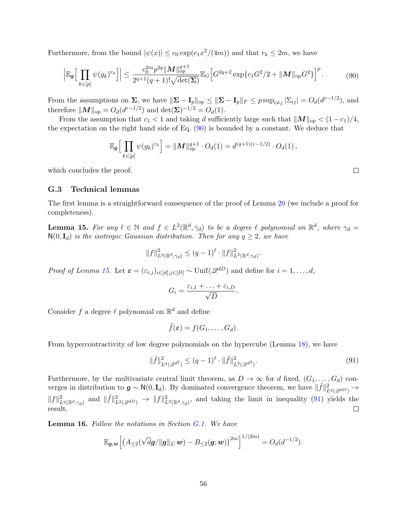Furthermore, from the bound  $|\psi(x)| \leq c_0 \exp(c_1 x^2/(4m))$  and that  $r_k \leq 2m$ , we have

<span id="page-55-3"></span>
$$
\left| \mathbb{E}_{g} \Big[ \prod_{k \in [p]} \psi(g_k)^{r_k} \Big] \right| \leq \frac{c_0^{2m} p^{2q} \| \mathbf{M} \|_{\text{op}}^{q+1}}{2^{q+1} (q+1)! \sqrt{\det(\boldsymbol{\Sigma})}} \mathbb{E}_{G} \Big[ G^{2q+2} \exp\{c_1 G^2 / 2 + \| \mathbf{M} \|_{\text{op}} G^2 \} \Big]^p. \tag{90}
$$

From the assumptions on  $\Sigma$ , we have  $\|\Sigma - \mathbf{I}_p\|_{\text{op}} \leq \|\Sigma - \mathbf{I}_p\|_F \leq p \sup_{i \neq j} |\Sigma_{ij}| = O_d(d^{\varepsilon - 1/2})$ , and therefore  $||M||_{op} = O_d(d^{\varepsilon - 1/2})$  and  $\det(\mathbf{\Sigma})^{-1/2} = O_d(1)$ .

From the assumption that  $c_1 < 1$  and taking d sufficiently large such that  $||M||_{op} < (1 - c_1)/4$ , the expectation on the right hand side of Eq. [\(90\)](#page-55-3) is bounded by a constant. We deduce that

$$
\mathbb{E}_{\boldsymbol{g}}\Big[\prod_{k\in[p]} \psi(g_k)^{r_k}\Big] = \|\boldsymbol{M}\|_{\text{op}}^{q+1} \cdot O_d(1) = d^{(q+1)(\varepsilon-1/2)} \cdot O_d(1),
$$

which concludes the proof.

#### <span id="page-55-0"></span>G.3 Technical lemmas

The first lemma is a straightforward consequence of the proof of Lemma [20](#page-62-0) (we include a proof for completeness).

<span id="page-55-1"></span>**Lemma 15.** For any  $\ell \in \mathbb{N}$  and  $f \in L^2(\mathbb{R}^d, \gamma_d)$  to be a degree  $\ell$  polynomial on  $\mathbb{R}^d$ , where  $\gamma_d =$  $N(0, I_d)$  is the isotropic Gaussian distribution. Then for any  $q \geq 2$ , we have

$$
||f||_{L^{q}(\mathbb{R}^{d},\gamma_{d})}^{2} \leq (q-1)^{\ell} \cdot ||f||_{L^{2}(\mathbb{R}^{d},\gamma_{d})}^{2}.
$$

*Proof of Lemma [15.](#page-55-1)* Let  $\varepsilon = (\varepsilon_{i,j})_{i \in [d], j \in [D]}$  ~ Unif $(\mathscr{Q}^{dD})$  and define for  $i = 1, \ldots, d$ ,

$$
G_i = \frac{\varepsilon_{i,1} + \ldots + \varepsilon_{i,D}}{\sqrt{D}}.
$$

Consider f a degree  $\ell$  polynomial on  $\mathbb{R}^d$  and define

$$
\tilde{f}(\varepsilon) = f(G_1, \ldots, G_d).
$$

From hypercontractivity of low degree polynomials on the hypercube (Lemma [18\)](#page-61-2), we have

<span id="page-55-4"></span>
$$
\|\tilde{f}\|_{L^{q}(\mathcal{Q}^{d^2})}^2 \le (q-1)^{\ell} \cdot \|\tilde{f}\|_{L^{2}(\mathcal{Q}^{d^2})}^2.
$$
\n(91)

Furthermore, by the multivariate central limit theorem, as  $D \to \infty$  for d fixed,  $(G_1, \ldots, G_d)$  converges in distribution to  $g \sim N(0, I_d)$ . By dominated convergence theorem, we have  $\|\tilde{f}\|^2_{L^q(Q^{dD})} \to$  $||f||^2_{L^q(\mathbb{R}^d,\gamma_d)}$  and  $||\tilde{f}||^2_{L^2(\mathbb{R}^d,\gamma_d)} \to ||f||^2_{L^2(\mathbb{R}^d,\gamma_d)}$ , and taking the limit in inequality [\(91\)](#page-55-4) yields the result.  $\Box$ 

<span id="page-55-2"></span>Lemma 16. Follow the notations in Section [G.1.](#page-49-2) We have

$$
\mathbb{E}_{\bm{g},\bm{w}}\Big[\big(A_{\leq 2}(\sqrt{d}\bm{g}/\|\bm{g}\|_2;\bm{w})-B_{\leq 2}(\bm{g};\bm{w})\big)^{2m}\Big]^{1/(2m)}=O_d(d^{-1/2}).
$$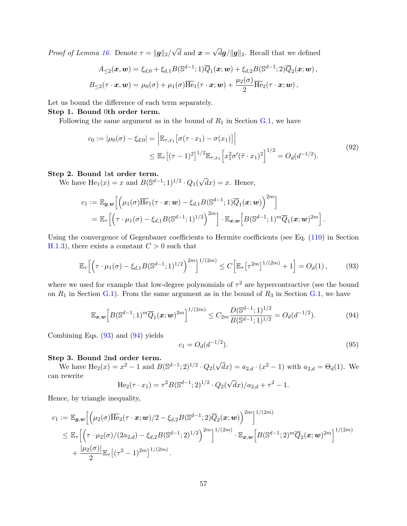*Proof of Lemma [16.](#page-55-2)* Denote  $\tau = ||g||_2$ / √ d and  $x =$ √  $dg/\Vert g\Vert_2$ . Recall that we defined

$$
A_{\leq 2}(\boldsymbol{x},\boldsymbol{w}) = \xi_{d,0} + \xi_{d,1} B(\mathbb{S}^{d-1}; 1) \overline{Q}_1(\boldsymbol{x}; \boldsymbol{w}) + \xi_{d,2} B(\mathbb{S}^{d-1}; 2) \overline{Q}_2(\boldsymbol{x}; \boldsymbol{w}) ,
$$
  

$$
B_{\leq 2}(\tau \cdot \boldsymbol{x}, \boldsymbol{w}) = \mu_0(\sigma) + \mu_1(\sigma) \overline{\text{He}}_1(\tau \cdot \boldsymbol{x}; \boldsymbol{w}) + \frac{\mu_2(\sigma)}{2} \overline{\text{He}}_2(\tau \cdot \boldsymbol{x}; \boldsymbol{w}) ,
$$

Let us bound the difference of each term separately.

#### Step 1. Bound 0th order term.

Following the same argument as in the bound of  $R_1$  in Section [G.1,](#page-49-2) we have

<span id="page-56-2"></span>
$$
c_0 := |\mu_0(\sigma) - \xi_{d,0}| = \left| \mathbb{E}_{\tau,x_1} \left[ \sigma(\tau \cdot x_1) - \sigma(x_1) \right] \right|
$$
  
\$\leq \mathbb{E}\_{\tau} \left[ (\tau - 1)^2 \right]^{1/2} \mathbb{E}\_{\tau,x\_1} \left[ x\_1^2 \sigma'(\tilde{\tau} \cdot x\_1)^2 \right]^{1/2} = O\_d(d^{-1/2}). \tag{92}

#### Step 2. Bound 1st order term.

We have  $He_1(x) = x$  and  $B(\mathbb{S}^{d-1}; 1)^{1/2} \cdot Q_1(x)$ √  $dx$ ) = x. Hence,

$$
c_1 := \mathbb{E}_{\mathbf{g},\mathbf{w}} \Big[ \Big( \mu_1(\sigma) \overline{\text{He}}_1(\tau \cdot \mathbf{x}; \mathbf{w}) - \xi_{d,1} B(\mathbb{S}^{d-1}; 1) \overline{Q}_1(\mathbf{x}; \mathbf{w}) \Big)^{2m} \Big] = \mathbb{E}_{\tau} \Big[ \Big( \tau \cdot \mu_1(\sigma) - \xi_{d,1} B(\mathbb{S}^{d-1}; 1)^{1/2} \Big)^{2m} \Big] \cdot \mathbb{E}_{\mathbf{x},\mathbf{w}} \Big[ B(\mathbb{S}^{d-1}; 1)^m \overline{Q}_1(\mathbf{x}; \mathbf{w})^{2m} \Big].
$$

Using the convergence of Gegenbauer coefficients to Hermite coefficients (see Eq. [\(110\)](#page-60-3) in Section [H.1.3\)](#page-59-0), there exists a constant  $C > 0$  such that

<span id="page-56-0"></span>
$$
\mathbb{E}_{\tau}\Big[\Big(\tau \cdot \mu_1(\sigma) - \xi_{d,1} B(\mathbb{S}^{d-1};1)^{1/2}\Big)^{2m}\Big]^{1/(2m)} \le C\Big[\mathbb{E}_{\tau}\big[\tau^{2m}\big]^{1/(2m)} + 1\Big] = O_d(1),\tag{93}
$$

where we used for example that low-degree polynomials of  $\tau^2$  are hypercontractive (see the bound on  $R_1$  in Section [G.1\)](#page-49-2). From the same argument as in the bound of  $R_3$  in Section [G.1,](#page-49-2) we have

<span id="page-56-1"></span>
$$
\mathbb{E}_{\boldsymbol{x},\boldsymbol{w}}\Big[B(\mathbb{S}^{d-1};1)^m\overline{Q}_1(\boldsymbol{x};\boldsymbol{w})^{2m}\Big]^{1/(2m)} \le C_{2m} \frac{D(\mathbb{S}^{d-1};1)^{1/2}}{B(\mathbb{S}^{d-1};1)^{1/2}} = O_d(d^{-1/2}).\tag{94}
$$

Combining Eqs. [\(93\)](#page-56-0) and [\(94\)](#page-56-1) yields

<span id="page-56-3"></span>
$$
c_1 = O_d(d^{-1/2}).\tag{95}
$$

#### Step 3. Bound 2nd order term.

We have  $\text{He}_2(x) = x^2 - 1$  and  $B(\mathbb{S}^{d-1}; 2)^{1/2} \cdot Q_2(x)$ √  $\overline{d}x) = a_{2,d} \cdot (x^2 - 1)$  with  $a_{2,d} = \Theta_d(1)$ . We can rewrite √

$$
\text{He}_2(\tau \cdot x_1) = \tau^2 B(\mathbb{S}^{d-1}; 2)^{1/2} \cdot Q_2(\sqrt{d}x)/a_{2,d} + \tau^2 - 1.
$$

Hence, by triangle inequality,

$$
c_1 := \mathbb{E}_{\mathbf{g},\mathbf{w}} \Big[ \Big( \mu_2(\sigma) \overline{\text{He}}_2(\tau \cdot \mathbf{x}; \mathbf{w}) / 2 - \xi_{d,2} B(\mathbb{S}^{d-1}; 2) \overline{Q}_2(\mathbf{x}; \mathbf{w}) \Big)^{2m} \Big]^{1/(2m)}
$$
  
\$\leq \mathbb{E}\_{\tau} \Big[ \Big( \tau \cdot \mu\_2(\sigma) / (2a\_{2,d}) - \xi\_{d,2} B(\mathbb{S}^{d-1}; 2)^{1/2} \Big)^{2m} \Big]^{1/(2m)} \cdot \mathbb{E}\_{\mathbf{x},\mathbf{w}} \Big[ B(\mathbb{S}^{d-1}; 2)^m \overline{Q}\_2(\mathbf{x}; \mathbf{w})^{2m} \Big]^{1/(2m)} \Big]^{1/(2m)}\$  
\$+\frac{|\mu\_2(\sigma)|}{2} \mathbb{E}\_{\tau} \Big[ (\tau^2 - 1)^{2m} \Big]^{1/(2m)} \,.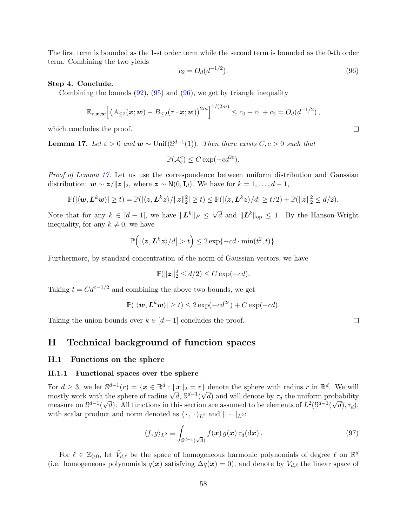The first term is bounded as the 1-st order term while the second term is bounded as the 0-th order term. Combining the two yields

<span id="page-57-4"></span>
$$
c_2 = O_d(d^{-1/2}).\tag{96}
$$

Step 4. Conclude.

Combining the bounds  $(92)$ ,  $(95)$  and  $(96)$ , we get by triangle inequality

$$
\mathbb{E}_{\tau,\bm{x},\bm{w}}\Big[\big(A_{\leq 2}(\bm{x};\bm{w})-B_{\leq 2}(\tau\cdot\bm{x};\bm{w})\big)^{2m}\Big]^{1/(2m)}\leq c_0+c_1+c_2=O_d(d^{-1/2}),
$$

which concludes the proof.

<span id="page-57-3"></span>**Lemma 17.** Let  $\varepsilon > 0$  and  $\boldsymbol{w} \sim \text{Unif}(\mathbb{S}^{d-1}(1))$ . Then there exists  $C, c > 0$  such that

 $\mathbb{P}(\mathcal{A}_{\varepsilon}^c) \leq C \exp(-c d^{2\varepsilon}).$ 

Proof of Lemma [17.](#page-57-3) Let us use the correspondence between uniform distribution and Gaussian distribution:  $\mathbf{w} \sim \mathbf{z}/\|\mathbf{z}\|_2$ , where  $\mathbf{z} \sim \mathsf{N}(0, \mathbf{I}_d)$ . We have for  $k = 1, \ldots, d-1$ ,

$$
\mathbb{P}(|\langle \boldsymbol{w}, \boldsymbol{L}^k \boldsymbol{w} \rangle| \geq t) = \mathbb{P}(|\langle \boldsymbol{z}, \boldsymbol{L}^k \boldsymbol{z} \rangle / \|\boldsymbol{z}\|_2^2| \geq t) \leq \mathbb{P}(|\langle \boldsymbol{z}, \boldsymbol{L}^k \boldsymbol{z} \rangle / d| \geq t/2) + \mathbb{P}(\|\boldsymbol{z}\|_2^2 \leq d/2).
$$

Note that for any  $k \in [d-1]$ , we have  $||\mathbf{L}^k||_F \leq \sqrt{d}$  and  $||\mathbf{L}^k||_{op} \leq 1$ . By the Hanson-Wright inequality, for any  $k \neq 0$ , we have

$$
\mathbb{P}\Big(\big|\langle \mathbf{z}, \mathbf{L}^k \mathbf{z}\rangle/d\big| > t\Big) \leq 2\exp\{-cd \cdot \min(t^2, t)\}.
$$

Furthermore, by standard concentration of the norm of Gaussian vectors, we have

$$
\mathbb{P}(\|z\|_2^2 \le d/2) \le C \exp(-cd).
$$

Taking  $t = C d^{\varepsilon - 1/2}$  and combining the above two bounds, we get

$$
\mathbb{P}(|\langle \boldsymbol{w}, \boldsymbol{L}^k \boldsymbol{w} \rangle| \ge t) \le 2 \exp(-cd^{2\varepsilon}) + C \exp(-cd).
$$

Taking the union bounds over  $k \in [d-1]$  concludes the proof.

# <span id="page-57-0"></span>H Technical background of function spaces

#### <span id="page-57-1"></span>H.1 Functions on the sphere

#### <span id="page-57-2"></span>H.1.1 Functional spaces over the sphere

For  $d \geq 3$ , we let  $\mathbb{S}^{d-1}(r) = \{x \in \mathbb{R}^d : ||x||_2 = r\}$  denote the sphere with radius r in  $\mathbb{R}^d$ . We will For  $a \ge 3$ , we let  $S^2$   $\lceil (r) \rceil = \{x \in \mathbb{R}^n : ||x||_2 = r\}$  denote the sphere with radius  $r$  in  $\mathbb{R}^n$ . We will mostly work with the sphere of radius  $\sqrt{d}$ ,  $S^{d-1}(\sqrt{d})$  and will denote by  $\tau_d$  the uniform prob measure on  $\mathbb{S}^{d-1}(\sqrt{d})$ . All functions in this section are assumed to be elements of  $L^2(\mathbb{S}^{d-1}(\sqrt{d}), \tau_d)$ , with scalar product and norm denoted as  $\langle \cdot, \cdot \rangle_{L^2}$  and  $|| \cdot ||_{L^2}$ :

$$
\langle f, g \rangle_{L^2} \equiv \int_{\mathbb{S}^{d-1}(\sqrt{d})} f(\boldsymbol{x}) g(\boldsymbol{x}) \, \tau_d(\mathrm{d}\boldsymbol{x}) \,. \tag{97}
$$

For  $\ell \in \mathbb{Z}_{\geq 0}$ , let  $\tilde{V}_{d,\ell}$  be the space of homogeneous harmonic polynomials of degree  $\ell$  on  $\mathbb{R}^d$ (i.e. homogeneous polynomials  $q(x)$  satisfying  $\Delta q(x) = 0$ ), and denote by  $V_{d,\ell}$  the linear space of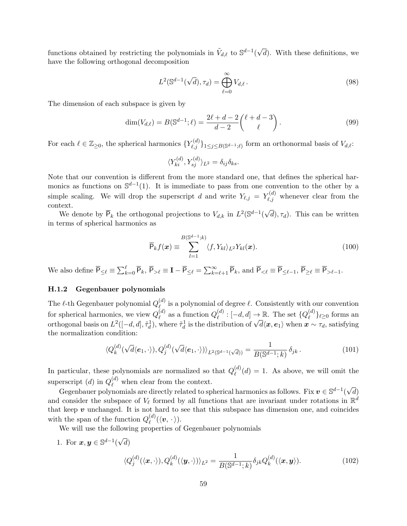functions obtained by restricting the polynomials in  $\tilde{V}_{d,\ell}$  to  $\mathbb{S}^{d-1}$ √ d). With these definitions, we have the following orthogonal decomposition

$$
L^2(\mathbb{S}^{d-1}(\sqrt{d}), \tau_d) = \bigoplus_{\ell=0}^{\infty} V_{d,\ell}.
$$
\n(98)

The dimension of each subspace is given by

$$
\dim(V_{d,\ell}) = B(\mathbb{S}^{d-1}; \ell) = \frac{2\ell + d - 2}{d - 2} {\ell + d - 3 \choose \ell}. \tag{99}
$$

For each  $\ell \in \mathbb{Z}_{\geq 0}$ , the spherical harmonics  $\{Y_{\ell,j}^{(d)}\}_{1 \leq j \leq B(\mathbb{S}^{d-1};\ell)}$  form an orthonormal basis of  $V_{d,\ell}$ :

$$
\langle Y_{ki}^{(d)}, Y_{sj}^{(d)} \rangle_{L^2} = \delta_{ij} \delta_{ks}.
$$

Note that our convention is different from the more standard one, that defines the spherical harmonics as functions on  $\mathbb{S}^{d-1}(1)$ . It is immediate to pass from one convention to the other by a simple scaling. We will drop the superscript d and write  $Y_{\ell,j} = Y_{\ell,j}^{(d)}$  whenever clear from the context. √

We denote by  $\overline{P}_k$  the orthogonal projections to  $V_{d,k}$  in  $L^2(\mathbb{S}^{d-1})$  $d, \tau_d$ ). This can be written in terms of spherical harmonics as

$$
\overline{\mathsf{P}}_k f(\boldsymbol{x}) \equiv \sum_{l=1}^{B(\mathbb{S}^{d-1};k)} \langle f, Y_{kl} \rangle_{L^2} Y_{kl}(\boldsymbol{x}). \tag{100}
$$

We also define  $\overline{P}_{\leq \ell} \equiv \sum_{k=0}^{\ell} \overline{P}_k$ ,  $\overline{P}_{>\ell} \equiv \mathbf{I} - \overline{P}_{\leq \ell} = \sum_{k=\ell+1}^{\infty} \overline{P}_k$ , and  $\overline{P}_{<\ell} \equiv \overline{P}_{\leq \ell-1}$ ,  $\overline{P}_{\geq \ell} \equiv \overline{P}_{>\ell-1}$ .

### <span id="page-58-0"></span>H.1.2 Gegenbauer polynomials

The  $\ell$ -th Gegenbauer polynomial  $Q_{\ell}^{(d)}$  $\ell^{(a)}$  is a polynomial of degree  $\ell$ . Consistently with our convention for spherical harmonics, we view  $Q_{\ell}^{(d)}$  $\overset{(d)}{\ell}$  as a function  $Q_{\ell}^{(d)}$  $\mathcal{L}_{\ell}^{(d)}:[-d,d]\rightarrow\mathbb{R}.$  The set  $\{Q_{\ell}^{(d)}\}$  $\ell^{(a)}\}_{\ell \geq 0}$  forms an for spherical nationics, we view  $Q_{\ell}$  as a function  $Q_{\ell}$ .  $[-a, a] \to \mathbb{R}$ . The set  $\{Q_{\ell}\}$   $\ell \ge 0$  forms and orthogonal basis on  $L^2([-d, d], \tilde{\tau}_d^1)$ , where  $\tilde{\tau}_d^1$  is the distribution of  $\sqrt{d}\langle \mathbf{x}, \mathbf{e}_1$ the normalization condition:

$$
\langle Q_k^{(d)}(\sqrt{d}\langle e_1, \cdot \rangle), Q_j^{(d)}(\sqrt{d}\langle e_1, \cdot \rangle)\rangle_{L^2(\mathbb{S}^{d-1}(\sqrt{d}))} = \frac{1}{B(\mathbb{S}^{d-1};k)} \delta_{jk}.
$$
\n(101)

In particular, these polynomials are normalized so that  $Q_{\ell}^{(d)}$  $\binom{a}{\ell}(d) = 1$ . As above, we will omit the superscript (d) in  $Q_{\ell}^{(d)}$  when clear from the context. √

Gegenbauer polynomials are directly related to spherical harmonics as follows. Fix  $v \in \mathbb{S}^{d-1}($ d) and consider the subspace of  $V_\ell$  formed by all functions that are invariant under rotations in  $\mathbb{R}^d$ that keep  $v$  unchanged. It is not hard to see that this subspace has dimension one, and coincides with the span of the function  $Q_{\ell}^{(d)}$  $\stackrel{(a)}{\ell}(\langle \boldsymbol{v}, \, \cdot \, \rangle).$ 

We will use the following properties of Gegenbauer polynomials

1. For  $\mathbf{x}, \mathbf{y} \in \mathbb{S}^{d-1}$  ( √ d)

$$
\langle Q_j^{(d)}(\langle \boldsymbol{x}, \cdot \rangle), Q_k^{(d)}(\langle \boldsymbol{y}, \cdot \rangle) \rangle_{L^2} = \frac{1}{B(\mathbb{S}^{d-1}; k)} \delta_{jk} Q_k^{(d)}(\langle \boldsymbol{x}, \boldsymbol{y} \rangle).
$$
(102)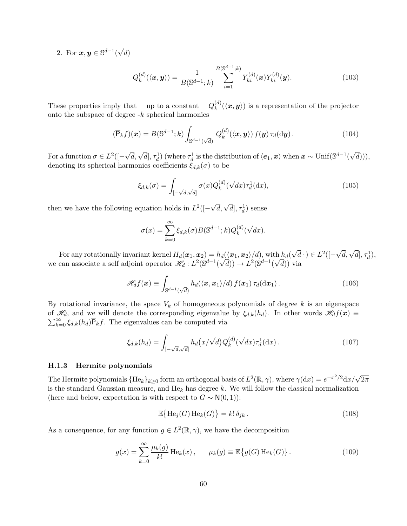2. For  $x, y \in \mathbb{S}^{d-1}$  ( √ d)

$$
Q_k^{(d)}(\langle \mathbf{x}, \mathbf{y} \rangle) = \frac{1}{B(\mathbb{S}^{d-1}; k)} \sum_{i=1}^{B(\mathbb{S}^{d-1}; k)} Y_{ki}^{(d)}(\mathbf{x}) Y_{ki}^{(d)}(\mathbf{y}).
$$
\n(103)

These properties imply that —up to a constant—  $Q_k^{(d)}$  $\mathbf{f}_{k}^{(a)}(\langle \mathbf{x}, \mathbf{y} \rangle)$  is a representation of the projector onto the subspace of degree  $-k$  spherical harmonics

$$
(\overline{\mathsf{P}}_k f)(\boldsymbol{x}) = B(\mathbb{S}^{d-1}; k) \int_{\mathbb{S}^{d-1}(\sqrt{d})} Q_k^{(d)}(\langle \boldsymbol{x}, \boldsymbol{y} \rangle) f(\boldsymbol{y}) \tau_d(\mathrm{d}\boldsymbol{y}). \tag{104}
$$

For a function  $\sigma \in L^2([ \sqrt{d}$ ,  $\sqrt{d}$ ,  $\tau_d^1$ ) (where  $\tau_d^1$  is the distribution of  $\langle e_1, x \rangle$  when  $x \sim \text{Unif}(\mathbb{S}^{d-1}(\$ √  $d)))$ denoting its spherical harmonics coefficients  $\xi_{d,k}(\sigma)$  to be

<span id="page-59-3"></span><span id="page-59-1"></span>
$$
\xi_{d,k}(\sigma) = \int_{\left[-\sqrt{d},\sqrt{d}\right]} \sigma(x) Q_k^{(d)}(\sqrt{d}x) \tau_d^1(\mathrm{d}x),\tag{105}
$$

then we have the following equation holds in  $L^2([ \sqrt{d}, \sqrt{d}$ ,  $\tau_d^1$ ) sense

$$
\sigma(x) = \sum_{k=0}^{\infty} \xi_{d,k}(\sigma) B(\mathbb{S}^{d-1}; k) Q_k^{(d)}(\sqrt{d}x).
$$

For any rotationally invariant kernel  $H_d(\boldsymbol{x}_1, \boldsymbol{x}_2) = h_d(\langle \boldsymbol{x}_1, \boldsymbol{x}_2 \rangle/d),$  with  $h_d(\phi)$ √  $\overline{d} \cdot$ )  $\in L^2([$  $h_d(\langle x_1, x_2 \rangle/d), \text{ with } h_d(\sqrt{d} \cdot) \in L^2([-\sqrt{d}, \sqrt{d}], \tau_d^1),$ we can associate a self adjoint operator  $\mathscr{H}_d: L^2(\mathbb{S}^{d-1}(\sqrt{d})) \to L^2(\mathbb{S}^{d-1}(\sqrt{d}))$  via

$$
\mathscr{H}_d f(\boldsymbol{x}) \equiv \int_{\mathbb{S}^{d-1}(\sqrt{d})} h_d(\langle \boldsymbol{x}, \boldsymbol{x}_1 \rangle / d) f(\boldsymbol{x}_1) \, \tau_d(\mathrm{d}\boldsymbol{x}_1) \,. \tag{106}
$$

By rotational invariance, the space  $V_k$  of homogeneous polynomials of degree k is an eigenspace  $\sum_{k=0}^{\infty} \xi_{d,k}(h_d) \overline{P}_k f$ . The eigenvalues can be computed via of  $\mathcal{H}_d$ , and we will denote the corresponding eigenvalue by  $\xi_{d,k}(h_d)$ . In other words  $\mathcal{H}_d f(\mathbf{x}) \equiv$ 

$$
\xi_{d,k}(h_d) = \int_{[-\sqrt{d},\sqrt{d}]} h_d(x/\sqrt{d}) Q_k^{(d)}(\sqrt{d}x) \tau_d^1(\mathrm{d}x) \,. \tag{107}
$$

#### <span id="page-59-0"></span>H.1.3 Hermite polynomials

The Hermite polynomials  $\{{\rm He}_k\}_{k\geq 0}$  form an orthogonal basis of  $L^2(\mathbb{R},\gamma),$  where  $\gamma({\rm d} x)=e^{-x^2/2}{\rm d} x/\sqrt{2\pi}$ is the standard Gaussian measure, and  $He_k$  has degree k. We will follow the classical normalization (here and below, expectation is with respect to  $G \sim N(0, 1)$ ):

<span id="page-59-2"></span>
$$
\mathbb{E}\left\{\mathrm{He}_j(G)\,\mathrm{He}_k(G)\right\} = k!\,\delta_{jk} \,. \tag{108}
$$

As a consequence, for any function  $g \in L^2(\mathbb{R}, \gamma)$ , we have the decomposition

$$
g(x) = \sum_{k=0}^{\infty} \frac{\mu_k(g)}{k!} \operatorname{He}_k(x), \qquad \mu_k(g) \equiv \mathbb{E}\big\{g(G) \operatorname{He}_k(G)\big\}.
$$
 (109)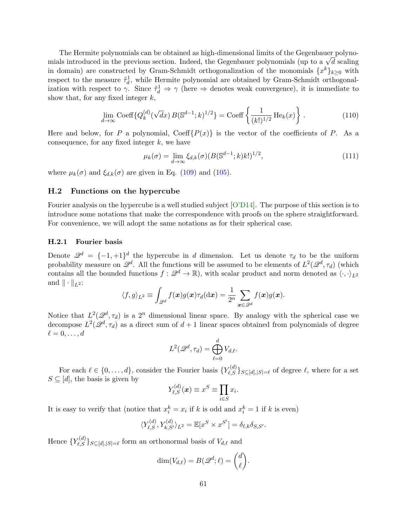The Hermite polynomials can be obtained as high-dimensional limits of the Gegenbauer polyno-The Hermite polynomials can be obtained as high-dimensional limits of the Gegenbauer polynomials introduced in the previous section. Indeed, the Gegenbauer polynomials (up to a  $\sqrt{d}$  scaling in domain) are constructed by Gram-Schmidt orthogonalization of the monomials  $\{x^k\}_{k\geq 0}$  with respect to the measure  $\tilde{\tau}_d^1$ , while Hermite polynomial are obtained by Gram-Schmidt orthogonalization with respect to  $\gamma$ . Since  $\tilde{\tau}_d^1 \Rightarrow \gamma$  (here  $\Rightarrow$  denotes weak convergence), it is immediate to show that, for any fixed integer  $k$ ,

$$
\lim_{d \to \infty} \text{Coeff}\{Q_k^{(d)}(\sqrt{d}x) \, B(\mathbb{S}^{d-1};k)^{1/2}\} = \text{Coeff}\left\{\frac{1}{(k!)^{1/2}} \text{He}_k(x)\right\}. \tag{110}
$$

Here and below, for P a polynomial,  $\text{Coeff}\{P(x)\}\$ is the vector of the coefficients of P. As a consequence, for any fixed integer  $k$ , we have

<span id="page-60-3"></span><span id="page-60-2"></span>
$$
\mu_k(\sigma) = \lim_{d \to \infty} \xi_{d,k}(\sigma) (B(\mathbb{S}^{d-1}; k)k!)^{1/2},\tag{111}
$$

where  $\mu_k(\sigma)$  and  $\xi_{d,k}(\sigma)$  are given in Eq. [\(109\)](#page-59-2) and [\(105\)](#page-59-3).

### <span id="page-60-0"></span>H.2 Functions on the hypercube

Fourier analysis on the hypercube is a well studied subject [\[O'D14\]](#page-15-12). The purpose of this section is to introduce some notations that make the correspondence with proofs on the sphere straightforward. For convenience, we will adopt the same notations as for their spherical case.

#### <span id="page-60-1"></span>H.2.1 Fourier basis

Denote  $\mathscr{Q}^d = \{-1, +1\}^d$  the hypercube in d dimension. Let us denote  $\tau_d$  to be the uniform probability measure on  $\mathscr{Q}^d$ . All the functions will be assumed to be elements of  $L^2(\mathscr{Q}^d, \tau_d)$  (which contains all the bounded functions  $f: \mathscr{Q}^d \to \mathbb{R}$ , with scalar product and norm denoted as  $\langle \cdot, \cdot \rangle_{L^2}$ and  $\|\cdot\|_{L^2}$ :

$$
\langle f, g \rangle_{L^2} \equiv \int_{\mathscr{Q}^d} f(\boldsymbol{x}) g(\boldsymbol{x}) \tau_d(\mathrm{d} \boldsymbol{x}) = \frac{1}{2^n} \sum_{\boldsymbol{x} \in \mathscr{Q}^d} f(\boldsymbol{x}) g(\boldsymbol{x}).
$$

Notice that  $L^2(\mathcal{Q}^d, \tau_d)$  is a  $2^n$  dimensional linear space. By analogy with the spherical case we decompose  $L^2(\mathcal{Q}^d, \tau_d)$  as a direct sum of  $d+1$  linear spaces obtained from polynomials of degree  $\ell = 0, \ldots, d$ 

$$
L^2(\mathscr{Q}^d, \tau_d) = \bigoplus_{\ell=0}^d V_{d,\ell}.
$$

For each  $\ell \in \{0, \ldots, d\}$ , consider the Fourier basis  ${Y_{\ell,S}^{(d)}}_{S \subseteq [d], |S| = \ell}$  of degree  $\ell$ , where for a set  $S \subseteq [d]$ , the basis is given by

$$
Y_{\ell,S}^{(d)}(\boldsymbol{x}) \equiv x^S \equiv \prod_{i \in S} x_i.
$$

It is easy to verify that (notice that  $x_i^k = x_i$  if k is odd and  $x_i^k = 1$  if k is even)

$$
\langle Y_{\ell,S}^{(d)}, Y_{k,S'}^{(d)} \rangle_{L^2} = \mathbb{E}[x^S \times x^{S'}] = \delta_{\ell,k} \delta_{S,S'}.
$$

Hence  ${Y_{\ell,S}^{(d)}\}_{S \subseteq [d], |S| = \ell}$  form an orthonormal basis of  $V_{d,\ell}$  and

$$
\dim(V_{d,\ell})=B(\mathscr{Q}^d;\ell)=\binom{d}{\ell}.
$$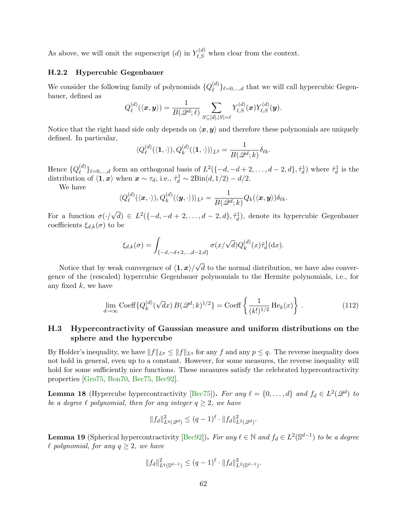As above, we will omit the superscript  $(d)$  in  $Y_{\ell,S}^{(d)}$  when clear from the context.

### <span id="page-61-0"></span>H.2.2 Hypercubic Gegenbauer

We consider the following family of polynomials  $\{Q_{\ell}^{(d)}\}$  $\{\mu^{(a)}_e\}_{e=0,\dots,d}$  that we will call hypercubic Gegenbauer, defined as

$$
Q_{\ell}^{(d)}(\langle \boldsymbol{x}, \boldsymbol{y} \rangle) = \frac{1}{B(\mathscr{Q}^d; \ell)} \sum_{S \subseteq [d], |S| = \ell} Y_{\ell,S}^{(d)}(\boldsymbol{x}) Y_{\ell,S}^{(d)}(\boldsymbol{y}).
$$

Notice that the right hand side only depends on  $\langle x, y \rangle$  and therefore these polynomials are uniquely defined. In particular,

$$
\langle Q_{\ell}^{(d)}(\langle \mathbf{1}, \cdot \rangle), Q_{k}^{(d)}(\langle \mathbf{1}, \cdot \rangle) \rangle_{L^{2}} = \frac{1}{B(\mathscr{Q}^{d}; k)} \delta_{\ell k}.
$$

Hence  $\{Q_{\ell}^{(d)}\}$  $\mathcal{L}^{(d)}\}_{\ell=0,\ldots,d}$  form an orthogonal basis of  $L^2(\{-d,-d+2,\ldots,d-2,d\},\tilde{\tau}_d^1)$  where  $\tilde{\tau}_d^1$  is the distribution of  $\langle \mathbf{1}, \mathbf{x} \rangle$  when  $\mathbf{x} \sim \tau_d$ , i.e.,  $\tilde{\tau}_d^1 \sim 2\text{Bin}(d, 1/2) - d/2$ .

We have

$$
\langle Q^{(d)}_{\ell} (\langle \boldsymbol{x}, \cdot \rangle), Q^{(d)}_{k} (\langle \boldsymbol{y}, \cdot \rangle) \rangle_{L^2} = \frac{1}{B(\mathscr{Q}^d; k)} Q_k(\langle \boldsymbol{x}, \boldsymbol{y} \rangle) \delta_{\ell k}.
$$

For a function  $\sigma(\cdot)$ √  $\overline{d}$ )  $\in L^2(\{-d, -d+2, \ldots, d-2, d\}, \tilde{\tau}_d^1)$ , denote its hypercubic Gegenbauer coefficients  $\xi_{d,k}(\sigma)$  to be

$$
\xi_{d,k}(\sigma) = \int_{\{-d,-d+2,\dots,d-2,d\}} \sigma(x/\sqrt{d}) Q_k^{(d)}(x) \tilde{\tau}_d^1(\mathrm{d}x).
$$

Notice that by weak convergence of  $\langle 1, x \rangle /$ √  $d$  to the normal distribution, we have also convergence of the (rescaled) hypercubic Gegenbauer polynomials to the Hermite polynomials, i.e., for any fixed  $k$ , we have

$$
\lim_{d \to \infty} \operatorname{Coeff} \{ Q_k^{(d)}(\sqrt{d}x) B(\mathcal{Q}^d; k)^{1/2} \} = \operatorname{Coeff} \left\{ \frac{1}{(k!)^{1/2}} \operatorname{He}_k(x) \right\}.
$$
 (112)

# <span id="page-61-1"></span>H.3 Hypercontractivity of Gaussian measure and uniform distributions on the sphere and the hypercube

By Holder's inequality, we have  $||f||_{L^p} \le ||f||_{L^q}$  for any f and any  $p \le q$ . The reverse inequality does not hold in general, even up to a constant. However, for some measures, the reverse inequality will hold for some sufficiently nice functions. These measures satisfy the celebrated hypercontractivity properties [\[Gro75,](#page-15-13) [Bon70,](#page-14-13) [Bec75,](#page-14-14) [Bec92\]](#page-14-15).

<span id="page-61-2"></span>**Lemma 18** (Hypercube hypercontractivity [\[Bec75\]](#page-14-14)). For any  $\ell = \{0, \ldots, d\}$  and  $f_d \in L^2(\mathscr{Q}^d)$  to be a degree  $\ell$  polynomial, then for any integer  $q \geq 2$ , we have

<span id="page-61-4"></span>
$$
||f_d||_{L^q(\mathscr{Q}^d)}^2 \le (q-1)^{\ell} \cdot ||f_d||_{L^2(\mathscr{Q}^d)}^2.
$$

<span id="page-61-3"></span>**Lemma 19** (Spherical hypercontractivity [\[Bec92\]](#page-14-15)). For any  $\ell \in \mathbb{N}$  and  $f_d \in L^2(\mathbb{S}^{d-1})$  to be a degree  $\ell$  polynomial, for any  $q \geq 2$ , we have

$$
||f_d||_{L^q(\mathbb{S}^{d-1})}^2 \le (q-1)^{\ell} \cdot ||f_d||_{L^2(\mathbb{S}^{d-1})}^2.
$$